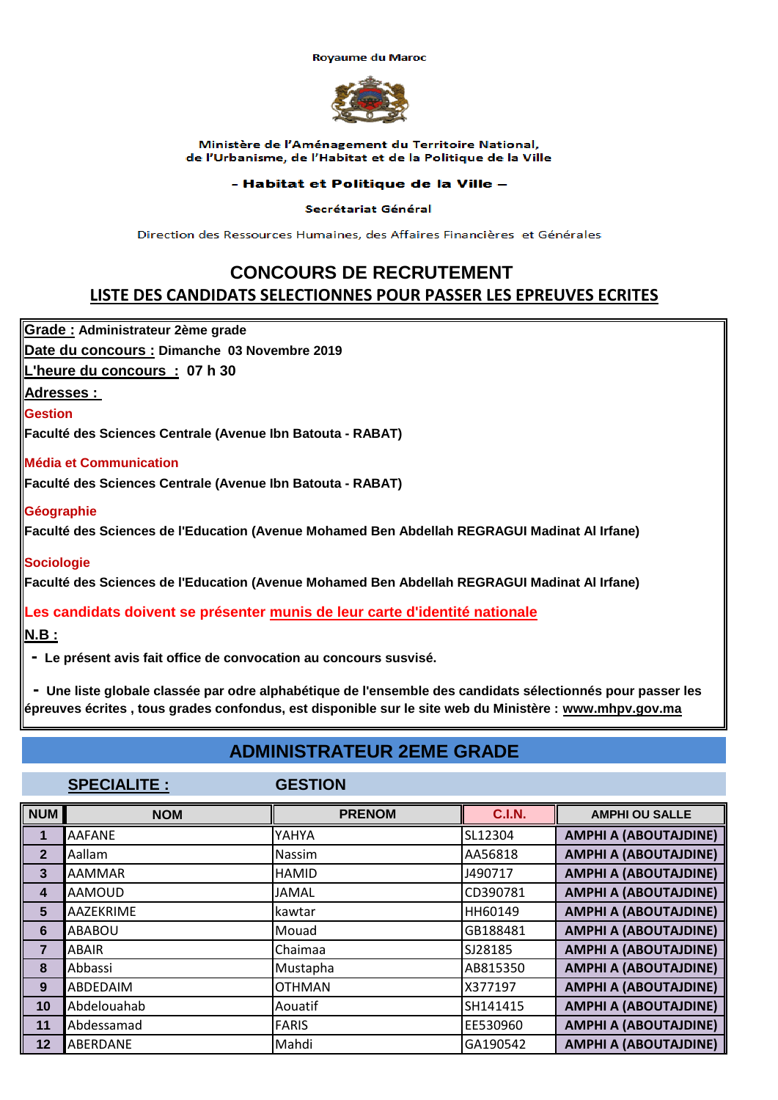**Rovaume du Maroc** 



#### Ministère de l'Aménagement du Territoire National. de l'Urbanisme, de l'Habitat et de la Politique de la Ville

#### - Habitat et Politique de la Ville -

Secrétariat Général

Direction des Ressources Humaines, des Affaires Financières et Générales

## **CONCOURS DE RECRUTEMENT LISTE DES CANDIDATS SELECTIONNES POUR PASSER LES EPREUVES ECRITES**

**Grade : Administrateur 2ème grade**

**Date du concours : Dimanche 03 Novembre 2019**

**L'heure du concours : 07 h 30**

**Adresses :** 

**Gestion**

**Faculté des Sciences Centrale (Avenue Ibn Batouta - RABAT)**

#### **Média et Communication**

**Faculté des Sciences Centrale (Avenue Ibn Batouta - RABAT)**

#### **Géographie**

**Faculté des Sciences de l'Education (Avenue Mohamed Ben Abdellah REGRAGUI Madinat Al Irfane)**

### **Sociologie**

**Faculté des Sciences de l'Education (Avenue Mohamed Ben Abdellah REGRAGUI Madinat Al Irfane)**

**Les candidats doivent se présenter munis de leur carte d'identité nationale**

**N.B :**

 **- Le présent avis fait office de convocation au concours susvisé.**

 **- Une liste globale classée par odre alphabétique de l'ensemble des candidats sélectionnés pour passer les épreuves écrites , tous grades confondus, est disponible sur le site web du Ministère : www.mhpv.gov.ma**

## **ADMINISTRATEUR 2EME GRADE**

**SPECIALITE : GESTION**

| <b>NUM</b>     | <b>NOM</b>    | <b>PRENOM</b> | <b>C.I.N.</b> | <b>AMPHI OU SALLE</b>        |
|----------------|---------------|---------------|---------------|------------------------------|
|                | <b>AAFANE</b> | YAHYA         | SL12304       | <b>AMPHI A (ABOUTAJDINE)</b> |
| $\mathbf{2}$   | Aallam        | Nassim        | AA56818       | <b>AMPHI A (ABOUTAJDINE)</b> |
| 3              | <b>AAMMAR</b> | <b>HAMID</b>  | J490717       | <b>AMPHI A (ABOUTAJDINE)</b> |
| 4              | <b>AAMOUD</b> | <b>JAMAL</b>  | CD390781      | <b>AMPHI A (ABOUTAJDINE)</b> |
| 5              | AAZEKRIME     | kawtar        | HH60149       | <b>AMPHI A (ABOUTAJDINE)</b> |
| 6              | ABABOU        | Mouad         | GB188481      | <b>AMPHI A (ABOUTAJDINE)</b> |
| $\overline{7}$ | ABAIR         | Chaimaa       | SJ28185       | <b>AMPHI A (ABOUTAJDINE)</b> |
| 8              | Abbassi       | Mustapha      | AB815350      | <b>AMPHI A (ABOUTAJDINE)</b> |
| 9              | ABDEDAIM      | <b>OTHMAN</b> | X377197       | <b>AMPHI A (ABOUTAJDINE)</b> |
| 10             | Abdelouahab   | Aouatif       | SH141415      | <b>AMPHI A (ABOUTAJDINE)</b> |
| 11             | Abdessamad    | <b>FARIS</b>  | EE530960      | <b>AMPHI A (ABOUTAJDINE)</b> |
| 12             | ABERDANE      | Mahdi         | GA190542      | <b>AMPHI A (ABOUTAJDINE)</b> |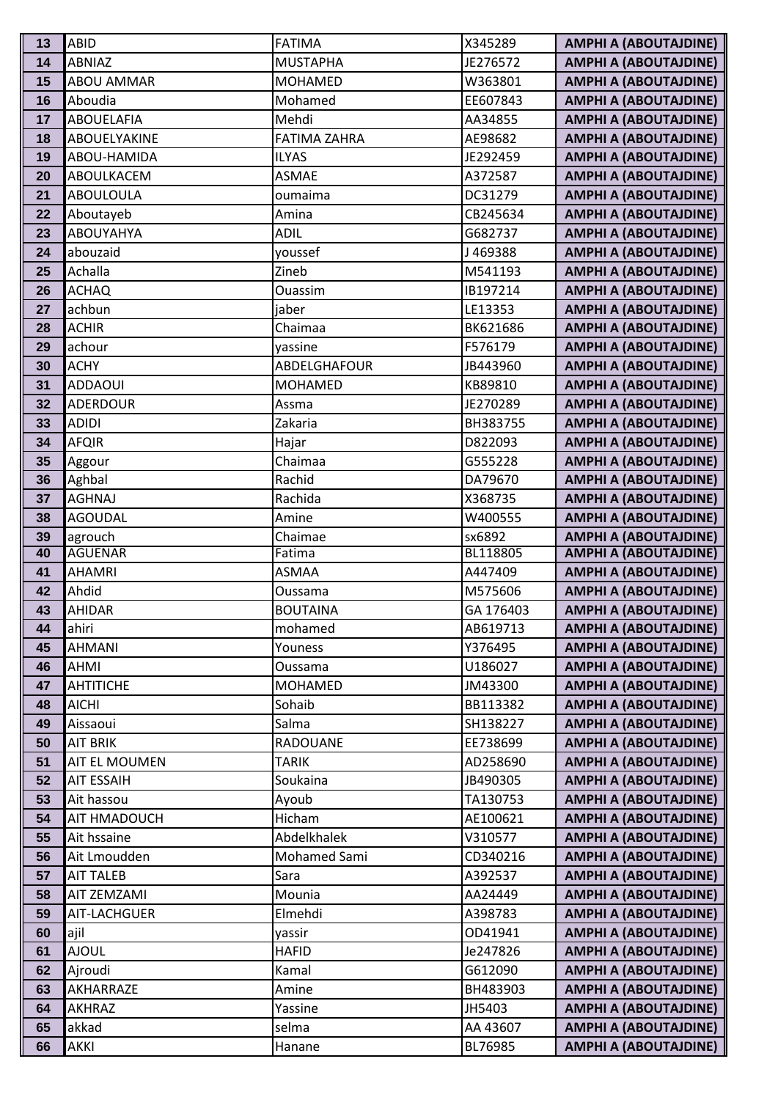| 13       | <b>ABID</b>                 | <b>FATIMA</b>            | X345289              | <b>AMPHI A (ABOUTAJDINE)</b>                                 |
|----------|-----------------------------|--------------------------|----------------------|--------------------------------------------------------------|
| 14       | <b>ABNIAZ</b>               | <b>MUSTAPHA</b>          | JE276572             | <b>AMPHI A (ABOUTAJDINE)</b>                                 |
| 15       | <b>ABOU AMMAR</b>           | <b>MOHAMED</b>           | W363801              | <b>AMPHI A (ABOUTAJDINE)</b>                                 |
| 16       | Aboudia                     | Mohamed                  | EE607843             | <b>AMPHI A (ABOUTAJDINE)</b>                                 |
| 17       | <b>ABOUELAFIA</b>           | Mehdi                    | AA34855              | <b>AMPHI A (ABOUTAJDINE)</b>                                 |
| 18       | ABOUELYAKINE                | <b>FATIMA ZAHRA</b>      | AE98682              | <b>AMPHI A (ABOUTAJDINE)</b>                                 |
| 19       | ABOU-HAMIDA                 | <b>ILYAS</b>             | JE292459             | <b>AMPHI A (ABOUTAJDINE)</b>                                 |
| 20       | ABOULKACEM                  | <b>ASMAE</b>             | A372587              | <b>AMPHI A (ABOUTAJDINE)</b>                                 |
| 21       | <b>ABOULOULA</b>            | oumaima                  | DC31279              | <b>AMPHI A (ABOUTAJDINE)</b>                                 |
| 22       | Aboutayeb                   | Amina                    | CB245634             | <b>AMPHI A (ABOUTAJDINE)</b>                                 |
| 23       | <b>ABOUYAHYA</b>            | <b>ADIL</b>              | G682737              | <b>AMPHI A (ABOUTAJDINE)</b>                                 |
| 24       | abouzaid                    | youssef                  | J469388              | <b>AMPHI A (ABOUTAJDINE)</b>                                 |
| 25       | Achalla                     | Zineb                    | M541193              | <b>AMPHI A (ABOUTAJDINE)</b>                                 |
| 26       | <b>ACHAQ</b>                | <b>Ouassim</b>           | IB197214             | <b>AMPHI A (ABOUTAJDINE)</b>                                 |
| 27       | achbun                      | jaber                    | LE13353              | <b>AMPHI A (ABOUTAJDINE)</b>                                 |
| 28       | <b>ACHIR</b>                | Chaimaa                  | BK621686             | <b>AMPHI A (ABOUTAJDINE)</b>                                 |
| 29       | achour                      | vassine                  | F576179              | <b>AMPHI A (ABOUTAJDINE)</b>                                 |
| 30       | <b>ACHY</b>                 | ABDELGHAFOUR             | JB443960             | <b>AMPHI A (ABOUTAJDINE)</b>                                 |
| 31       | <b>ADDAOUI</b>              | <b>MOHAMED</b>           | KB89810              | <b>AMPHI A (ABOUTAJDINE)</b>                                 |
| 32       | <b>ADERDOUR</b>             | Assma                    | JE270289             | <b>AMPHI A (ABOUTAJDINE)</b>                                 |
| 33       | <b>ADIDI</b>                | Zakaria                  | BH383755             | <b>AMPHI A (ABOUTAJDINE)</b>                                 |
| 34       | <b>AFQIR</b>                | Hajar                    | D822093              | <b>AMPHI A (ABOUTAJDINE)</b>                                 |
| 35       | Aggour                      | Chaimaa                  | G555228              | <b>AMPHI A (ABOUTAJDINE)</b>                                 |
| 36       | Aghbal                      | Rachid                   | DA79670              | <b>AMPHI A (ABOUTAJDINE)</b>                                 |
| 37       | <b>AGHNAJ</b>               | Rachida                  | X368735              | <b>AMPHI A (ABOUTAJDINE)</b>                                 |
| 38       | <b>AGOUDAL</b>              | Amine                    | W400555              | <b>AMPHI A (ABOUTAJDINE)</b>                                 |
| 39       | agrouch                     | Chaimae                  | sx6892               | <b>AMPHI A (ABOUTAJDINE)</b>                                 |
| 40       | <b>AGUENAR</b>              | Fatima                   | BL118805             | <b>AMPHI A (ABOUTAJDINE)</b>                                 |
| 41       | <b>AHAMRI</b>               | <b>ASMAA</b>             | A447409              | <b>AMPHI A (ABOUTAJDINE)</b>                                 |
| 42       | Ahdid                       | Oussama                  | M575606              | <b>AMPHI A (ABOUTAJDINE)</b>                                 |
| 43       | <b>AHIDAR</b>               | <b>BOUTAINA</b>          | GA 176403            | <b>AMPHI A (ABOUTAJDINE)</b>                                 |
| 44       | ahiri                       | mohamed                  | AB619713             | <b>AMPHI A (ABOUTAJDINE)</b>                                 |
| 45       | <b>AHMANI</b>               | Youness                  | Y376495              | <b>AMPHI A (ABOUTAJDINE)</b>                                 |
| 46       | AHMI                        | Oussama                  | U186027              | <b>AMPHI A (ABOUTAJDINE)</b>                                 |
| 47       | <b>AHTITICHE</b>            | <b>MOHAMED</b>           | JM43300              | <b>AMPHI A (ABOUTAJDINE)</b>                                 |
| 48       | <b>AICHI</b>                | Sohaib                   | BB113382             | <b>AMPHI A (ABOUTAJDINE)</b>                                 |
| 49<br>50 | Aissaoui<br><b>AIT BRIK</b> | Salma<br><b>RADOUANE</b> | SH138227<br>EE738699 | <b>AMPHI A (ABOUTAJDINE)</b><br><b>AMPHI A (ABOUTAJDINE)</b> |
| 51       | <b>AIT EL MOUMEN</b>        | <b>TARIK</b>             | AD258690             | <b>AMPHI A (ABOUTAJDINE)</b>                                 |
| 52       | <b>AIT ESSAIH</b>           | Soukaina                 | JB490305             | <b>AMPHI A (ABOUTAJDINE)</b>                                 |
| 53       | Ait hassou                  | Ayoub                    | TA130753             | <b>AMPHI A (ABOUTAJDINE)</b>                                 |
| 54       | AIT HMADOUCH                | Hicham                   | AE100621             | <b>AMPHI A (ABOUTAJDINE)</b>                                 |
| 55       | Ait hssaine                 | Abdelkhalek              | V310577              | <b>AMPHI A (ABOUTAJDINE)</b>                                 |
| 56       | Ait Lmoudden                | Mohamed Sami             | CD340216             | <b>AMPHI A (ABOUTAJDINE)</b>                                 |
| 57       | <b>AIT TALEB</b>            | Sara                     | A392537              | <b>AMPHI A (ABOUTAJDINE)</b>                                 |
| 58       | AIT ZEMZAMI                 | Mounia                   | AA24449              | <b>AMPHI A (ABOUTAJDINE)</b>                                 |
| 59       | AIT-LACHGUER                | Elmehdi                  | A398783              | <b>AMPHI A (ABOUTAJDINE)</b>                                 |
| 60       | ajil                        | yassir                   | OD41941              | <b>AMPHI A (ABOUTAJDINE)</b>                                 |
| 61       | <b>AJOUL</b>                | <b>HAFID</b>             | Je247826             | <b>AMPHI A (ABOUTAJDINE)</b>                                 |
| 62       | Ajroudi                     | Kamal                    | G612090              | <b>AMPHI A (ABOUTAJDINE)</b>                                 |
| 63       | AKHARRAZE                   | Amine                    | BH483903             | <b>AMPHI A (ABOUTAJDINE)</b>                                 |
| 64       | AKHRAZ                      | Yassine                  | JH5403               | <b>AMPHI A (ABOUTAJDINE)</b>                                 |
| 65       | akkad                       | selma                    | AA 43607             | <b>AMPHI A (ABOUTAJDINE)</b>                                 |
| 66       | AKKI                        | Hanane                   | BL76985              | <b>AMPHI A (ABOUTAJDINE)</b>                                 |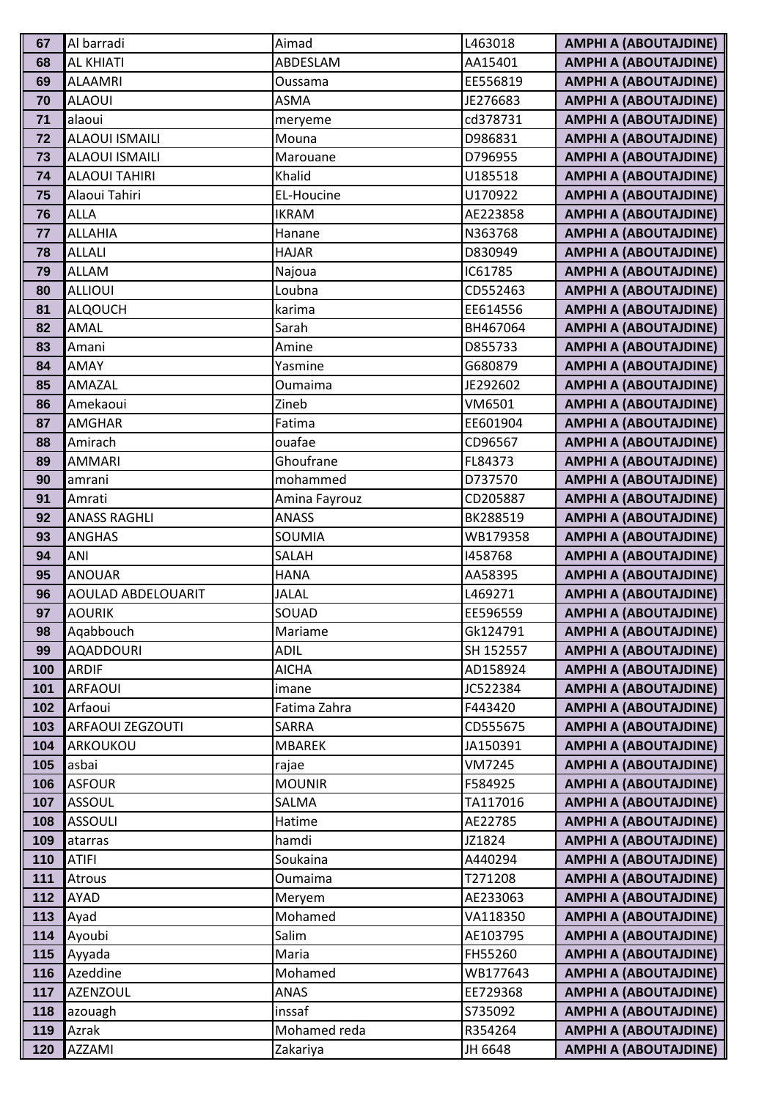| 67         | Al barradi              | Aimad             | L463018            | <b>AMPHI A (ABOUTAJDINE)</b>                                 |
|------------|-------------------------|-------------------|--------------------|--------------------------------------------------------------|
| 68         | <b>AL KHIATI</b>        | ABDESLAM          | AA15401            | <b>AMPHI A (ABOUTAJDINE)</b>                                 |
| 69         | <b>ALAAMRI</b>          | Oussama           | EE556819           | <b>AMPHI A (ABOUTAJDINE)</b>                                 |
| 70         | <b>ALAOUI</b>           | <b>ASMA</b>       | JE276683           | <b>AMPHI A (ABOUTAJDINE)</b>                                 |
| 71         | alaoui                  | meryeme           | cd378731           | <b>AMPHI A (ABOUTAJDINE)</b>                                 |
| 72         | <b>ALAOUI ISMAILI</b>   | Mouna             | D986831            | <b>AMPHI A (ABOUTAJDINE)</b>                                 |
| 73         | <b>ALAOUI ISMAILI</b>   | Marouane          | D796955            | <b>AMPHI A (ABOUTAJDINE)</b>                                 |
| 74         | <b>ALAOUI TAHIRI</b>    | Khalid            | U185518            | <b>AMPHI A (ABOUTAJDINE)</b>                                 |
| 75         | Alaoui Tahiri           | EL-Houcine        | U170922            | <b>AMPHI A (ABOUTAJDINE)</b>                                 |
| 76         | <b>ALLA</b>             | <b>IKRAM</b>      | AE223858           | <b>AMPHI A (ABOUTAJDINE)</b>                                 |
| 77         | <b>ALLAHIA</b>          | Hanane            | N363768            | <b>AMPHI A (ABOUTAJDINE)</b>                                 |
| 78         | <b>ALLALI</b>           | <b>HAJAR</b>      | D830949            | <b>AMPHI A (ABOUTAJDINE)</b>                                 |
| 79         | <b>ALLAM</b>            | Najoua            | IC61785            | <b>AMPHI A (ABOUTAJDINE)</b>                                 |
| 80         | <b>ALLIOUI</b>          | Loubna            | CD552463           | <b>AMPHI A (ABOUTAJDINE)</b>                                 |
| 81         | <b>ALQOUCH</b>          | karima            | EE614556           | <b>AMPHI A (ABOUTAJDINE)</b>                                 |
| 82         | AMAL                    | Sarah             | BH467064           | <b>AMPHI A (ABOUTAJDINE)</b>                                 |
| 83         | Amani                   | Amine             | D855733            | <b>AMPHI A (ABOUTAJDINE)</b>                                 |
| 84         | <b>AMAY</b>             | Yasmine           | G680879            | <b>AMPHI A (ABOUTAJDINE)</b>                                 |
| 85         | AMAZAL                  | Oumaima           | JE292602           | <b>AMPHI A (ABOUTAJDINE)</b>                                 |
| 86         | Amekaoui                | Zineb             | VM6501             | <b>AMPHI A (ABOUTAJDINE)</b>                                 |
| 87         | <b>AMGHAR</b>           | Fatima            | EE601904           | <b>AMPHI A (ABOUTAJDINE)</b>                                 |
| 88         | Amirach                 | ouafae            | CD96567            | <b>AMPHI A (ABOUTAJDINE)</b>                                 |
| 89         | <b>AMMARI</b>           | Ghoufrane         | FL84373            | <b>AMPHI A (ABOUTAJDINE)</b>                                 |
| 90         | amrani                  | mohammed          | D737570            | <b>AMPHI A (ABOUTAJDINE)</b>                                 |
| 91         | Amrati                  | Amina Fayrouz     | CD205887           | <b>AMPHI A (ABOUTAJDINE)</b>                                 |
| 92         | <b>ANASS RAGHLI</b>     | <b>ANASS</b>      | BK288519           | <b>AMPHI A (ABOUTAJDINE)</b>                                 |
| 93         | <b>ANGHAS</b>           | SOUMIA            | WB179358           | <b>AMPHI A (ABOUTAJDINE)</b>                                 |
| 94         | ANI                     | SALAH             | 1458768            | <b>AMPHI A (ABOUTAJDINE)</b>                                 |
| 95         | <b>ANOUAR</b>           | <b>HANA</b>       | AA58395            | <b>AMPHI A (ABOUTAJDINE)</b>                                 |
| 96         | AOULAD ABDELOUARIT      | <b>JALAL</b>      | L469271            | <b>AMPHI A (ABOUTAJDINE)</b>                                 |
| 97         | <b>AOURIK</b>           | SOUAD             | EE596559           | <b>AMPHI A (ABOUTAJDINE)</b>                                 |
| 98         | Agabbouch               | Mariame           | Gk124791           | <b>AMPHI A (ABOUTAJDINE)</b>                                 |
| 99         | <b>AQADDOURI</b>        | <b>ADIL</b>       | SH 152557          | <b>AMPHI A (ABOUTAJDINE)</b>                                 |
| 100        | <b>ARDIF</b>            | <b>AICHA</b>      | AD158924           | <b>AMPHI A (ABOUTAJDINE)</b>                                 |
| 101        | <b>ARFAOUI</b>          | imane             | JC522384           | <b>AMPHI A (ABOUTAJDINE)</b>                                 |
| 102        | Arfaoui                 | Fatima Zahra      | F443420            | <b>AMPHI A (ABOUTAJDINE)</b>                                 |
| 103        | <b>ARFAOUI ZEGZOUTI</b> | <b>SARRA</b>      | CD555675           | <b>AMPHI A (ABOUTAJDINE)</b>                                 |
| 104        | ARKOUKOU                | <b>MBAREK</b>     | JA150391           | <b>AMPHI A (ABOUTAJDINE)</b>                                 |
| 105        | asbai                   | rajae             | VM7245             | <b>AMPHI A (ABOUTAJDINE)</b>                                 |
| 106        | <b>ASFOUR</b>           | <b>MOUNIR</b>     | F584925            | <b>AMPHI A (ABOUTAJDINE)</b>                                 |
| 107        | <b>ASSOUL</b>           | SALMA             | TA117016           | <b>AMPHI A (ABOUTAJDINE)</b>                                 |
| 108<br>109 | <b>ASSOULI</b>          | Hatime            | AE22785            | <b>AMPHI A (ABOUTAJDINE)</b>                                 |
|            | atarras                 | hamdi             | JZ1824             | <b>AMPHI A (ABOUTAJDINE)</b>                                 |
| 110<br>111 | <b>ATIFI</b>            | Soukaina          | A440294<br>T271208 | <b>AMPHI A (ABOUTAJDINE)</b>                                 |
| 112        | Atrous<br>AYAD          | Oumaima           | AE233063           | <b>AMPHI A (ABOUTAJDINE)</b><br><b>AMPHI A (ABOUTAJDINE)</b> |
| 113        | Ayad                    | Meryem<br>Mohamed | VA118350           | <b>AMPHI A (ABOUTAJDINE)</b>                                 |
| 114        | Ayoubi                  | Salim             | AE103795           | <b>AMPHI A (ABOUTAJDINE)</b>                                 |
| 115        |                         | Maria             | FH55260            | <b>AMPHI A (ABOUTAJDINE)</b>                                 |
| 116        | Ayyada<br>Azeddine      | Mohamed           | WB177643           | <b>AMPHI A (ABOUTAJDINE)</b>                                 |
| 117        | <b>AZENZOUL</b>         | ANAS              | EE729368           | <b>AMPHI A (ABOUTAJDINE)</b>                                 |
| 118        | azouagh                 | inssaf            | S735092            | <b>AMPHI A (ABOUTAJDINE)</b>                                 |
| 119        | Azrak                   | Mohamed reda      | R354264            | <b>AMPHI A (ABOUTAJDINE)</b>                                 |
| 120        | AZZAMI                  | Zakariya          | JH 6648            | <b>AMPHI A (ABOUTAJDINE)</b>                                 |
|            |                         |                   |                    |                                                              |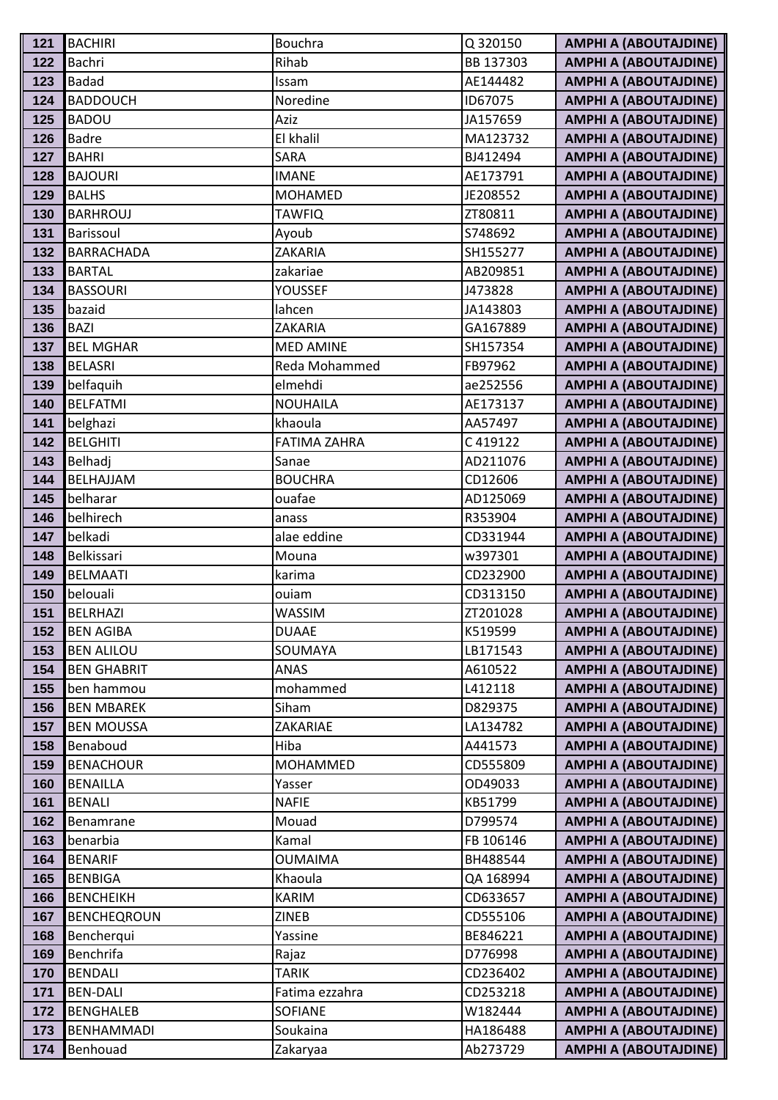| 121        | <b>BACHIRI</b>             | <b>Bouchra</b>        | Q 320150            | <b>AMPHI A (ABOUTAJDINE)</b>                                 |
|------------|----------------------------|-----------------------|---------------------|--------------------------------------------------------------|
| 122        | Bachri                     | Rihab                 | BB 137303           | <b>AMPHI A (ABOUTAJDINE)</b>                                 |
| 123        | <b>Badad</b>               | Issam                 | AE144482            | <b>AMPHI A (ABOUTAJDINE)</b>                                 |
| 124        | <b>BADDOUCH</b>            | Noredine              | ID67075             | <b>AMPHI A (ABOUTAJDINE)</b>                                 |
| 125        | <b>BADOU</b>               | Aziz                  | JA157659            | <b>AMPHI A (ABOUTAJDINE)</b>                                 |
| 126        | <b>Badre</b>               | El khalil             | MA123732            | <b>AMPHI A (ABOUTAJDINE)</b>                                 |
| 127        | <b>BAHRI</b>               | SARA                  | BJ412494            | <b>AMPHI A (ABOUTAJDINE)</b>                                 |
| 128        | <b>BAJOURI</b>             | <b>IMANE</b>          | AE173791            | <b>AMPHI A (ABOUTAJDINE)</b>                                 |
| 129        | <b>BALHS</b>               | <b>MOHAMED</b>        | JE208552            | <b>AMPHI A (ABOUTAJDINE)</b>                                 |
| 130        | <b>BARHROUJ</b>            | <b>TAWFIQ</b>         | ZT80811             | <b>AMPHI A (ABOUTAJDINE)</b>                                 |
| 131        | Barissoul                  | Ayoub                 | S748692             | <b>AMPHI A (ABOUTAJDINE)</b>                                 |
| 132        | <b>BARRACHADA</b>          | ZAKARIA               | SH155277            | <b>AMPHI A (ABOUTAJDINE)</b>                                 |
| 133        | <b>BARTAL</b>              | zakariae              | AB209851            | <b>AMPHI A (ABOUTAJDINE)</b>                                 |
| 134        | <b>BASSOURI</b>            | <b>YOUSSEF</b>        | J473828             | <b>AMPHI A (ABOUTAJDINE)</b>                                 |
| 135        | bazaid                     | lahcen                | JA143803            | <b>AMPHI A (ABOUTAJDINE)</b>                                 |
| 136        | <b>BAZI</b>                | ZAKARIA               | GA167889            | <b>AMPHI A (ABOUTAJDINE)</b>                                 |
| 137        | <b>BEL MGHAR</b>           | <b>MED AMINE</b>      | SH157354            | <b>AMPHI A (ABOUTAJDINE)</b>                                 |
| 138        | <b>BELASRI</b>             | Reda Mohammed         | FB97962             | <b>AMPHI A (ABOUTAJDINE)</b>                                 |
| 139        | belfaquih                  | elmehdi               | ae252556            | <b>AMPHI A (ABOUTAJDINE)</b>                                 |
| 140        | <b>BELFATMI</b>            | <b>NOUHAILA</b>       | AE173137            | <b>AMPHI A (ABOUTAJDINE)</b>                                 |
| 141        | belghazi                   | khaoula               | AA57497             | <b>AMPHI A (ABOUTAJDINE)</b>                                 |
| 142        | <b>BELGHITI</b>            | <b>FATIMA ZAHRA</b>   | C419122             | <b>AMPHI A (ABOUTAJDINE)</b>                                 |
| 143        | Belhadj                    | Sanae                 | AD211076            | <b>AMPHI A (ABOUTAJDINE)</b>                                 |
| 144        | BELHAJJAM                  | <b>BOUCHRA</b>        | CD12606             | <b>AMPHI A (ABOUTAJDINE)</b>                                 |
| 145        | belharar                   | ouafae                | AD125069            | <b>AMPHI A (ABOUTAJDINE)</b>                                 |
| 146        | belhirech                  | anass                 | R353904             | <b>AMPHI A (ABOUTAJDINE)</b>                                 |
| 147        | belkadi                    | alae eddine           | CD331944            | <b>AMPHI A (ABOUTAJDINE)</b>                                 |
| 148        | Belkissari                 | Mouna                 | w397301             | <b>AMPHI A (ABOUTAJDINE)</b>                                 |
| 149        | <b>BELMAATI</b>            | karima                | CD232900            | <b>AMPHI A (ABOUTAJDINE)</b>                                 |
| 150        | belouali                   | ouiam                 | CD313150            | <b>AMPHI A (ABOUTAJDINE)</b>                                 |
| 151        | <b>BELRHAZI</b>            | <b>WASSIM</b>         | ZT201028            | <b>AMPHI A (ABOUTAJDINE)</b>                                 |
| 152        | <b>BEN AGIBA</b>           | <b>DUAAE</b>          | K519599             | <b>AMPHI A (ABOUTAJDINE)</b>                                 |
| 153        | <b>BEN ALILOU</b>          | SOUMAYA               | LB171543            | <b>AMPHI A (ABOUTAJDINE)</b>                                 |
| 154        | <b>BEN GHABRIT</b>         | ANAS                  | A610522             | <b>AMPHI A (ABOUTAJDINE)</b>                                 |
| 155        | ben hammou                 | mohammed              | L412118             | <b>AMPHI A (ABOUTAJDINE)</b>                                 |
| 156        | <b>BEN MBAREK</b>          | Siham                 | D829375             | <b>AMPHI A (ABOUTAJDINE)</b>                                 |
| 157        | <b>BEN MOUSSA</b>          | ZAKARIAE              | LA134782            | <b>AMPHI A (ABOUTAJDINE)</b>                                 |
| 158        | Benaboud                   | Hiba                  | A441573             | <b>AMPHI A (ABOUTAJDINE)</b>                                 |
| 159        | <b>BENACHOUR</b>           | MOHAMMED              | CD555809<br>OD49033 | <b>AMPHI A (ABOUTAJDINE)</b><br><b>AMPHI A (ABOUTAJDINE)</b> |
| 160        | <b>BENAILLA</b>            | Yasser                |                     | <b>AMPHI A (ABOUTAJDINE)</b>                                 |
| 161<br>162 | <b>BENALI</b><br>Benamrane | <b>NAFIE</b><br>Mouad | KB51799<br>D799574  | <b>AMPHI A (ABOUTAJDINE)</b>                                 |
| 163        | benarbia                   | Kamal                 | FB 106146           | <b>AMPHI A (ABOUTAJDINE)</b>                                 |
| 164        | <b>BENARIF</b>             | <b>OUMAIMA</b>        | BH488544            | <b>AMPHI A (ABOUTAJDINE)</b>                                 |
| 165        | <b>BENBIGA</b>             | Khaoula               | QA 168994           | <b>AMPHI A (ABOUTAJDINE)</b>                                 |
| 166        | <b>BENCHEIKH</b>           | <b>KARIM</b>          | CD633657            | <b>AMPHI A (ABOUTAJDINE)</b>                                 |
| 167        | <b>BENCHEQROUN</b>         | ZINEB                 | CD555106            | <b>AMPHI A (ABOUTAJDINE)</b>                                 |
| 168        | Bencherqui                 | Yassine               | BE846221            | <b>AMPHI A (ABOUTAJDINE)</b>                                 |
| 169        | Benchrifa                  | Rajaz                 | D776998             | <b>AMPHI A (ABOUTAJDINE)</b>                                 |
| 170        | <b>BENDALI</b>             | <b>TARIK</b>          | CD236402            | <b>AMPHI A (ABOUTAJDINE)</b>                                 |
| 171        | <b>BEN-DALI</b>            | Fatima ezzahra        | CD253218            | <b>AMPHI A (ABOUTAJDINE)</b>                                 |
| 172        | <b>BENGHALEB</b>           | <b>SOFIANE</b>        | W182444             | <b>AMPHI A (ABOUTAJDINE)</b>                                 |
| 173        | <b>BENHAMMADI</b>          | Soukaina              | HA186488            | <b>AMPHI A (ABOUTAJDINE)</b>                                 |
| 174        | Benhouad                   | Zakaryaa              | Ab273729            | <b>AMPHI A (ABOUTAJDINE)</b>                                 |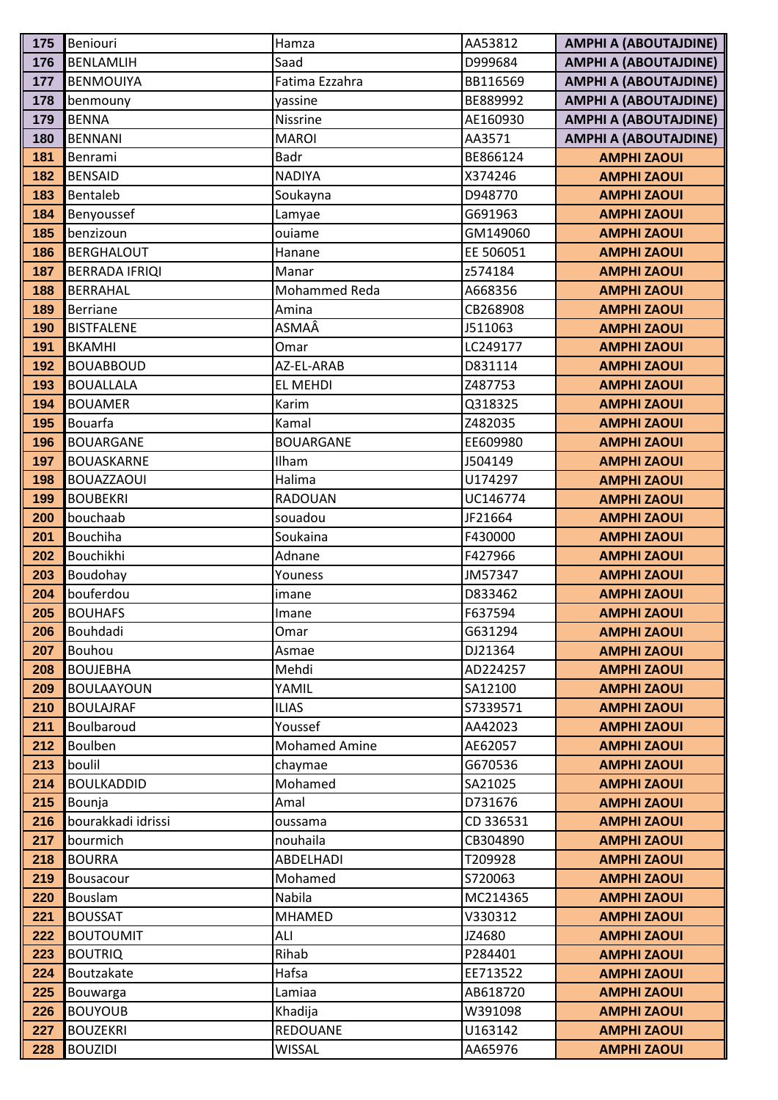| 175        | Beniouri                  | Hamza                | AA53812            | <b>AMPHI A (ABOUTAJDINE)</b>             |
|------------|---------------------------|----------------------|--------------------|------------------------------------------|
| 176        | <b>BENLAMLIH</b>          | Saad                 | D999684            | <b>AMPHI A (ABOUTAJDINE)</b>             |
| 177        | <b>BENMOUIYA</b>          | Fatima Ezzahra       | BB116569           | <b>AMPHI A (ABOUTAJDINE)</b>             |
| 178        | benmouny                  | yassine              | BE889992           | <b>AMPHI A (ABOUTAJDINE)</b>             |
| 179        | <b>BENNA</b>              | Nissrine             | AE160930           | <b>AMPHI A (ABOUTAJDINE)</b>             |
| 180        | <b>BENNANI</b>            | <b>MAROI</b>         | AA3571             | <b>AMPHI A (ABOUTAJDINE)</b>             |
| 181        | Benrami                   | Badr                 | BE866124           | <b>AMPHI ZAOUI</b>                       |
| 182        | <b>BENSAID</b>            | <b>NADIYA</b>        | X374246            | <b>AMPHI ZAOUI</b>                       |
| 183        | Bentaleb                  | Soukayna             | D948770            | <b>AMPHI ZAOUI</b>                       |
| 184        | Benyoussef                | Lamyae               | G691963            | <b>AMPHI ZAOUI</b>                       |
| 185        | benzizoun                 | ouiame               | GM149060           | <b>AMPHI ZAOUI</b>                       |
| 186        | <b>BERGHALOUT</b>         | Hanane               | EE 506051          | <b>AMPHI ZAOUI</b>                       |
| 187        | <b>BERRADA IFRIQI</b>     | Manar                | z574184            | <b>AMPHI ZAOUI</b>                       |
| 188        | <b>BERRAHAL</b>           | Mohammed Reda        | A668356            | <b>AMPHI ZAOUI</b>                       |
| 189        | <b>Berriane</b>           | Amina                | CB268908           | <b>AMPHI ZAOUI</b>                       |
| 190        | <b>BISTFALENE</b>         | ASMAÂ                | J511063            | <b>AMPHI ZAOUI</b>                       |
| 191        | <b>BKAMHI</b>             | Omar                 | LC249177           | <b>AMPHI ZAOUI</b>                       |
| 192        | <b>BOUABBOUD</b>          | AZ-EL-ARAB           | D831114            | <b>AMPHI ZAOUI</b>                       |
| 193        | <b>BOUALLALA</b>          | EL MEHDI             | Z487753            | <b>AMPHI ZAOUI</b>                       |
| 194        | <b>BOUAMER</b>            | Karim                | Q318325            | <b>AMPHI ZAOUI</b>                       |
| 195        | <b>Bouarfa</b>            | Kamal                | Z482035            | <b>AMPHI ZAOUI</b>                       |
| 196        | <b>BOUARGANE</b>          | <b>BOUARGANE</b>     | EE609980           | <b>AMPHI ZAOUI</b>                       |
| 197        | <b>BOUASKARNE</b>         | Ilham                | J504149            | <b>AMPHI ZAOUI</b>                       |
| 198        | <b>BOUAZZAOUI</b>         | Halima               | U174297            | <b>AMPHI ZAOUI</b>                       |
| 199        | <b>BOUBEKRI</b>           | <b>RADOUAN</b>       | UC146774           | <b>AMPHI ZAOUI</b>                       |
| 200        | bouchaab                  | souadou              | JF21664            | <b>AMPHI ZAOUI</b>                       |
| 201        | <b>Bouchiha</b>           | Soukaina             | F430000            | <b>AMPHI ZAOUI</b>                       |
| 202        | Bouchikhi                 | Adnane               | F427966            | <b>AMPHI ZAOUI</b>                       |
| 203        | Boudohay                  | Youness              | JM57347            | <b>AMPHI ZAOUI</b>                       |
| 204        | bouferdou                 | imane                | D833462            | <b>AMPHI ZAOUI</b>                       |
| 205        | <b>BOUHAFS</b>            | Imane                | F637594            | <b>AMPHI ZAOUI</b>                       |
| 206        | Bouhdadi                  | Omar                 | G631294            | <b>AMPHI ZAOUI</b>                       |
| 207        | Bouhou                    | Asmae                | DJ21364            | <b>AMPHI ZAOUI</b>                       |
| 208        | <b>BOUJEBHA</b>           | Mehdi                | AD224257           | <b>AMPHI ZAOUI</b>                       |
| 209        | <b>BOULAAYOUN</b>         | YAMIL                | SA12100            | <b>AMPHI ZAOUI</b>                       |
| 210        | <b>BOULAJRAF</b>          | <b>ILIAS</b>         | S7339571           | <b>AMPHI ZAOUI</b>                       |
| 211        | Boulbaroud                | Youssef              | AA42023            | <b>AMPHI ZAOUI</b>                       |
| 212        | Boulben                   | <b>Mohamed Amine</b> | AE62057            | <b>AMPHI ZAOUI</b>                       |
| 213        | boulil                    | chaymae              | G670536            | <b>AMPHI ZAOUI</b>                       |
| 214        | <b>BOULKADDID</b>         | Mohamed              | SA21025            | <b>AMPHI ZAOUI</b>                       |
| 215        | Bounja                    | Amal                 | D731676            | <b>AMPHI ZAOUI</b>                       |
| 216        | bourakkadi idrissi        | oussama              | CD 336531          | <b>AMPHI ZAOUI</b>                       |
| 217        | bourmich                  | nouhaila             | CB304890           | <b>AMPHI ZAOUI</b>                       |
| 218        | <b>BOURRA</b>             | ABDELHADI            | T209928<br>S720063 | <b>AMPHI ZAOUI</b><br><b>AMPHI ZAOUI</b> |
| 219<br>220 | Bousacour                 | Mohamed<br>Nabila    | MC214365           |                                          |
| 221        | Bouslam<br><b>BOUSSAT</b> | MHAMED               | V330312            | <b>AMPHI ZAOUI</b><br><b>AMPHI ZAOUI</b> |
| 222        | <b>BOUTOUMIT</b>          | ALI                  | JZ4680             | <b>AMPHI ZAOUI</b>                       |
| 223        | <b>BOUTRIQ</b>            | Rihab                | P284401            |                                          |
| 224        | Boutzakate                | Hafsa                | EE713522           | <b>AMPHI ZAOUI</b><br><b>AMPHI ZAOUI</b> |
| 225        | Bouwarga                  | Lamiaa               | AB618720           | <b>AMPHI ZAOUI</b>                       |
| 226        | <b>BOUYOUB</b>            | Khadija              | W391098            | <b>AMPHI ZAOUI</b>                       |
| 227        | <b>BOUZEKRI</b>           | REDOUANE             | U163142            | <b>AMPHI ZAOUI</b>                       |
| 228        | <b>BOUZIDI</b>            | <b>WISSAL</b>        | AA65976            | <b>AMPHI ZAOUI</b>                       |
|            |                           |                      |                    |                                          |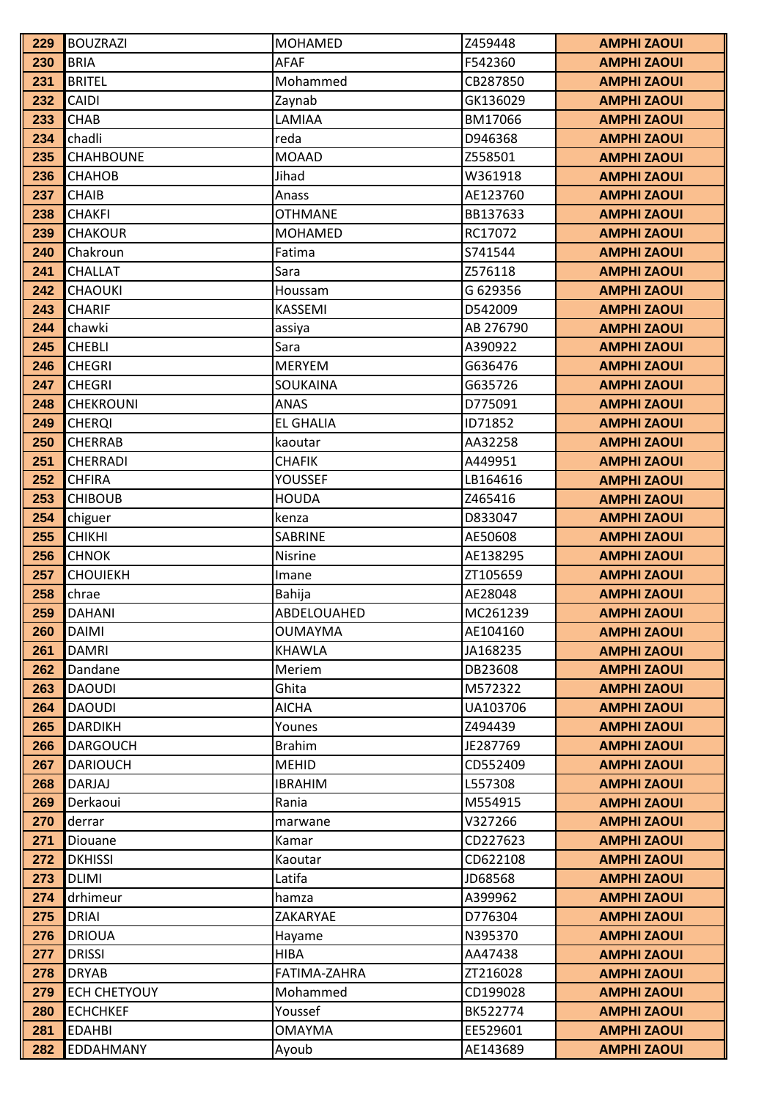| 229        | <b>BOUZRAZI</b>               | <b>MOHAMED</b>        | Z459448            | <b>AMPHI ZAOUI</b>                       |
|------------|-------------------------------|-----------------------|--------------------|------------------------------------------|
| 230        | <b>BRIA</b>                   | <b>AFAF</b>           | F542360            | <b>AMPHI ZAOUI</b>                       |
| 231        | <b>BRITEL</b>                 | Mohammed              | CB287850           | <b>AMPHI ZAOUI</b>                       |
| 232        | <b>CAIDI</b>                  | Zaynab                | GK136029           | <b>AMPHI ZAOUI</b>                       |
| 233        | <b>CHAB</b>                   | LAMIAA                | BM17066            | <b>AMPHI ZAOUI</b>                       |
| 234        | chadli                        | reda                  | D946368            | <b>AMPHI ZAOUI</b>                       |
| 235        | <b>CHAHBOUNE</b>              | <b>MOAAD</b>          | Z558501            | <b>AMPHI ZAOUI</b>                       |
| 236        | <b>CHAHOB</b>                 | Jihad                 | W361918            | <b>AMPHI ZAOUI</b>                       |
| 237        | <b>CHAIB</b>                  | Anass                 | AE123760           | <b>AMPHI ZAOUI</b>                       |
| 238        | <b>CHAKFI</b>                 | <b>OTHMANE</b>        | BB137633           | <b>AMPHI ZAOUI</b>                       |
| 239        | <b>CHAKOUR</b>                | <b>MOHAMED</b>        | RC17072            | <b>AMPHI ZAOUI</b>                       |
| 240        | Chakroun                      | Fatima                | S741544            | <b>AMPHI ZAOUI</b>                       |
| 241        | <b>CHALLAT</b>                | Sara                  | Z576118            | <b>AMPHI ZAOUI</b>                       |
| 242        | <b>CHAOUKI</b>                | Houssam               | G 629356           | <b>AMPHI ZAOUI</b>                       |
| 243        | <b>CHARIF</b>                 | KASSEMI               | D542009            | <b>AMPHI ZAOUI</b>                       |
| 244        | chawki                        | assiya                | AB 276790          | <b>AMPHI ZAOUI</b>                       |
| 245        | <b>CHEBLI</b>                 | Sara                  | A390922            | <b>AMPHI ZAOUI</b>                       |
| 246        | <b>CHEGRI</b>                 | <b>MERYEM</b>         | G636476            | <b>AMPHI ZAOUI</b>                       |
| 247        | <b>CHEGRI</b>                 | SOUKAINA              | G635726            | <b>AMPHI ZAOUI</b>                       |
| 248        | <b>CHEKROUNI</b>              | <b>ANAS</b>           | D775091            | <b>AMPHI ZAOUI</b>                       |
| 249        | <b>CHERQI</b>                 | <b>EL GHALIA</b>      | ID71852            | <b>AMPHI ZAOUI</b>                       |
| 250        | <b>CHERRAB</b>                | kaoutar               | AA32258            | <b>AMPHI ZAOUI</b>                       |
| 251        | <b>CHERRADI</b>               | <b>CHAFIK</b>         | A449951            | <b>AMPHI ZAOUI</b>                       |
| 252        | <b>CHFIRA</b>                 | <b>YOUSSEF</b>        | LB164616           | <b>AMPHI ZAOUI</b>                       |
| 253        | <b>CHIBOUB</b>                | <b>HOUDA</b>          | Z465416            | <b>AMPHI ZAOUI</b>                       |
| 254        | chiguer                       | kenza                 | D833047            | <b>AMPHI ZAOUI</b>                       |
| 255        | <b>CHIKHI</b>                 | <b>SABRINE</b>        | AE50608            | <b>AMPHI ZAOUI</b>                       |
| 256        | <b>CHNOK</b>                  | <b>Nisrine</b>        | AE138295           | <b>AMPHI ZAOUI</b>                       |
| 257        | <b>CHOUIEKH</b>               | Imane                 | ZT105659           | <b>AMPHI ZAOUI</b>                       |
| 258        | chrae                         | Bahija                | AE28048            | <b>AMPHI ZAOUI</b>                       |
| 259        | <b>DAHANI</b>                 | ABDELOUAHED           | MC261239           | <b>AMPHI ZAOUI</b>                       |
| 260        | <b>DAIMI</b>                  | <b>OUMAYMA</b>        | AE104160           | <b>AMPHI ZAOUI</b>                       |
| 261        | <b>DAMRI</b>                  | KHAWLA                | JA168235           | <b>AMPHI ZAOUI</b>                       |
| 262        | Dandane                       | Meriem                | DB23608            | <b>AMPHI ZAOUI</b>                       |
| 263        | <b>DAOUDI</b>                 | Ghita                 | M572322            | <b>AMPHI ZAOUI</b>                       |
| 264        | <b>DAOUDI</b>                 | <b>AICHA</b>          | UA103706           | <b>AMPHI ZAOUI</b>                       |
| 265        | <b>DARDIKH</b>                | Younes                | Z494439            | <b>AMPHI ZAOUI</b>                       |
| 266        | <b>DARGOUCH</b>               | <b>Brahim</b>         | JE287769           | <b>AMPHI ZAOUI</b>                       |
| 267        | <b>DARIOUCH</b>               | <b>MEHID</b>          | CD552409           | <b>AMPHI ZAOUI</b>                       |
| 268        | DARJAJ                        | <b>IBRAHIM</b>        | L557308            | <b>AMPHI ZAOUI</b>                       |
| 269        | Derkaoui                      | Rania                 | M554915            | <b>AMPHI ZAOUI</b>                       |
| 270        | derrar                        | marwane               | V327266            | <b>AMPHI ZAOUI</b>                       |
| 271        | Diouane                       | Kamar                 | CD227623           | <b>AMPHI ZAOUI</b>                       |
| 272        | <b>DKHISSI</b>                | Kaoutar               | CD622108           | <b>AMPHI ZAOUI</b>                       |
| 273        | <b>DLIMI</b>                  | Latifa                | JD68568            | <b>AMPHI ZAOUI</b>                       |
| 274        | drhimeur                      | hamza                 | A399962            | <b>AMPHI ZAOUI</b>                       |
| 275        | <b>DRIAI</b><br><b>DRIOUA</b> | ZAKARYAE              | D776304            | <b>AMPHI ZAOUI</b>                       |
| 276<br>277 | <b>DRISSI</b>                 | Hayame<br><b>HIBA</b> | N395370<br>AA47438 | <b>AMPHI ZAOUI</b><br><b>AMPHI ZAOUI</b> |
| 278        | <b>DRYAB</b>                  | FATIMA-ZAHRA          | ZT216028           | <b>AMPHI ZAOUI</b>                       |
| 279        | <b>ECH CHETYOUY</b>           | Mohammed              | CD199028           | <b>AMPHI ZAOUI</b>                       |
| 280        | <b>ECHCHKEF</b>               | Youssef               | BK522774           | <b>AMPHI ZAOUI</b>                       |
| 281        | <b>EDAHBI</b>                 | <b>OMAYMA</b>         | EE529601           | <b>AMPHI ZAOUI</b>                       |
| 282        | EDDAHMANY                     | Ayoub                 | AE143689           | <b>AMPHI ZAOUI</b>                       |
|            |                               |                       |                    |                                          |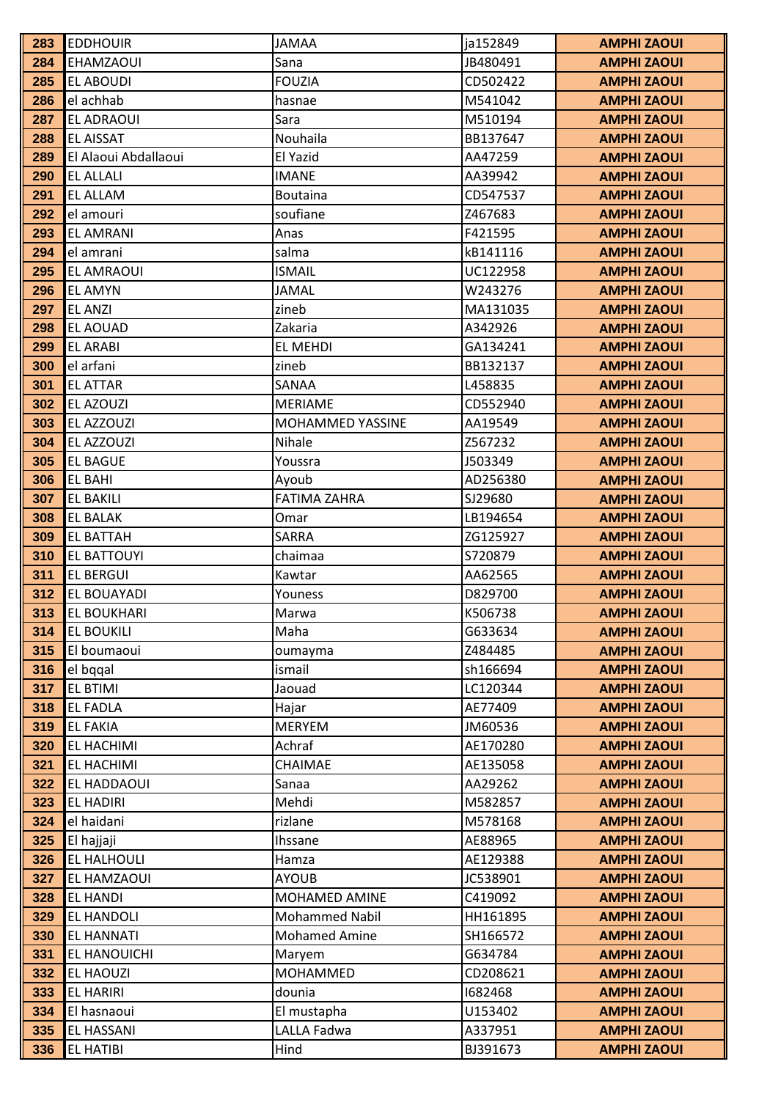| 283        | <b>EDDHOUIR</b>                      | <b>JAMAA</b>          | ja152849             | <b>AMPHI ZAOUI</b>                       |
|------------|--------------------------------------|-----------------------|----------------------|------------------------------------------|
| 284        | EHAMZAOUI                            | Sana                  | JB480491             | <b>AMPHI ZAOUI</b>                       |
| 285        | <b>EL ABOUDI</b>                     | <b>FOUZIA</b>         | CD502422             | <b>AMPHI ZAOUI</b>                       |
| 286        | el achhab                            | hasnae                | M541042              | <b>AMPHI ZAOUI</b>                       |
| 287        | EL ADRAOUI                           | Sara                  | M510194              | <b>AMPHI ZAOUI</b>                       |
| 288        | <b>EL AISSAT</b>                     | Nouhaila              | BB137647             | <b>AMPHI ZAOUI</b>                       |
| 289        | El Alaoui Abdallaoui                 | El Yazid              | AA47259              | <b>AMPHI ZAOUI</b>                       |
| 290        | <b>EL ALLALI</b>                     | <b>IMANE</b>          | AA39942              | <b>AMPHI ZAOUI</b>                       |
| 291        | <b>EL ALLAM</b>                      | <b>Boutaina</b>       | CD547537             | <b>AMPHI ZAOUI</b>                       |
| 292        | el amouri                            | soufiane              | Z467683              | <b>AMPHI ZAOUI</b>                       |
| 293        | <b>EL AMRANI</b>                     | Anas                  | F421595              | <b>AMPHI ZAOUI</b>                       |
| 294        | el amrani                            | salma                 | kB141116             | <b>AMPHI ZAOUI</b>                       |
| 295        | EL AMRAOUI                           | <b>ISMAIL</b>         | UC122958             | <b>AMPHI ZAOUI</b>                       |
| 296        | <b>EL AMYN</b>                       | <b>JAMAL</b>          | W243276              | <b>AMPHI ZAOUI</b>                       |
| 297        | <b>EL ANZI</b>                       | zineb                 | MA131035             | <b>AMPHI ZAOUI</b>                       |
| 298        | <b>EL AOUAD</b>                      | Zakaria               | A342926              | <b>AMPHI ZAOUI</b>                       |
| 299        | <b>EL ARABI</b>                      | EL MEHDI              | GA134241             | <b>AMPHI ZAOUI</b>                       |
| 300        | el arfani                            | zineb                 | BB132137             | <b>AMPHI ZAOUI</b>                       |
| 301        | <b>EL ATTAR</b>                      | SANAA                 | L458835              | <b>AMPHI ZAOUI</b>                       |
| 302        | EL AZOUZI                            | <b>MERIAME</b>        | CD552940             | <b>AMPHI ZAOUI</b>                       |
| 303        | EL AZZOUZI                           | MOHAMMED YASSINE      | AA19549              | <b>AMPHI ZAOUI</b>                       |
| 304        | EL AZZOUZI                           | Nihale                | Z567232              | <b>AMPHI ZAOUI</b>                       |
| 305        | <b>EL BAGUE</b>                      | Youssra               | J503349              | <b>AMPHI ZAOUI</b>                       |
| 306        | EL BAHI                              | Ayoub                 | AD256380             | <b>AMPHI ZAOUI</b>                       |
| 307        | <b>EL BAKILI</b>                     | <b>FATIMA ZAHRA</b>   | SJ29680              | <b>AMPHI ZAOUI</b>                       |
| 308        | <b>EL BALAK</b>                      | Omar                  | LB194654             | <b>AMPHI ZAOUI</b>                       |
| 309        | <b>EL BATTAH</b>                     | SARRA                 | ZG125927             | <b>AMPHI ZAOUI</b>                       |
| 310        | EL BATTOUYI                          | chaimaa               | S720879              | <b>AMPHI ZAOUI</b>                       |
| 311        | EL BERGUI                            | Kawtar                | AA62565              | <b>AMPHI ZAOUI</b>                       |
| 312        | EL BOUAYADI                          | Youness               | D829700              | <b>AMPHI ZAOUI</b>                       |
| 313        | <b>EL BOUKHARI</b>                   | Marwa                 | K506738              | <b>AMPHI ZAOUI</b>                       |
| 314        | <b>EL BOUKILI</b>                    | Maha                  | G633634              | <b>AMPHI ZAOUI</b>                       |
| 315        | El boumaoui                          | oumayma               | Z484485              | <b>AMPHI ZAOUI</b>                       |
| 316        | el bqqal                             | ismail                | sh166694             | <b>AMPHI ZAOUI</b>                       |
| 317        | EL BTIMI                             | Jaouad                | LC120344             | <b>AMPHI ZAOUI</b>                       |
| 318        | <b>EL FADLA</b>                      | Hajar                 | AE77409              | <b>AMPHI ZAOUI</b>                       |
| 319        | <b>EL FAKIA</b>                      | <b>MERYEM</b>         | JM60536              | <b>AMPHI ZAOUI</b>                       |
| 320        | EL HACHIMI                           | Achraf                | AE170280             | <b>AMPHI ZAOUI</b>                       |
| 321        | EL HACHIMI                           | CHAIMAE               | AE135058             | <b>AMPHI ZAOUI</b>                       |
| 322        | EL HADDAOUI                          | Sanaa                 | AA29262              | <b>AMPHI ZAOUI</b>                       |
| 323        | <b>EL HADIRI</b>                     | Mehdi                 | M582857              | <b>AMPHI ZAOUI</b>                       |
| 324        | el haidani                           | rizlane               | M578168              | <b>AMPHI ZAOUI</b>                       |
| 325        | El hajjaji                           | Ihssane               | AE88965              | <b>AMPHI ZAOUI</b>                       |
| 326<br>327 | EL HALHOULI                          | Hamza<br><b>AYOUB</b> | AE129388<br>JC538901 | <b>AMPHI ZAOUI</b>                       |
|            | EL HAMZAOUI                          | MOHAMED AMINE         | C419092              | <b>AMPHI ZAOUI</b>                       |
| 328<br>329 | <b>EL HANDI</b><br><b>EL HANDOLI</b> | <b>Mohammed Nabil</b> | HH161895             | <b>AMPHI ZAOUI</b><br><b>AMPHI ZAOUI</b> |
| 330        | <b>EL HANNATI</b>                    | <b>Mohamed Amine</b>  | SH166572             | <b>AMPHI ZAOUI</b>                       |
| 331        | EL HANOUICHI                         |                       | G634784              | <b>AMPHI ZAOUI</b>                       |
| 332        | EL HAOUZI                            | Maryem<br>MOHAMMED    | CD208621             | <b>AMPHI ZAOUI</b>                       |
| 333        | <b>EL HARIRI</b>                     | dounia                | 1682468              | <b>AMPHI ZAOUI</b>                       |
| 334        | El hasnaoui                          | El mustapha           | U153402              | <b>AMPHI ZAOUI</b>                       |
| 335        | EL HASSANI                           | LALLA Fadwa           | A337951              | <b>AMPHI ZAOUI</b>                       |
| 336        | EL HATIBI                            | Hind                  | BJ391673             | <b>AMPHI ZAOUI</b>                       |
|            |                                      |                       |                      |                                          |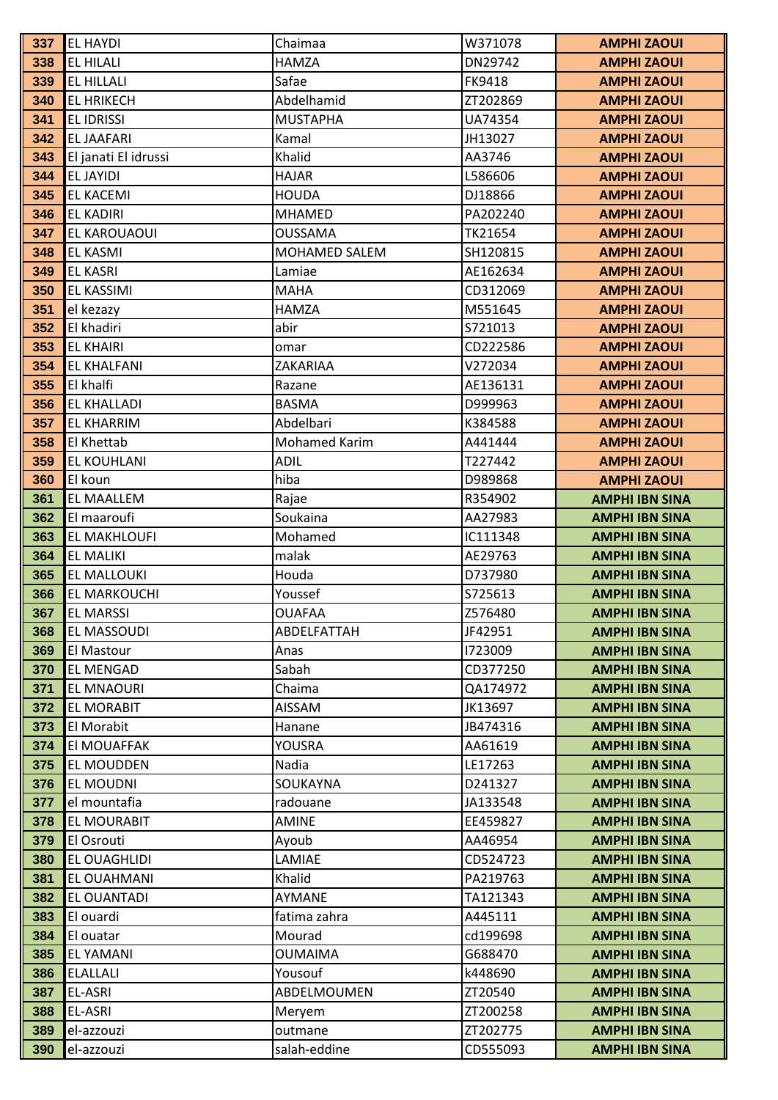| 337 | <b>EL HAYDI</b>      | Chaimaa         | W371078  | <b>AMPHI ZAOUI</b>    |
|-----|----------------------|-----------------|----------|-----------------------|
| 338 | <b>EL HILALI</b>     | <b>HAMZA</b>    | DN29742  | <b>AMPHI ZAOUI</b>    |
| 339 | <b>EL HILLALI</b>    | Safae           | FK9418   | <b>AMPHI ZAOUI</b>    |
| 340 | <b>EL HRIKECH</b>    | Abdelhamid      | ZT202869 | <b>AMPHI ZAOUI</b>    |
| 341 | <b>EL IDRISSI</b>    | <b>MUSTAPHA</b> | UA74354  | <b>AMPHI ZAOUI</b>    |
| 342 | <b>EL JAAFARI</b>    | Kamal           | JH13027  | <b>AMPHI ZAOUI</b>    |
| 343 | El janati El idrussi | Khalid          | AA3746   | <b>AMPHI ZAOUI</b>    |
| 344 | <b>EL JAYIDI</b>     | <b>HAJAR</b>    | L586606  | <b>AMPHI ZAOUI</b>    |
| 345 | <b>EL KACEMI</b>     | <b>HOUDA</b>    | DJ18866  | <b>AMPHI ZAOUI</b>    |
| 346 | <b>EL KADIRI</b>     | <b>MHAMED</b>   | PA202240 | <b>AMPHI ZAOUI</b>    |
| 347 | EL KAROUAOUI         | <b>OUSSAMA</b>  | TK21654  | <b>AMPHI ZAOUI</b>    |
| 348 | <b>EL KASMI</b>      | MOHAMED SALEM   | SH120815 | <b>AMPHI ZAOUI</b>    |
| 349 | <b>EL KASRI</b>      | Lamiae          | AE162634 | <b>AMPHI ZAOUI</b>    |
| 350 | EL KASSIMI           | <b>MAHA</b>     | CD312069 | <b>AMPHI ZAOUI</b>    |
| 351 | el kezazy            | <b>HAMZA</b>    | M551645  | <b>AMPHI ZAOUI</b>    |
| 352 | El khadiri           | abir            | S721013  | <b>AMPHI ZAOUI</b>    |
| 353 | <b>EL KHAIRI</b>     | omar            | CD222586 | <b>AMPHI ZAOUI</b>    |
| 354 | <b>EL KHALFANI</b>   | ZAKARIAA        | V272034  | <b>AMPHI ZAOUI</b>    |
| 355 | El khalfi            | Razane          | AE136131 | <b>AMPHI ZAOUI</b>    |
| 356 | <b>EL KHALLADI</b>   | <b>BASMA</b>    | D999963  | <b>AMPHI ZAOUI</b>    |
| 357 | EL KHARRIM           | Abdelbari       | K384588  | <b>AMPHI ZAOUI</b>    |
| 358 | El Khettab           | Mohamed Karim   | A441444  | <b>AMPHI ZAOUI</b>    |
| 359 | EL KOUHLANI          | <b>ADIL</b>     | T227442  | <b>AMPHI ZAOUI</b>    |
| 360 | El koun              | hiba            | D989868  | <b>AMPHI ZAOUI</b>    |
| 361 | EL MAALLEM           | Rajae           | R354902  | <b>AMPHI IBN SINA</b> |
| 362 | El maaroufi          | Soukaina        | AA27983  | <b>AMPHI IBN SINA</b> |
| 363 | EL MAKHLOUFI         | Mohamed         | IC111348 | <b>AMPHI IBN SINA</b> |
| 364 | <b>EL MALIKI</b>     | malak           | AE29763  | <b>AMPHI IBN SINA</b> |
| 365 | EL MALLOUKI          | Houda           | D737980  | <b>AMPHI IBN SINA</b> |
| 366 | EL MARKOUCHI         | Youssef         | S725613  | <b>AMPHI IBN SINA</b> |
| 367 | <b>EL MARSSI</b>     | <b>OUAFAA</b>   | Z576480  | <b>AMPHI IBN SINA</b> |
| 368 | EL MASSOUDI          | ABDELFATTAH     | JF42951  | <b>AMPHI IBN SINA</b> |
| 369 | El Mastour           | Anas            | 1723009  | <b>AMPHI IBN SINA</b> |
| 370 | <b>EL MENGAD</b>     | Sabah           | CD377250 | <b>AMPHI IBN SINA</b> |
| 371 | <b>EL MNAOURI</b>    | Chaima          | QA174972 | <b>AMPHI IBN SINA</b> |
| 372 | <b>EL MORABIT</b>    | <b>AISSAM</b>   | JK13697  | <b>AMPHI IBN SINA</b> |
| 373 | El Morabit           | Hanane          | JB474316 | <b>AMPHI IBN SINA</b> |
| 374 | El MOUAFFAK          | YOUSRA          | AA61619  | <b>AMPHI IBN SINA</b> |
| 375 | EL MOUDDEN           | Nadia           | LE17263  | <b>AMPHI IBN SINA</b> |
| 376 | <b>EL MOUDNI</b>     | SOUKAYNA        | D241327  | <b>AMPHI IBN SINA</b> |
| 377 | el mountafia         | radouane        | JA133548 | <b>AMPHI IBN SINA</b> |
| 378 | EL MOURABIT          | AMINE           | EE459827 | <b>AMPHI IBN SINA</b> |
| 379 | El Osrouti           | Ayoub           | AA46954  | <b>AMPHI IBN SINA</b> |
| 380 | EL OUAGHLIDI         | LAMIAE          | CD524723 | <b>AMPHI IBN SINA</b> |
| 381 | EL OUAHMANI          | Khalid          | PA219763 | <b>AMPHI IBN SINA</b> |
| 382 | EL OUANTADI          | AYMANE          | TA121343 | <b>AMPHI IBN SINA</b> |
| 383 | El ouardi            | fatima zahra    | A445111  | <b>AMPHI IBN SINA</b> |
| 384 | El ouatar            | Mourad          | cd199698 | <b>AMPHI IBN SINA</b> |
| 385 | <b>EL YAMANI</b>     | <b>OUMAIMA</b>  | G688470  | <b>AMPHI IBN SINA</b> |
| 386 | <b>ELALLALI</b>      | Yousouf         | k448690  | <b>AMPHI IBN SINA</b> |
| 387 | EL-ASRI              | ABDELMOUMEN     | ZT20540  | <b>AMPHI IBN SINA</b> |
| 388 | EL-ASRI              | Meryem          | ZT200258 | <b>AMPHI IBN SINA</b> |
| 389 | el-azzouzi           | outmane         | ZT202775 | <b>AMPHI IBN SINA</b> |
| 390 | el-azzouzi           | salah-eddine    | CD555093 | <b>AMPHI IBN SINA</b> |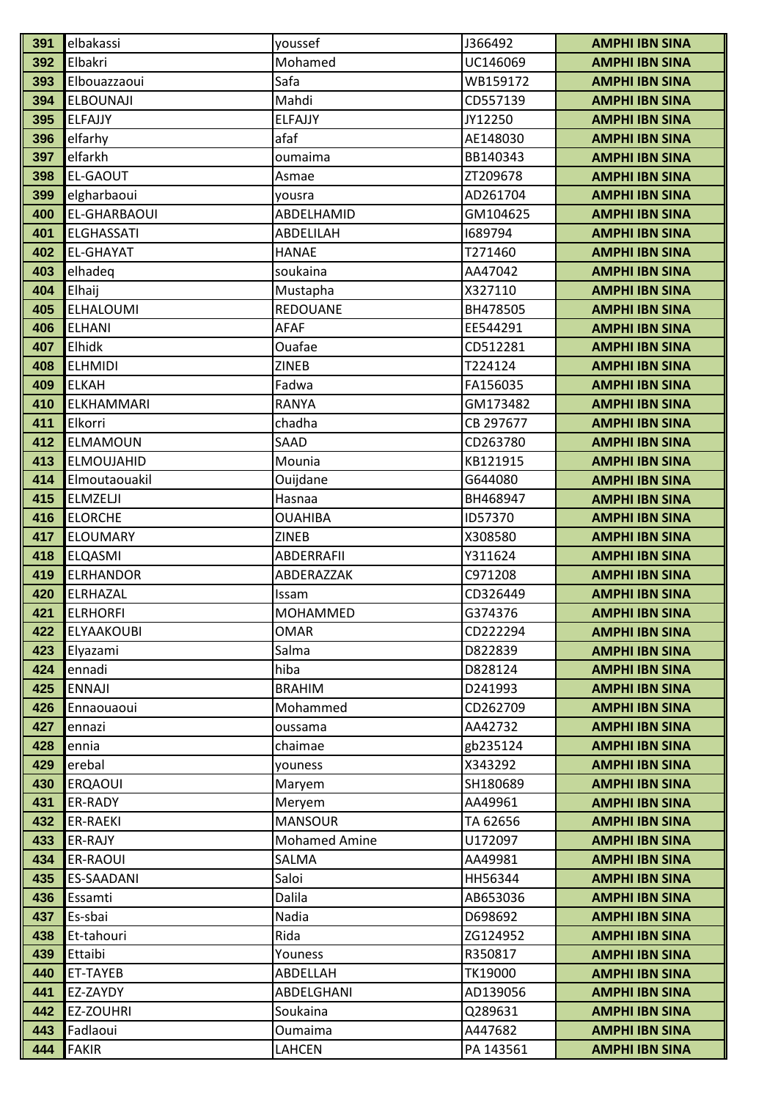| 391        | elbakassi           | youssef              | J366492             | <b>AMPHI IBN SINA</b>                          |
|------------|---------------------|----------------------|---------------------|------------------------------------------------|
| 392        | Elbakri             | Mohamed              | UC146069            | <b>AMPHI IBN SINA</b>                          |
| 393        | Elbouazzaoui        | Safa                 | WB159172            | <b>AMPHI IBN SINA</b>                          |
| 394        | <b>ELBOUNAJI</b>    | Mahdi                | CD557139            | <b>AMPHI IBN SINA</b>                          |
| 395        | ELFAJJY             | <b>ELFAJJY</b>       | JY12250             | <b>AMPHI IBN SINA</b>                          |
| 396        | elfarhy             | afaf                 | AE148030            | <b>AMPHI IBN SINA</b>                          |
| 397        | elfarkh             | oumaima              | BB140343            | <b>AMPHI IBN SINA</b>                          |
| 398        | <b>EL-GAOUT</b>     | Asmae                | ZT209678            | <b>AMPHI IBN SINA</b>                          |
| 399        | elgharbaoui         | yousra               | AD261704            | <b>AMPHI IBN SINA</b>                          |
| 400        | <b>EL-GHARBAOUI</b> | ABDELHAMID           | GM104625            | <b>AMPHI IBN SINA</b>                          |
| 401        | <b>ELGHASSATI</b>   | ABDELILAH            | 1689794             | <b>AMPHI IBN SINA</b>                          |
| 402        | <b>EL-GHAYAT</b>    | <b>HANAE</b>         | T271460             | <b>AMPHI IBN SINA</b>                          |
| 403        | elhadeq             | soukaina             | AA47042             | <b>AMPHI IBN SINA</b>                          |
| 404        | Elhaij              | Mustapha             | X327110             | <b>AMPHI IBN SINA</b>                          |
| 405        | <b>ELHALOUMI</b>    | <b>REDOUANE</b>      | BH478505            | <b>AMPHI IBN SINA</b>                          |
| 406        | <b>ELHANI</b>       | <b>AFAF</b>          | EE544291            | <b>AMPHI IBN SINA</b>                          |
| 407        | Elhidk              | Ouafae               | CD512281            | <b>AMPHI IBN SINA</b>                          |
| 408        | <b>ELHMIDI</b>      | <b>ZINEB</b>         | T224124             | <b>AMPHI IBN SINA</b>                          |
| 409        | <b>ELKAH</b>        | Fadwa                | FA156035            | <b>AMPHI IBN SINA</b>                          |
| 410        | ELKHAMMARI          | <b>RANYA</b>         | GM173482            | <b>AMPHI IBN SINA</b>                          |
| 411        | Elkorri             | chadha               | CB 297677           | <b>AMPHI IBN SINA</b>                          |
| 412        | ELMAMOUN            | SAAD                 | CD263780            | <b>AMPHI IBN SINA</b>                          |
| 413        | <b>ELMOUJAHID</b>   | Mounia               | KB121915            | <b>AMPHI IBN SINA</b>                          |
| 414        | Elmoutaouakil       | Ouijdane             | G644080             | <b>AMPHI IBN SINA</b>                          |
| 415        | <b>ELMZELJI</b>     | Hasnaa               | BH468947            | <b>AMPHI IBN SINA</b>                          |
| 416        | <b>ELORCHE</b>      | <b>OUAHIBA</b>       | ID57370             | <b>AMPHI IBN SINA</b>                          |
| 417        | <b>ELOUMARY</b>     | ZINEB                | X308580             | <b>AMPHI IBN SINA</b>                          |
| 418        | <b>ELQASMI</b>      | ABDERRAFII           | Y311624             | <b>AMPHI IBN SINA</b>                          |
| 419        | <b>ELRHANDOR</b>    | ABDERAZZAK           | C971208             | <b>AMPHI IBN SINA</b>                          |
| 420        | ELRHAZAL            | Issam                | CD326449            | <b>AMPHI IBN SINA</b>                          |
| 421        | <b>ELRHORFI</b>     | <b>MOHAMMED</b>      | G374376             | <b>AMPHI IBN SINA</b>                          |
| 422        | <b>ELYAAKOUBI</b>   | <b>OMAR</b>          | CD222294            | <b>AMPHI IBN SINA</b>                          |
| 423        | Elyazami            | Salma                | D822839             | <b>AMPHI IBN SINA</b>                          |
| 424        | ennadi              | hiba                 | D828124             | <b>AMPHI IBN SINA</b>                          |
| 425        | <b>ENNAJI</b>       | <b>BRAHIM</b>        | D241993             | <b>AMPHI IBN SINA</b>                          |
| 426        | Ennaouaoui          | Mohammed             | CD262709            | <b>AMPHI IBN SINA</b>                          |
| 427        | ennazi              | oussama              | AA42732             | <b>AMPHI IBN SINA</b>                          |
| 428<br>429 | ennia<br>erebal     | chaimae              | gb235124<br>X343292 | <b>AMPHI IBN SINA</b>                          |
| 430        | <b>ERQAOUI</b>      | youness<br>Maryem    | SH180689            | <b>AMPHI IBN SINA</b><br><b>AMPHI IBN SINA</b> |
| 431        | ER-RADY             | Meryem               | AA49961             | <b>AMPHI IBN SINA</b>                          |
| 432        | ER-RAEKI            | <b>MANSOUR</b>       | TA 62656            | <b>AMPHI IBN SINA</b>                          |
| 433        | ER-RAJY             | <b>Mohamed Amine</b> | U172097             | <b>AMPHI IBN SINA</b>                          |
| 434        | ER-RAOUI            | SALMA                | AA49981             | <b>AMPHI IBN SINA</b>                          |
| 435        | <b>ES-SAADANI</b>   | Saloi                | HH56344             | <b>AMPHI IBN SINA</b>                          |
| 436        | Essamti             | Dalila               | AB653036            | <b>AMPHI IBN SINA</b>                          |
| 437        | Es-sbai             | Nadia                | D698692             | <b>AMPHI IBN SINA</b>                          |
| 438        | Et-tahouri          | Rida                 | ZG124952            | <b>AMPHI IBN SINA</b>                          |
| 439        | Ettaibi             | Youness              | R350817             | <b>AMPHI IBN SINA</b>                          |
| 440        | ET-TAYEB            | ABDELLAH             | TK19000             | <b>AMPHI IBN SINA</b>                          |
| 441        | EZ-ZAYDY            | ABDELGHANI           | AD139056            | <b>AMPHI IBN SINA</b>                          |
| 442        | EZ-ZOUHRI           | Soukaina             | Q289631             | <b>AMPHI IBN SINA</b>                          |
| 443        | Fadlaoui            | Oumaima              | A447682             | <b>AMPHI IBN SINA</b>                          |
| 444        | <b>FAKIR</b>        | LAHCEN               | PA 143561           | <b>AMPHI IBN SINA</b>                          |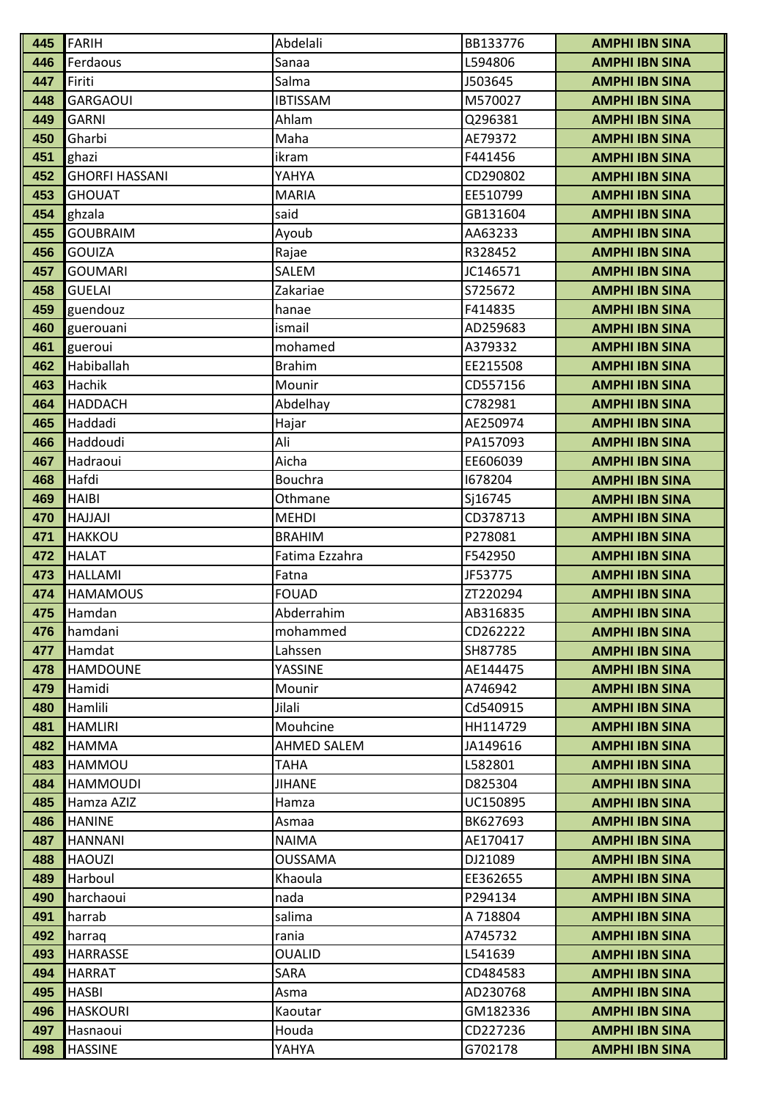| 445        | <b>FARIH</b>                | Abdelali              | BB133776             | <b>AMPHI IBN SINA</b>                          |
|------------|-----------------------------|-----------------------|----------------------|------------------------------------------------|
| 446        | Ferdaous                    | Sanaa                 | L594806              | <b>AMPHI IBN SINA</b>                          |
| 447        | Firiti                      | Salma                 | J503645              | <b>AMPHI IBN SINA</b>                          |
| 448        | <b>GARGAOUI</b>             | <b>IBTISSAM</b>       | M570027              | <b>AMPHI IBN SINA</b>                          |
| 449        | <b>GARNI</b>                | Ahlam                 | Q296381              | <b>AMPHI IBN SINA</b>                          |
| 450        | Gharbi                      | Maha                  | AE79372              | <b>AMPHI IBN SINA</b>                          |
| 451        | ghazi                       | ikram                 | F441456              | <b>AMPHI IBN SINA</b>                          |
| 452        | <b>GHORFI HASSANI</b>       | YAHYA                 | CD290802             | <b>AMPHI IBN SINA</b>                          |
| 453        | <b>GHOUAT</b>               | <b>MARIA</b>          | EE510799             | <b>AMPHI IBN SINA</b>                          |
| 454        | ghzala                      | said                  | GB131604             | <b>AMPHI IBN SINA</b>                          |
| 455        | <b>GOUBRAIM</b>             | Ayoub                 | AA63233              | <b>AMPHI IBN SINA</b>                          |
| 456        | <b>GOUIZA</b>               | Rajae                 | R328452              | <b>AMPHI IBN SINA</b>                          |
| 457        | <b>GOUMARI</b>              | SALEM                 | JC146571             | <b>AMPHI IBN SINA</b>                          |
| 458        | <b>GUELAI</b>               | Zakariae              | S725672              | <b>AMPHI IBN SINA</b>                          |
| 459        | guendouz                    | hanae                 | F414835              | <b>AMPHI IBN SINA</b>                          |
| 460        | guerouani                   | ismail                | AD259683             | <b>AMPHI IBN SINA</b>                          |
| 461        | gueroui                     | mohamed               | A379332              | <b>AMPHI IBN SINA</b>                          |
| 462        | Habiballah                  | <b>Brahim</b>         | EE215508             | <b>AMPHI IBN SINA</b>                          |
| 463        | Hachik                      | Mounir                | CD557156             | <b>AMPHI IBN SINA</b>                          |
| 464        | <b>HADDACH</b>              | Abdelhay              | C782981              | <b>AMPHI IBN SINA</b>                          |
| 465        | Haddadi                     | Hajar                 | AE250974             | <b>AMPHI IBN SINA</b>                          |
| 466        | Haddoudi                    | Ali                   | PA157093             | <b>AMPHI IBN SINA</b>                          |
| 467        | Hadraoui                    | Aicha                 | EE606039             | <b>AMPHI IBN SINA</b>                          |
| 468        | Hafdi                       | <b>Bouchra</b>        | 1678204              | <b>AMPHI IBN SINA</b>                          |
| 469        | <b>HAIBI</b>                | Othmane               | Sj16745              | <b>AMPHI IBN SINA</b>                          |
| 470        | HAJJAJI                     | <b>MEHDI</b>          | CD378713             | <b>AMPHI IBN SINA</b>                          |
| 471        | <b>HAKKOU</b>               | <b>BRAHIM</b>         | P278081              | <b>AMPHI IBN SINA</b>                          |
| 472        | <b>HALAT</b>                | Fatima Ezzahra        | F542950              | <b>AMPHI IBN SINA</b>                          |
| 473        | HALLAMI                     | Fatna                 | JF53775              | <b>AMPHI IBN SINA</b>                          |
| 474        | <b>HAMAMOUS</b>             | <b>FOUAD</b>          | ZT220294             | <b>AMPHI IBN SINA</b>                          |
| 475        | Hamdan                      | Abderrahim            | AB316835             | <b>AMPHI IBN SINA</b>                          |
| 476        | hamdani                     | mohammed              | CD262222             | <b>AMPHI IBN SINA</b>                          |
| 477        | Hamdat                      | Lahssen               | SH87785              | <b>AMPHI IBN SINA</b>                          |
| 478        | <b>HAMDOUNE</b>             | YASSINE               | AE144475             | <b>AMPHI IBN SINA</b>                          |
| 479        | Hamidi                      | Mounir                | A746942              | <b>AMPHI IBN SINA</b>                          |
| 480        | Hamlili                     | Jilali                | Cd540915             | <b>AMPHI IBN SINA</b>                          |
| 481        | <b>HAMLIRI</b>              | Mouhcine              | HH114729             | <b>AMPHI IBN SINA</b>                          |
| 482        | <b>HAMMA</b>                | AHMED SALEM           | JA149616             | <b>AMPHI IBN SINA</b>                          |
| 483        | HAMMOU                      | <b>TAHA</b>           | L582801              | <b>AMPHI IBN SINA</b>                          |
| 484        | <b>HAMMOUDI</b>             | <b>JIHANE</b>         | D825304              | <b>AMPHI IBN SINA</b>                          |
| 485<br>486 | Hamza AZIZ<br><b>HANINE</b> | Hamza                 | UC150895<br>BK627693 | <b>AMPHI IBN SINA</b>                          |
| 487        | <b>HANNANI</b>              | Asmaa<br><b>NAIMA</b> | AE170417             | <b>AMPHI IBN SINA</b><br><b>AMPHI IBN SINA</b> |
| 488        | <b>HAOUZI</b>               | <b>OUSSAMA</b>        | DJ21089              | <b>AMPHI IBN SINA</b>                          |
| 489        | Harboul                     | Khaoula               | EE362655             | <b>AMPHI IBN SINA</b>                          |
| 490        | harchaoui                   | nada                  | P294134              | <b>AMPHI IBN SINA</b>                          |
| 491        | harrab                      | salima                | A 718804             | <b>AMPHI IBN SINA</b>                          |
| 492        | harraq                      | rania                 | A745732              | <b>AMPHI IBN SINA</b>                          |
| 493        | <b>HARRASSE</b>             | <b>OUALID</b>         | L541639              | <b>AMPHI IBN SINA</b>                          |
| 494        | <b>HARRAT</b>               | SARA                  | CD484583             | <b>AMPHI IBN SINA</b>                          |
| 495        | <b>HASBI</b>                | Asma                  | AD230768             | <b>AMPHI IBN SINA</b>                          |
| 496        | <b>HASKOURI</b>             | Kaoutar               | GM182336             | <b>AMPHI IBN SINA</b>                          |
| 497        | Hasnaoui                    | Houda                 | CD227236             | <b>AMPHI IBN SINA</b>                          |
| 498        | <b>HASSINE</b>              | YAHYA                 | G702178              | <b>AMPHI IBN SINA</b>                          |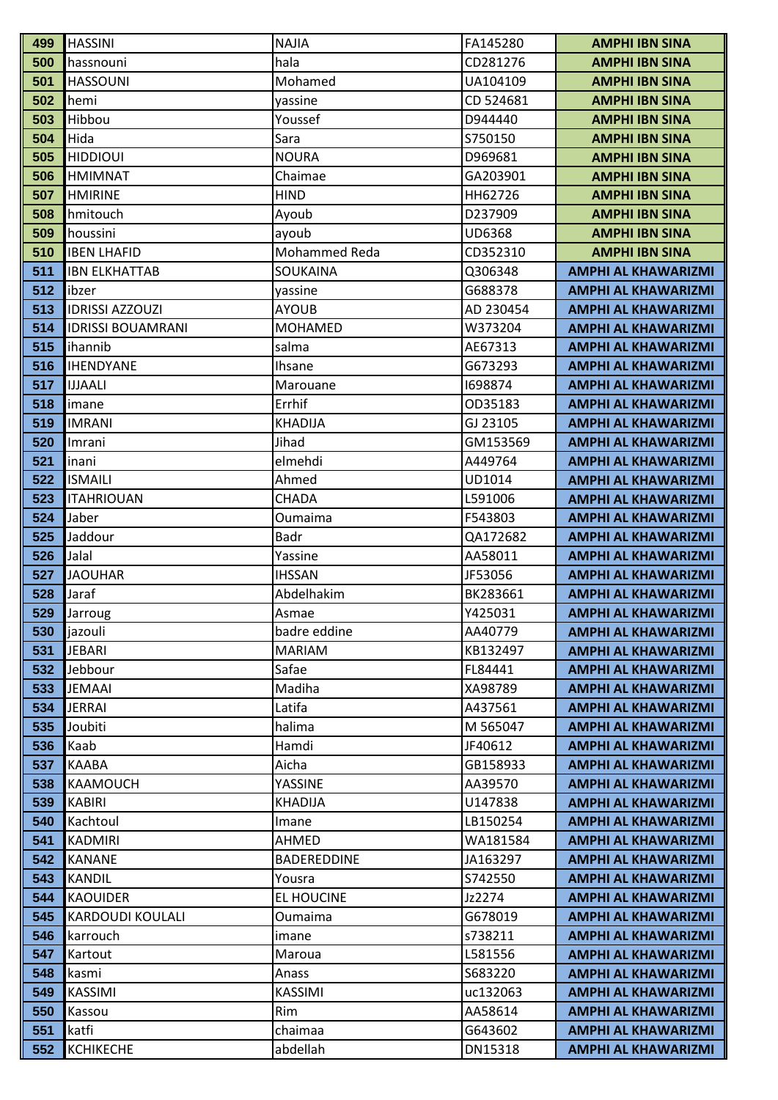| 500<br>hala<br>CD281276<br>hassnouni                                         | <b>AMPHI IBN SINA</b>                                    |
|------------------------------------------------------------------------------|----------------------------------------------------------|
|                                                                              |                                                          |
| 501<br>Mohamed<br><b>HASSOUNI</b><br>UA104109                                | <b>AMPHI IBN SINA</b>                                    |
| 502<br>hemi<br>CD 524681<br>yassine                                          | <b>AMPHI IBN SINA</b>                                    |
| 503<br>Hibbou<br>Youssef<br>D944440                                          | <b>AMPHI IBN SINA</b>                                    |
| 504<br>Hida<br>Sara<br>S750150                                               | <b>AMPHI IBN SINA</b>                                    |
| <b>HIDDIOUI</b><br><b>NOURA</b><br>505<br>D969681                            | <b>AMPHI IBN SINA</b>                                    |
| 506<br><b>HMIMNAT</b><br>Chaimae<br>GA203901                                 | <b>AMPHI IBN SINA</b>                                    |
| 507<br><b>HMIRINE</b><br><b>HIND</b><br>HH62726                              | <b>AMPHI IBN SINA</b>                                    |
| 508<br>hmitouch<br>D237909<br>Ayoub                                          | <b>AMPHI IBN SINA</b>                                    |
| 509<br>houssini<br><b>UD6368</b><br>ayoub                                    | <b>AMPHI IBN SINA</b>                                    |
| Mohammed Reda<br>CD352310<br>510<br><b>IBEN LHAFID</b>                       | <b>AMPHI IBN SINA</b>                                    |
| 511<br><b>IBN ELKHATTAB</b><br>SOUKAINA<br>Q306348                           | <b>AMPHI AL KHAWARIZMI</b>                               |
| 512<br>G688378<br>ibzer<br>yassine                                           | <b>AMPHI AL KHAWARIZMI</b>                               |
| 513<br><b>IDRISSI AZZOUZI</b><br><b>AYOUB</b><br>AD 230454                   | <b>AMPHI AL KHAWARIZMI</b>                               |
| 514<br><b>IDRISSI BOUAMRANI</b><br><b>MOHAMED</b><br>W373204                 | <b>AMPHI AL KHAWARIZMI</b>                               |
| 515<br>ihannib<br>salma<br>AE67313                                           | <b>AMPHI AL KHAWARIZMI</b>                               |
| <b>IHENDYANE</b><br>516<br>G673293<br><b>Ihsane</b>                          | <b>AMPHI AL KHAWARIZMI</b>                               |
| 517<br><b>IJJAALI</b><br>1698874<br>Marouane                                 | <b>AMPHI AL KHAWARIZMI</b>                               |
| 518<br>Errhif<br>OD35183<br>imane                                            | <b>AMPHI AL KHAWARIZMI</b>                               |
| 519<br><b>KHADIJA</b><br><b>IMRANI</b><br>GJ 23105                           | <b>AMPHI AL KHAWARIZMI</b>                               |
| 520<br>Jihad<br>GM153569<br>Imrani                                           | <b>AMPHI AL KHAWARIZMI</b>                               |
| 521<br>elmehdi<br>A449764<br>inani                                           | <b>AMPHI AL KHAWARIZMI</b>                               |
| 522<br><b>ISMAILI</b><br>UD1014<br>Ahmed                                     | <b>AMPHI AL KHAWARIZMI</b>                               |
| 523<br><b>ITAHRIOUAN</b><br>CHADA<br>L591006                                 | <b>AMPHI AL KHAWARIZMI</b>                               |
| Jaber<br>524<br>F543803<br>Oumaima                                           | <b>AMPHI AL KHAWARIZMI</b>                               |
| 525<br>Jaddour<br>Badr<br>QA172682                                           | <b>AMPHI AL KHAWARIZMI</b>                               |
| 526<br>Jalal<br>AA58011<br>Yassine                                           | <b>AMPHI AL KHAWARIZMI</b>                               |
| 527<br><b>JAOUHAR</b><br><b>IHSSAN</b><br>JF53056                            | <b>AMPHI AL KHAWARIZMI</b>                               |
| 528<br>Jaraf<br>Abdelhakim<br>BK283661                                       | <b>AMPHI AL KHAWARIZMI</b>                               |
| 529<br>Y425031<br>Jarroug<br>Asmae                                           | <b>AMPHI AL KHAWARIZMI</b>                               |
| 530<br>jazouli<br>badre eddine<br>AA40779                                    | <b>AMPHI AL KHAWARIZMI</b>                               |
| 531<br><b>JEBARI</b><br><b>MARIAM</b><br>KB132497                            | <b>AMPHI AL KHAWARIZMI</b>                               |
| 532<br>Safae<br>Jebbour<br>FL84441<br>Madiha                                 | <b>AMPHI AL KHAWARIZMI</b>                               |
| 533<br><b>JEMAAI</b><br>XA98789<br><b>JERRAI</b><br>Latifa<br>534<br>A437561 | <b>AMPHI AL KHAWARIZMI</b><br><b>AMPHI AL KHAWARIZMI</b> |
| 535<br>Joubiti<br>halima<br>M 565047                                         | <b>AMPHI AL KHAWARIZMI</b>                               |
| 536<br>Kaab<br>Hamdi<br>JF40612                                              |                                                          |
| Aicha<br>537<br><b>KAABA</b><br>GB158933                                     | <b>AMPHI AL KHAWARIZMI</b><br><b>AMPHI AL KHAWARIZMI</b> |
| 538<br>YASSINE<br><b>KAAMOUCH</b><br>AA39570                                 | <b>AMPHI AL KHAWARIZMI</b>                               |
| 539<br><b>KABIRI</b><br>U147838<br><b>KHADIJA</b>                            | <b>AMPHI AL KHAWARIZMI</b>                               |
| 540<br>Kachtoul<br>LB150254<br>Imane                                         | <b>AMPHI AL KHAWARIZMI</b>                               |
| 541<br>AHMED<br><b>KADMIRI</b><br>WA181584                                   | <b>AMPHI AL KHAWARIZMI</b>                               |
| 542<br><b>KANANE</b><br><b>BADEREDDINE</b><br>JA163297                       | <b>AMPHI AL KHAWARIZMI</b>                               |
| 543<br><b>KANDIL</b><br>S742550<br>Yousra                                    | <b>AMPHI AL KHAWARIZMI</b>                               |
| 544<br><b>KAOUIDER</b><br><b>EL HOUCINE</b><br>Jz2274                        | <b>AMPHI AL KHAWARIZMI</b>                               |
| 545<br><b>KARDOUDI KOULALI</b><br>G678019<br>Oumaima                         | <b>AMPHI AL KHAWARIZMI</b>                               |
| 546<br>s738211<br>karrouch<br>imane                                          | <b>AMPHI AL KHAWARIZMI</b>                               |
| 547<br>L581556<br>Kartout<br>Maroua                                          | <b>AMPHI AL KHAWARIZMI</b>                               |
| 548<br>S683220<br>kasmi<br>Anass                                             | <b>AMPHI AL KHAWARIZMI</b>                               |
| 549<br><b>KASSIMI</b><br><b>KASSIMI</b><br>uc132063                          | <b>AMPHI AL KHAWARIZMI</b>                               |
| 550<br>AA58614<br>Kassou<br>Rim                                              | <b>AMPHI AL KHAWARIZMI</b>                               |
| 551<br>katfi<br>chaimaa<br>G643602                                           | <b>AMPHI AL KHAWARIZMI</b>                               |
| 552<br><b>KCHIKECHE</b><br>abdellah<br>DN15318                               | <b>AMPHI AL KHAWARIZMI</b>                               |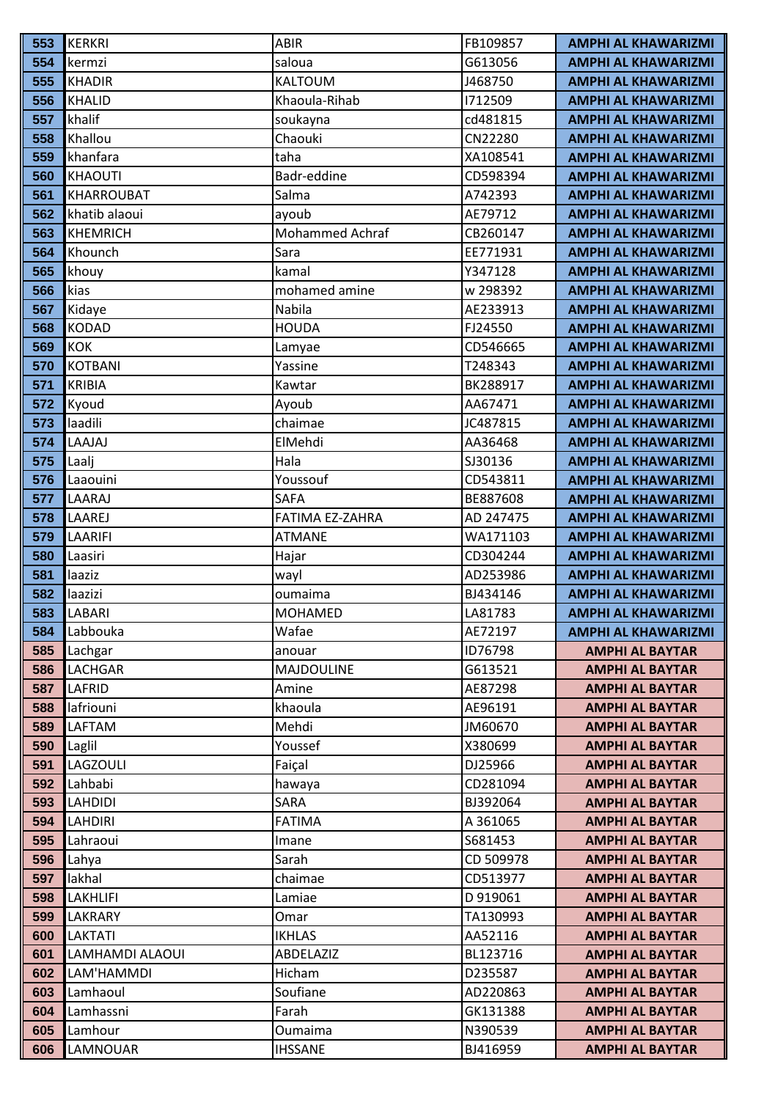| 553        | <b>KERKRI</b>       | <b>ABIR</b>            | FB109857           | <b>AMPHI AL KHAWARIZMI</b>                       |
|------------|---------------------|------------------------|--------------------|--------------------------------------------------|
| 554        | kermzi              | saloua                 | G613056            | <b>AMPHI AL KHAWARIZMI</b>                       |
| 555        | <b>KHADIR</b>       | <b>KALTOUM</b>         | J468750            | <b>AMPHI AL KHAWARIZMI</b>                       |
| 556        | <b>KHALID</b>       | Khaoula-Rihab          | 1712509            | <b>AMPHI AL KHAWARIZMI</b>                       |
| 557        | khalif              | soukayna               | cd481815           | <b>AMPHI AL KHAWARIZMI</b>                       |
| 558        | Khallou             | Chaouki                | CN22280            | <b>AMPHI AL KHAWARIZMI</b>                       |
| 559        | khanfara            | taha                   | XA108541           | <b>AMPHI AL KHAWARIZMI</b>                       |
| 560        | <b>KHAOUTI</b>      | Badr-eddine            | CD598394           | <b>AMPHI AL KHAWARIZMI</b>                       |
| 561        | <b>KHARROUBAT</b>   | Salma                  | A742393            | <b>AMPHI AL KHAWARIZMI</b>                       |
| 562        | khatib alaoui       | ayoub                  | AE79712            | <b>AMPHI AL KHAWARIZMI</b>                       |
| 563        | <b>KHEMRICH</b>     | <b>Mohammed Achraf</b> | CB260147           | <b>AMPHI AL KHAWARIZMI</b>                       |
| 564        | Khounch             | Sara                   | EE771931           | <b>AMPHI AL KHAWARIZMI</b>                       |
| 565        | khouy               | kamal                  | Y347128            | <b>AMPHI AL KHAWARIZMI</b>                       |
| 566        | kias                | mohamed amine          | w 298392           | <b>AMPHI AL KHAWARIZMI</b>                       |
| 567        | Kidaye              | Nabila                 | AE233913           | <b>AMPHI AL KHAWARIZMI</b>                       |
| 568        | <b>KODAD</b>        | <b>HOUDA</b>           | FJ24550            | <b>AMPHI AL KHAWARIZMI</b>                       |
| 569        | <b>KOK</b>          | Lamyae                 | CD546665           | <b>AMPHI AL KHAWARIZMI</b>                       |
| 570        | <b>KOTBANI</b>      | Yassine                | T248343            | <b>AMPHI AL KHAWARIZMI</b>                       |
| 571        | <b>KRIBIA</b>       | Kawtar                 | BK288917           | <b>AMPHI AL KHAWARIZMI</b>                       |
| 572        | Kyoud               | Ayoub                  | AA67471            | <b>AMPHI AL KHAWARIZMI</b>                       |
| 573        | laadili             | chaimae                | JC487815           | <b>AMPHI AL KHAWARIZMI</b>                       |
| 574        | LAAJAJ              | ElMehdi                | AA36468            | <b>AMPHI AL KHAWARIZMI</b>                       |
| 575        | Laalj               | Hala                   | SJ30136            | <b>AMPHI AL KHAWARIZMI</b>                       |
| 576        | Laaouini            | Youssouf               | CD543811           | <b>AMPHI AL KHAWARIZMI</b>                       |
| 577        | LAARAJ              | <b>SAFA</b>            | BE887608           | <b>AMPHI AL KHAWARIZMI</b>                       |
| 578        | LAAREJ              | FATIMA EZ-ZAHRA        | AD 247475          | <b>AMPHI AL KHAWARIZMI</b>                       |
| 579        | LAARIFI             | <b>ATMANE</b>          | WA171103           | <b>AMPHI AL KHAWARIZMI</b>                       |
| 580        | Laasiri             | Hajar                  | CD304244           | <b>AMPHI AL KHAWARIZMI</b>                       |
| 581        | laaziz              | wayl                   | AD253986           | <b>AMPHI AL KHAWARIZMI</b>                       |
| 582        | laazizi             | oumaima                | BJ434146           | <b>AMPHI AL KHAWARIZMI</b>                       |
| 583        | LABARI              | <b>MOHAMED</b>         | LA81783            | <b>AMPHI AL KHAWARIZMI</b>                       |
| 584        | Labbouka            | Wafae                  | AE72197            | <b>AMPHI AL KHAWARIZMI</b>                       |
| 585        | Lachgar             | anouar                 | ID76798            | <b>AMPHI AL BAYTAR</b>                           |
| 586        | <b>LACHGAR</b>      | <b>MAJDOULINE</b>      | G613521            | <b>AMPHI AL BAYTAR</b>                           |
| 587        | LAFRID<br>lafriouni | Amine<br>khaoula       | AE87298<br>AE96191 | <b>AMPHI AL BAYTAR</b>                           |
| 588<br>589 | LAFTAM              | Mehdi                  | JM60670            | <b>AMPHI AL BAYTAR</b><br><b>AMPHI AL BAYTAR</b> |
| 590        | Laglil              | Youssef                | X380699            | <b>AMPHI AL BAYTAR</b>                           |
| 591        | LAGZOULI            | Faiçal                 | DJ25966            | <b>AMPHI AL BAYTAR</b>                           |
| 592        | Lahbabi             | hawaya                 | CD281094           | <b>AMPHI AL BAYTAR</b>                           |
| 593        | <b>LAHDIDI</b>      | SARA                   | BJ392064           | <b>AMPHI AL BAYTAR</b>                           |
| 594        | <b>LAHDIRI</b>      | <b>FATIMA</b>          | A 361065           | <b>AMPHI AL BAYTAR</b>                           |
| 595        | Lahraoui            | Imane                  | S681453            | <b>AMPHI AL BAYTAR</b>                           |
| 596        | Lahya               | Sarah                  | CD 509978          | <b>AMPHI AL BAYTAR</b>                           |
| 597        | lakhal              | chaimae                | CD513977           | <b>AMPHI AL BAYTAR</b>                           |
| 598        | <b>LAKHLIFI</b>     | Lamiae                 | D 919061           | <b>AMPHI AL BAYTAR</b>                           |
| 599        | LAKRARY             | Omar                   | TA130993           | <b>AMPHI AL BAYTAR</b>                           |
| 600        | <b>LAKTATI</b>      | <b>IKHLAS</b>          | AA52116            | <b>AMPHI AL BAYTAR</b>                           |
| 601        | LAMHAMDI ALAOUI     | ABDELAZIZ              | BL123716           | <b>AMPHI AL BAYTAR</b>                           |
| 602        | LAM'HAMMDI          | Hicham                 | D235587            | <b>AMPHI AL BAYTAR</b>                           |
| 603        | Lamhaoul            | Soufiane               | AD220863           | <b>AMPHI AL BAYTAR</b>                           |
| 604        | Lamhassni           | Farah                  | GK131388           | <b>AMPHI AL BAYTAR</b>                           |
| 605        | Lamhour             | Oumaima                | N390539            | <b>AMPHI AL BAYTAR</b>                           |
| 606        | LAMNOUAR            | <b>IHSSANE</b>         | BJ416959           | <b>AMPHI AL BAYTAR</b>                           |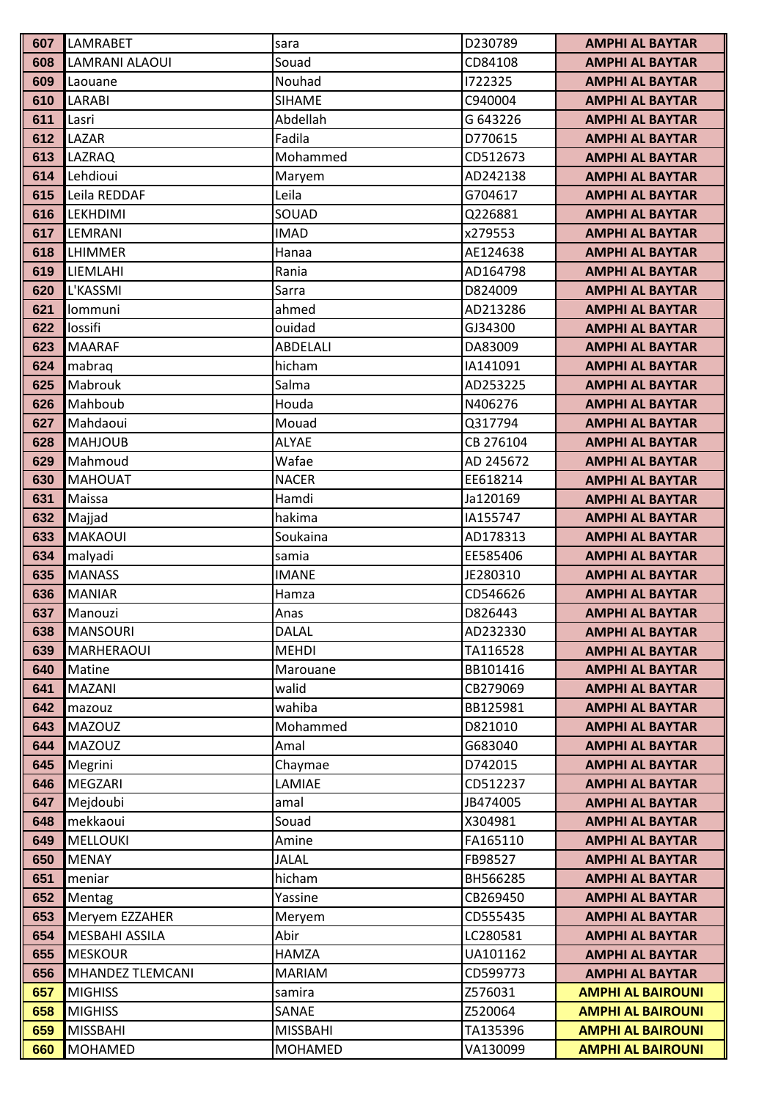| 607        | LAMRABET                | sara            | D230789              | <b>AMPHI AL BAYTAR</b>                           |
|------------|-------------------------|-----------------|----------------------|--------------------------------------------------|
| 608        | <b>LAMRANI ALAOUI</b>   | Souad           | CD84108              | <b>AMPHI AL BAYTAR</b>                           |
| 609        | Laouane                 | Nouhad          | 1722325              | <b>AMPHI AL BAYTAR</b>                           |
| 610        | <b>LARABI</b>           | <b>SIHAME</b>   | C940004              | <b>AMPHI AL BAYTAR</b>                           |
| 611        | Lasri                   | Abdellah        | G 643226             | <b>AMPHI AL BAYTAR</b>                           |
| 612        | LAZAR                   | Fadila          | D770615              | <b>AMPHI AL BAYTAR</b>                           |
| 613        | LAZRAQ                  | Mohammed        | CD512673             | <b>AMPHI AL BAYTAR</b>                           |
| 614        | Lehdioui                | Maryem          | AD242138             | <b>AMPHI AL BAYTAR</b>                           |
| 615        | Leila REDDAF            | Leila           | G704617              | <b>AMPHI AL BAYTAR</b>                           |
| 616        | <b>LEKHDIMI</b>         | SOUAD           | Q226881              | <b>AMPHI AL BAYTAR</b>                           |
| 617        | LEMRANI                 | <b>IMAD</b>     | x279553              | <b>AMPHI AL BAYTAR</b>                           |
| 618        | LHIMMER                 | Hanaa           | AE124638             | <b>AMPHI AL BAYTAR</b>                           |
| 619        | LIEMLAHI                | Rania           | AD164798             | <b>AMPHI AL BAYTAR</b>                           |
| 620        | L'KASSMI                | Sarra           | D824009              | <b>AMPHI AL BAYTAR</b>                           |
| 621        | lommuni                 | ahmed           | AD213286             | <b>AMPHI AL BAYTAR</b>                           |
| 622        | lossifi                 | ouidad          | GJ34300              | <b>AMPHI AL BAYTAR</b>                           |
| 623        | <b>MAARAF</b>           | <b>ABDELALI</b> | DA83009              | <b>AMPHI AL BAYTAR</b>                           |
| 624        | mabraq                  | hicham          | IA141091             | <b>AMPHI AL BAYTAR</b>                           |
| 625        | Mabrouk                 | Salma           | AD253225             | <b>AMPHI AL BAYTAR</b>                           |
| 626        | Mahboub                 | Houda           | N406276              | <b>AMPHI AL BAYTAR</b>                           |
| 627        | Mahdaoui                | Mouad           | Q317794              | <b>AMPHI AL BAYTAR</b>                           |
| 628        | <b>MAHJOUB</b>          | <b>ALYAE</b>    | CB 276104            | <b>AMPHI AL BAYTAR</b>                           |
| 629        | Mahmoud                 | Wafae           | AD 245672            | <b>AMPHI AL BAYTAR</b>                           |
| 630        | <b>MAHOUAT</b>          | <b>NACER</b>    | EE618214             | <b>AMPHI AL BAYTAR</b>                           |
| 631        | Maissa                  | Hamdi           | Ja120169             | <b>AMPHI AL BAYTAR</b>                           |
| 632        | Majjad                  | hakima          | IA155747             | <b>AMPHI AL BAYTAR</b>                           |
| 633        | <b>MAKAOUI</b>          | Soukaina        | AD178313             | <b>AMPHI AL BAYTAR</b>                           |
| 634        | malyadi                 | samia           | EE585406             | <b>AMPHI AL BAYTAR</b>                           |
| 635        | <b>MANASS</b>           | <b>IMANE</b>    | JE280310             | <b>AMPHI AL BAYTAR</b>                           |
| 636        | <b>MANIAR</b>           | Hamza           | CD546626             | <b>AMPHI AL BAYTAR</b>                           |
| 637        | Manouzi                 | Anas            | D826443              | <b>AMPHI AL BAYTAR</b>                           |
| 638        | <b>MANSOURI</b>         | <b>DALAL</b>    | AD232330             | <b>AMPHI AL BAYTAR</b>                           |
| 639        | MARHERAOUI              | <b>MEHDI</b>    | TA116528             | <b>AMPHI AL BAYTAR</b>                           |
| 640        | Matine                  | Marouane        | BB101416             | <b>AMPHI AL BAYTAR</b>                           |
| 641        | <b>MAZANI</b>           | walid           | CB279069             | <b>AMPHI AL BAYTAR</b>                           |
| 642        | mazouz                  | wahiba          | BB125981             | <b>AMPHI AL BAYTAR</b>                           |
| 643        | <b>MAZOUZ</b>           | Mohammed        | D821010              | <b>AMPHI AL BAYTAR</b>                           |
| 644        | <b>MAZOUZ</b>           | Amal            | G683040<br>D742015   | <b>AMPHI AL BAYTAR</b>                           |
| 645        | Megrini                 | Chaymae         |                      | <b>AMPHI AL BAYTAR</b>                           |
| 646<br>647 | MEGZARI                 | LAMIAE          | CD512237<br>JB474005 | <b>AMPHI AL BAYTAR</b><br><b>AMPHI AL BAYTAR</b> |
| 648        | Mejdoubi<br>mekkaoui    | amal<br>Souad   | X304981              | <b>AMPHI AL BAYTAR</b>                           |
| 649        | <b>MELLOUKI</b>         | Amine           | FA165110             | <b>AMPHI AL BAYTAR</b>                           |
| 650        | <b>MENAY</b>            | <b>JALAL</b>    | FB98527              | <b>AMPHI AL BAYTAR</b>                           |
| 651        | meniar                  | hicham          | BH566285             | <b>AMPHI AL BAYTAR</b>                           |
| 652        | Mentag                  | Yassine         | CB269450             | <b>AMPHI AL BAYTAR</b>                           |
| 653        | Meryem EZZAHER          | Meryem          | CD555435             | <b>AMPHI AL BAYTAR</b>                           |
| 654        | <b>MESBAHI ASSILA</b>   | Abir            | LC280581             | <b>AMPHI AL BAYTAR</b>                           |
| 655        | <b>MESKOUR</b>          | <b>HAMZA</b>    | UA101162             | <b>AMPHI AL BAYTAR</b>                           |
| 656        | <b>MHANDEZ TLEMCANI</b> | <b>MARIAM</b>   | CD599773             | <b>AMPHI AL BAYTAR</b>                           |
| 657        | <b>MIGHISS</b>          | samira          | Z576031              | <b>AMPHI AL BAIROUNI</b>                         |
| 658        | <b>MIGHISS</b>          | SANAE           | Z520064              | <b>AMPHI AL BAIROUNI</b>                         |
| 659        | <b>MISSBAHI</b>         | <b>MISSBAHI</b> | TA135396             | <b>AMPHI AL BAIROUNI</b>                         |
| 660        | <b>MOHAMED</b>          | MOHAMED         | VA130099             | <b>AMPHI AL BAIROUNI</b>                         |
|            |                         |                 |                      |                                                  |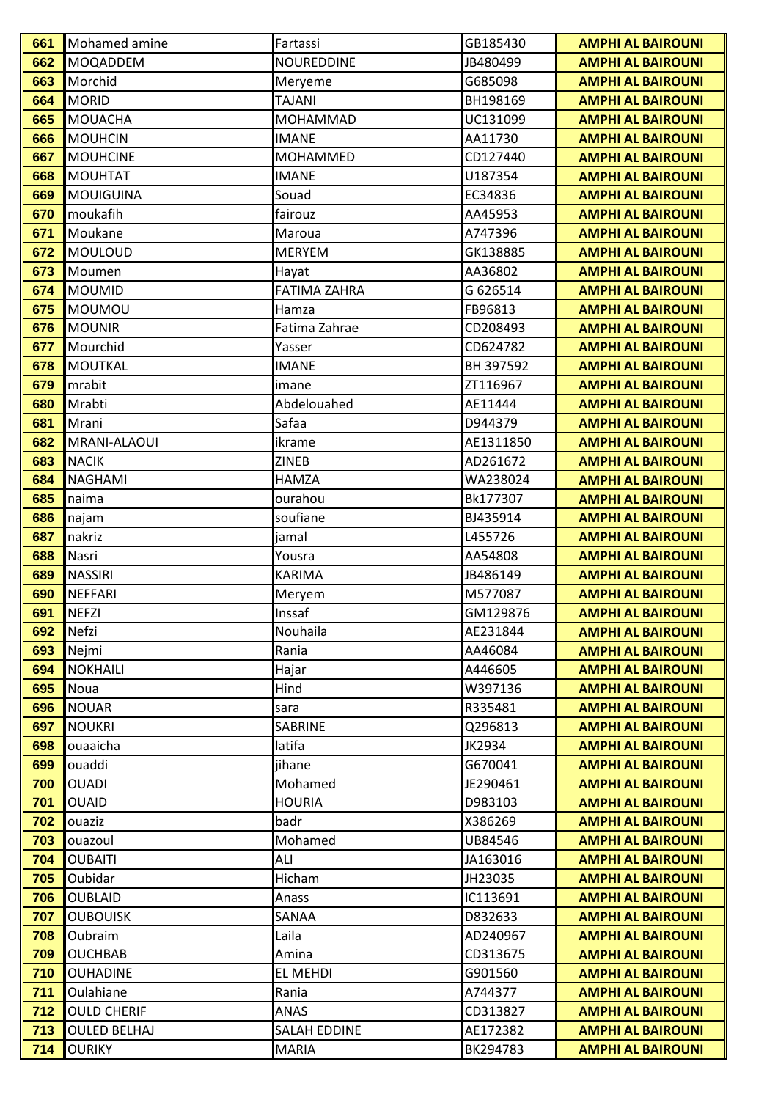| 661        | Mohamed amine                   | Fartassi            | GB185430            | <b>AMPHI AL BAIROUNI</b> |
|------------|---------------------------------|---------------------|---------------------|--------------------------|
| 662        | <b>MOQADDEM</b>                 | <b>NOUREDDINE</b>   | JB480499            | <b>AMPHI AL BAIROUNI</b> |
| 663        | Morchid                         | Meryeme             | G685098             | <b>AMPHI AL BAIROUNI</b> |
| 664        | <b>MORID</b>                    | <b>TAJANI</b>       | BH198169            | <b>AMPHI AL BAIROUNI</b> |
| 665        | <b>MOUACHA</b>                  | <b>MOHAMMAD</b>     | UC131099            | <b>AMPHI AL BAIROUNI</b> |
| 666        | <b>MOUHCIN</b>                  | <b>IMANE</b>        | AA11730             | <b>AMPHI AL BAIROUNI</b> |
| 667        | <b>MOUHCINE</b>                 | MOHAMMED            | CD127440            | <b>AMPHI AL BAIROUNI</b> |
| 668        | <b>MOUHTAT</b>                  | <b>IMANE</b>        | U187354             | <b>AMPHI AL BAIROUNI</b> |
| 669        | <b>MOUIGUINA</b>                | Souad               | EC34836             | <b>AMPHI AL BAIROUNI</b> |
| 670        | moukafih                        | fairouz             | AA45953             | <b>AMPHI AL BAIROUNI</b> |
| 671        | Moukane                         | Maroua              | A747396             | <b>AMPHI AL BAIROUNI</b> |
| 672        | MOULOUD                         | <b>MERYEM</b>       | GK138885            | <b>AMPHI AL BAIROUNI</b> |
| 673        | Moumen                          | Hayat               | AA36802             | <b>AMPHI AL BAIROUNI</b> |
| 674        | <b>MOUMID</b>                   | <b>FATIMA ZAHRA</b> | G 626514            | <b>AMPHI AL BAIROUNI</b> |
| 675        | MOUMOU                          | Hamza               | FB96813             | <b>AMPHI AL BAIROUNI</b> |
| 676        | <b>MOUNIR</b>                   | Fatima Zahrae       | CD208493            | <b>AMPHI AL BAIROUNI</b> |
| 677        | Mourchid                        | Yasser              | CD624782            | <b>AMPHI AL BAIROUNI</b> |
| 678        | <b>MOUTKAL</b>                  | <b>IMANE</b>        | BH 397592           | <b>AMPHI AL BAIROUNI</b> |
| 679        | mrabit                          | imane               | ZT116967            | <b>AMPHI AL BAIROUNI</b> |
| 680        | Mrabti                          | Abdelouahed         | AE11444             | <b>AMPHI AL BAIROUNI</b> |
| 681        | Mrani                           | Safaa               | D944379             | <b>AMPHI AL BAIROUNI</b> |
| 682        | MRANI-ALAOUI                    | ikrame              | AE1311850           | <b>AMPHI AL BAIROUNI</b> |
| 683        | <b>NACIK</b>                    | <b>ZINEB</b>        | AD261672            | <b>AMPHI AL BAIROUNI</b> |
| 684        | <b>NAGHAMI</b>                  | <b>HAMZA</b>        | WA238024            | <b>AMPHI AL BAIROUNI</b> |
| 685        | naima                           | ourahou             | Bk177307            | <b>AMPHI AL BAIROUNI</b> |
| 686        | najam                           | soufiane            | BJ435914            | <b>AMPHI AL BAIROUNI</b> |
| 687        | nakriz                          | jamal               | L455726             | <b>AMPHI AL BAIROUNI</b> |
| 688        | Nasri                           | Yousra              | AA54808             | <b>AMPHI AL BAIROUNI</b> |
| 689        | <b>NASSIRI</b>                  | <b>KARIMA</b>       | JB486149            | <b>AMPHI AL BAIROUNI</b> |
| 690        | <b>NEFFARI</b>                  | Meryem              | M577087             | <b>AMPHI AL BAIROUNI</b> |
| 691        | <b>NEFZI</b>                    | Inssaf              | GM129876            | <b>AMPHI AL BAIROUNI</b> |
| 692        | Nefzi                           | Nouhaila            | AE231844            | <b>AMPHI AL BAIROUNI</b> |
| 693        | Nejmi                           | Rania               | AA46084             | <b>AMPHI AL BAIROUNI</b> |
| 694        | <b>NOKHAILI</b>                 | Hajar               | A446605             | <b>AMPHI AL BAIROUNI</b> |
| 695        | Noua                            | Hind                | W397136             | <b>AMPHI AL BAIROUNI</b> |
| 696        | <b>NOUAR</b>                    | sara                | R335481             | <b>AMPHI AL BAIROUNI</b> |
| 697        | <b>NOUKRI</b>                   | SABRINE             | Q296813             | <b>AMPHI AL BAIROUNI</b> |
| 698        | ouaaicha                        | latifa              | JK2934              | <b>AMPHI AL BAIROUNI</b> |
| 699        | ouaddi                          | jihane              | G670041             | <b>AMPHI AL BAIROUNI</b> |
| 700        | <b>OUADI</b>                    | Mohamed             | JE290461            | <b>AMPHI AL BAIROUNI</b> |
| 701        | <b>OUAID</b>                    | <b>HOURIA</b>       | D983103             | <b>AMPHI AL BAIROUNI</b> |
| 702        | ouaziz                          | badr                | X386269             | <b>AMPHI AL BAIROUNI</b> |
| 703        | ouazoul                         | Mohamed             | UB84546             | <b>AMPHI AL BAIROUNI</b> |
| 704        | <b>OUBAITI</b>                  | ALI                 | JA163016            | <b>AMPHI AL BAIROUNI</b> |
| 705        | Oubidar                         | Hicham              | JH23035             | <b>AMPHI AL BAIROUNI</b> |
| 706        | <b>OUBLAID</b>                  | Anass               | IC113691            | <b>AMPHI AL BAIROUNI</b> |
| 707        | <b>OUBOUISK</b>                 | SANAA               | D832633             | <b>AMPHI AL BAIROUNI</b> |
| 708        | Oubraim                         | Laila               | AD240967            | <b>AMPHI AL BAIROUNI</b> |
| 709        | <b>OUCHBAB</b>                  | Amina               | CD313675            | <b>AMPHI AL BAIROUNI</b> |
| 710        | <b>OUHADINE</b>                 | EL MEHDI            | G901560             | <b>AMPHI AL BAIROUNI</b> |
| 711<br>712 | Oulahiane<br><b>OULD CHERIF</b> | Rania<br>ANAS       | A744377<br>CD313827 | <b>AMPHI AL BAIROUNI</b> |
| 713        | <b>OULED BELHAJ</b>             | <b>SALAH EDDINE</b> | AE172382            | <b>AMPHI AL BAIROUNI</b> |
|            |                                 |                     |                     | <b>AMPHI AL BAIROUNI</b> |
| 714        | <b>OURIKY</b>                   | <b>MARIA</b>        | BK294783            | <b>AMPHI AL BAIROUNI</b> |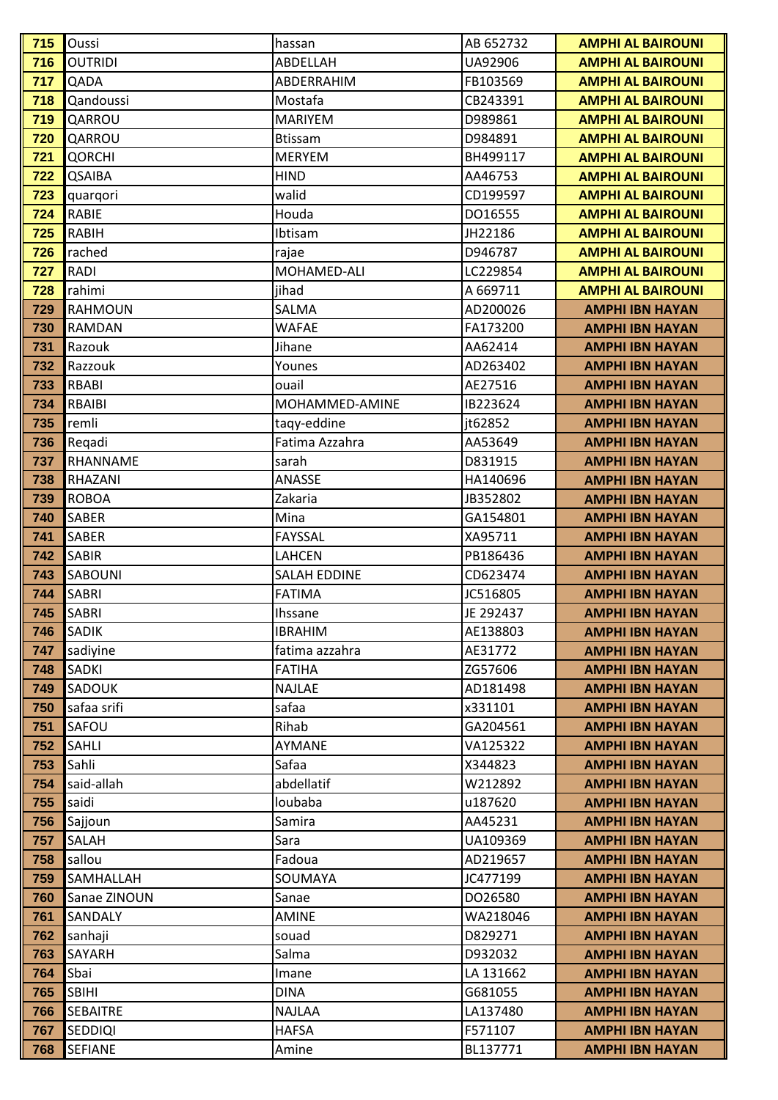| 715 | Oussi           | hassan              | AB 652732 | <b>AMPHI AL BAIROUNI</b> |
|-----|-----------------|---------------------|-----------|--------------------------|
| 716 | <b>OUTRIDI</b>  | ABDELLAH            | UA92906   | <b>AMPHI AL BAIROUNI</b> |
| 717 | QADA            | ABDERRAHIM          | FB103569  | <b>AMPHI AL BAIROUNI</b> |
| 718 | Qandoussi       | Mostafa             | CB243391  | <b>AMPHI AL BAIROUNI</b> |
| 719 | QARROU          | <b>MARIYEM</b>      | D989861   | <b>AMPHI AL BAIROUNI</b> |
| 720 | QARROU          | <b>Btissam</b>      | D984891   | <b>AMPHI AL BAIROUNI</b> |
| 721 | <b>QORCHI</b>   | MERYEM              | BH499117  | <b>AMPHI AL BAIROUNI</b> |
| 722 | QSAIBA          | <b>HIND</b>         | AA46753   | <b>AMPHI AL BAIROUNI</b> |
| 723 | quarqori        | walid               | CD199597  | <b>AMPHI AL BAIROUNI</b> |
| 724 | RABIE           | Houda               | DO16555   | <b>AMPHI AL BAIROUNI</b> |
| 725 | RABIH           | Ibtisam             | JH22186   | <b>AMPHI AL BAIROUNI</b> |
| 726 | rached          | rajae               | D946787   | <b>AMPHI AL BAIROUNI</b> |
| 727 | RADI            | MOHAMED-ALI         | LC229854  | <b>AMPHI AL BAIROUNI</b> |
| 728 | rahimi          | jihad               | A 669711  | <b>AMPHI AL BAIROUNI</b> |
| 729 | <b>RAHMOUN</b>  | <b>SALMA</b>        | AD200026  | <b>AMPHI IBN HAYAN</b>   |
| 730 | <b>RAMDAN</b>   | <b>WAFAE</b>        | FA173200  | <b>AMPHI IBN HAYAN</b>   |
| 731 | Razouk          | Jihane              | AA62414   | <b>AMPHI IBN HAYAN</b>   |
| 732 | Razzouk         | Younes              | AD263402  | <b>AMPHI IBN HAYAN</b>   |
| 733 | RBABI           | ouail               | AE27516   | <b>AMPHI IBN HAYAN</b>   |
| 734 | <b>RBAIBI</b>   | MOHAMMED-AMINE      | IB223624  | <b>AMPHI IBN HAYAN</b>   |
| 735 | remli           | taqy-eddine         | it62852   | <b>AMPHI IBN HAYAN</b>   |
| 736 | Regadi          | Fatima Azzahra      | AA53649   | <b>AMPHI IBN HAYAN</b>   |
| 737 | RHANNAME        | sarah               | D831915   | <b>AMPHI IBN HAYAN</b>   |
| 738 | RHAZANI         | ANASSE              | HA140696  | <b>AMPHI IBN HAYAN</b>   |
| 739 | <b>ROBOA</b>    | Zakaria             | JB352802  | <b>AMPHI IBN HAYAN</b>   |
| 740 | <b>SABER</b>    | Mina                | GA154801  | <b>AMPHI IBN HAYAN</b>   |
| 741 | <b>SABER</b>    | <b>FAYSSAL</b>      | XA95711   | <b>AMPHI IBN HAYAN</b>   |
| 742 | <b>SABIR</b>    | LAHCEN              | PB186436  | <b>AMPHI IBN HAYAN</b>   |
| 743 | <b>SABOUNI</b>  | <b>SALAH EDDINE</b> | CD623474  | <b>AMPHI IBN HAYAN</b>   |
| 744 | <b>SABRI</b>    | <b>FATIMA</b>       | JC516805  | <b>AMPHI IBN HAYAN</b>   |
| 745 | <b>SABRI</b>    | Ihssane             | JE 292437 | <b>AMPHI IBN HAYAN</b>   |
| 746 | <b>SADIK</b>    | <b>IBRAHIM</b>      | AE138803  | <b>AMPHI IBN HAYAN</b>   |
| 747 | sadiyine        | fatima azzahra      | AE31772   | <b>AMPHI IBN HAYAN</b>   |
| 748 | SADKI           | <b>FATIHA</b>       | ZG57606   | <b>AMPHI IBN HAYAN</b>   |
| 749 | <b>SADOUK</b>   | <b>NAJLAE</b>       | AD181498  | <b>AMPHI IBN HAYAN</b>   |
| 750 | safaa srifi     | safaa               | x331101   | <b>AMPHI IBN HAYAN</b>   |
| 751 | SAFOU           | Rihab               | GA204561  | <b>AMPHI IBN HAYAN</b>   |
| 752 | <b>SAHLI</b>    | AYMANE              | VA125322  | <b>AMPHI IBN HAYAN</b>   |
| 753 | Sahli           | Safaa               | X344823   | <b>AMPHI IBN HAYAN</b>   |
| 754 | said-allah      | abdellatif          | W212892   | <b>AMPHI IBN HAYAN</b>   |
| 755 | saidi           | loubaba             | u187620   | <b>AMPHI IBN HAYAN</b>   |
| 756 | Sajjoun         | Samira              | AA45231   | <b>AMPHI IBN HAYAN</b>   |
| 757 | SALAH           | Sara                | UA109369  | <b>AMPHI IBN HAYAN</b>   |
| 758 | sallou          | Fadoua              | AD219657  | <b>AMPHI IBN HAYAN</b>   |
| 759 | SAMHALLAH       | SOUMAYA             | JC477199  | <b>AMPHI IBN HAYAN</b>   |
| 760 | Sanae ZINOUN    | Sanae               | DO26580   | <b>AMPHI IBN HAYAN</b>   |
| 761 | SANDALY         | <b>AMINE</b>        | WA218046  | <b>AMPHI IBN HAYAN</b>   |
| 762 | sanhaji         | souad               | D829271   | <b>AMPHI IBN HAYAN</b>   |
| 763 | SAYARH          | Salma               | D932032   | <b>AMPHI IBN HAYAN</b>   |
| 764 | Sbai            | Imane               | LA 131662 | <b>AMPHI IBN HAYAN</b>   |
| 765 | <b>SBIHI</b>    | <b>DINA</b>         | G681055   | <b>AMPHI IBN HAYAN</b>   |
| 766 | <b>SEBAITRE</b> | <b>NAJLAA</b>       | LA137480  | <b>AMPHI IBN HAYAN</b>   |
| 767 | <b>SEDDIQI</b>  | <b>HAFSA</b>        | F571107   | <b>AMPHI IBN HAYAN</b>   |
| 768 | <b>SEFIANE</b>  | Amine               | BL137771  | <b>AMPHI IBN HAYAN</b>   |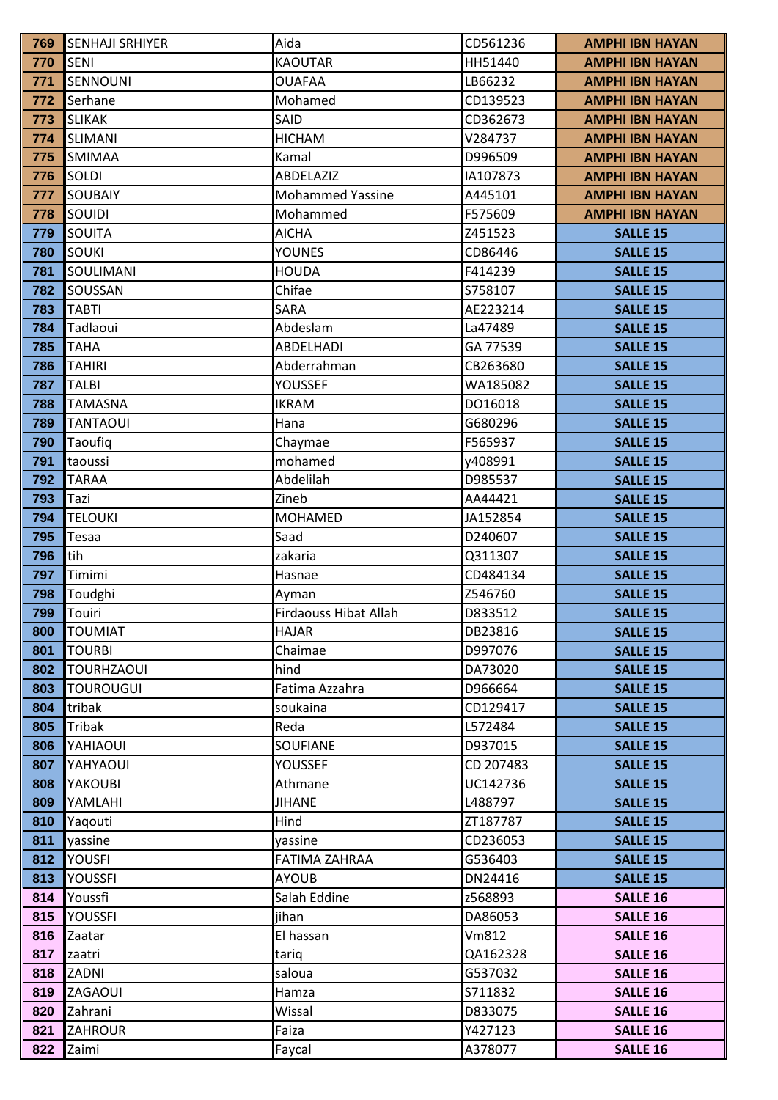| 769        | <b>SENHAJI SRHIYER</b> | Aida                         | CD561236           | <b>AMPHI IBN HAYAN</b>             |
|------------|------------------------|------------------------------|--------------------|------------------------------------|
| 770        | <b>SENI</b>            | <b>KAOUTAR</b>               | HH51440            | <b>AMPHI IBN HAYAN</b>             |
| 771        | SENNOUNI               | <b>OUAFAA</b>                | LB66232            | <b>AMPHI IBN HAYAN</b>             |
| 772        | Serhane                | Mohamed                      | CD139523           | <b>AMPHI IBN HAYAN</b>             |
| 773        | <b>SLIKAK</b>          | SAID                         | CD362673           | <b>AMPHI IBN HAYAN</b>             |
| 774        | <b>SLIMANI</b>         | <b>HICHAM</b>                | V284737            | <b>AMPHI IBN HAYAN</b>             |
| 775        | SMIMAA                 | Kamal                        | D996509            | <b>AMPHI IBN HAYAN</b>             |
| 776        | SOLDI                  | ABDELAZIZ                    | IA107873           | <b>AMPHI IBN HAYAN</b>             |
| 777        | <b>SOUBAIY</b>         | <b>Mohammed Yassine</b>      | A445101            | <b>AMPHI IBN HAYAN</b>             |
| 778        | SOUIDI                 | Mohammed                     | F575609            | <b>AMPHI IBN HAYAN</b>             |
| 779        | SOUITA                 | <b>AICHA</b>                 | Z451523            | <b>SALLE 15</b>                    |
| 780        | <b>SOUKI</b>           | <b>YOUNES</b>                | CD86446            | <b>SALLE 15</b>                    |
| 781        | SOULIMANI              | <b>HOUDA</b>                 | F414239            | <b>SALLE 15</b>                    |
| 782        | SOUSSAN                | Chifae                       | S758107            | <b>SALLE 15</b>                    |
| 783        | <b>TABTI</b>           | <b>SARA</b>                  | AE223214           | <b>SALLE 15</b>                    |
| 784        | Tadlaoui               | Abdeslam                     | La47489            | <b>SALLE 15</b>                    |
| 785        | <b>TAHA</b>            | ABDELHADI                    | GA 77539           | <b>SALLE 15</b>                    |
| 786        | <b>TAHIRI</b>          | Abderrahman                  | CB263680           | <b>SALLE 15</b>                    |
| 787        | <b>TALBI</b>           | YOUSSEF                      | WA185082           | <b>SALLE 15</b>                    |
| 788        | <b>TAMASNA</b>         | <b>IKRAM</b>                 | DO16018            | <b>SALLE 15</b>                    |
| 789        | <b>TANTAOUI</b>        | Hana                         | G680296            | <b>SALLE 15</b>                    |
| 790        | Taoufiq                | Chaymae                      | F565937            | <b>SALLE 15</b>                    |
| 791        | taoussi                | mohamed                      | y408991            | <b>SALLE 15</b>                    |
| 792        | <b>TARAA</b>           | Abdelilah                    | D985537            | <b>SALLE 15</b>                    |
| 793        | Tazi                   | Zineb                        | AA44421            | <b>SALLE 15</b>                    |
| 794        | <b>TELOUKI</b>         | <b>MOHAMED</b>               | JA152854           | <b>SALLE 15</b>                    |
| 795        | Tesaa                  | Saad                         | D240607            | <b>SALLE 15</b>                    |
| 796        | tih                    | zakaria                      | Q311307            | <b>SALLE 15</b>                    |
| 797        | Timimi                 | Hasnae                       | CD484134           | <b>SALLE 15</b>                    |
| 798        | Toudghi                | Ayman                        | Z546760            | <b>SALLE 15</b>                    |
| 799        | Touiri                 | <b>Firdaouss Hibat Allah</b> | D833512            | <b>SALLE 15</b>                    |
| 800        | <b>TOUMIAT</b>         | <b>HAJAR</b>                 | DB23816            | <b>SALLE 15</b>                    |
| 801        | <b>TOURBI</b>          | Chaimae                      | D997076            | <b>SALLE 15</b>                    |
| 802        | <b>TOURHZAOUI</b>      | hind                         | DA73020            | <b>SALLE 15</b>                    |
| 803        | <b>TOUROUGUI</b>       | Fatima Azzahra               | D966664            | <b>SALLE 15</b>                    |
| 804        | tribak                 | soukaina                     | CD129417           | <b>SALLE 15</b>                    |
| 805        | Tribak                 | Reda                         | L572484            | <b>SALLE 15</b>                    |
| 806        | YAHIAOUI               | SOUFIANE                     | D937015            | <b>SALLE 15</b>                    |
| 807        | YAHYAOUI               | <b>YOUSSEF</b>               | CD 207483          | <b>SALLE 15</b>                    |
| 808        | YAKOUBI                | Athmane                      | UC142736           | <b>SALLE 15</b>                    |
| 809        | YAMLAHI                | <b>JIHANE</b>                | L488797            | <b>SALLE 15</b>                    |
| 810        | Yaqouti                | Hind                         | ZT187787           | <b>SALLE 15</b>                    |
| 811        | yassine                | yassine                      | CD236053           | <b>SALLE 15</b>                    |
| 812        | <b>YOUSFI</b>          | <b>FATIMA ZAHRAA</b>         | G536403            | <b>SALLE 15</b>                    |
| 813<br>814 | YOUSSFI                | <b>AYOUB</b>                 | DN24416            | <b>SALLE 15</b>                    |
| 815        | Youssfi<br>YOUSSFI     | Salah Eddine                 | z568893<br>DA86053 | <b>SALLE 16</b><br><b>SALLE 16</b> |
| 816        | Zaatar                 | jihan<br>El hassan           | Vm812              | <b>SALLE 16</b>                    |
| 817        |                        |                              | QA162328           | <b>SALLE 16</b>                    |
| 818        | zaatri<br>ZADNI        | tariq<br>saloua              | G537032            |                                    |
| 819        | ZAGAOUI                | Hamza                        | S711832            | <b>SALLE 16</b><br><b>SALLE 16</b> |
| 820        | Zahrani                | Wissal                       | D833075            | <b>SALLE 16</b>                    |
| 821        | <b>ZAHROUR</b>         | Faiza                        | Y427123            | <b>SALLE 16</b>                    |
| 822        | Zaimi                  | Faycal                       | A378077            | <b>SALLE 16</b>                    |
|            |                        |                              |                    |                                    |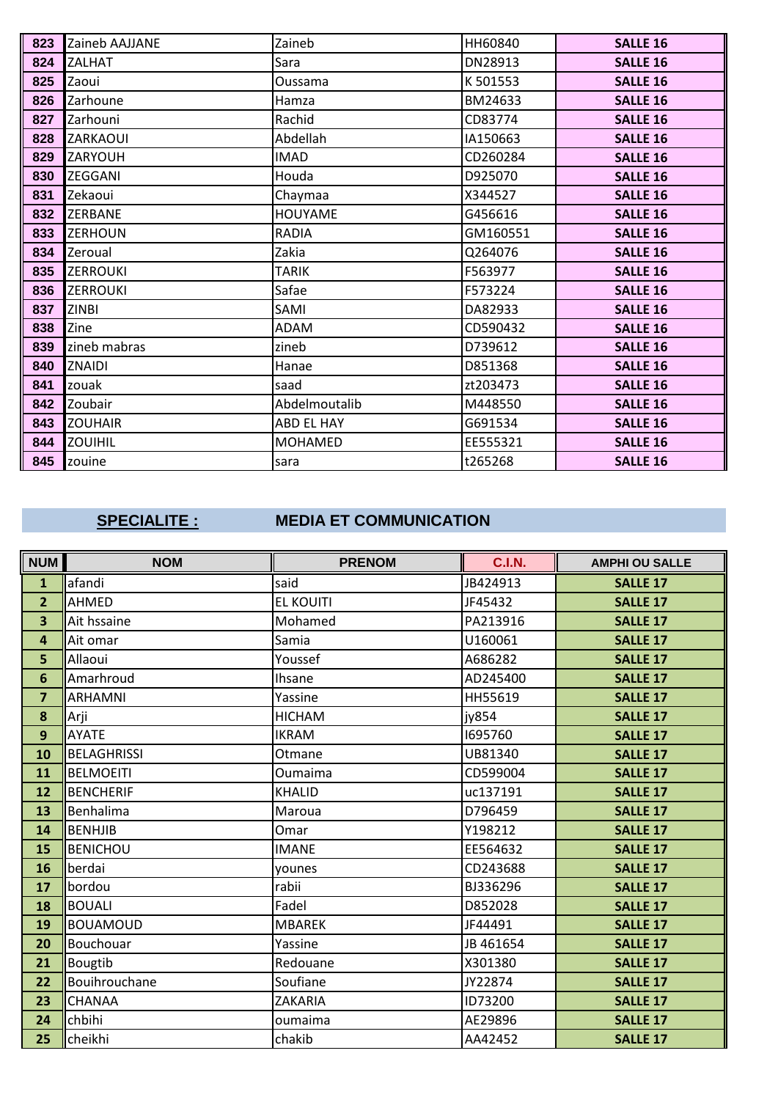| 823 | Zaineb AAJJANE  | Zaineb         | HH60840  | <b>SALLE 16</b> |
|-----|-----------------|----------------|----------|-----------------|
| 824 | <b>ZALHAT</b>   | Sara           | DN28913  | <b>SALLE 16</b> |
| 825 | Zaoui           | Oussama        | K 501553 | <b>SALLE 16</b> |
| 826 | Zarhoune        | Hamza          | BM24633  | <b>SALLE 16</b> |
| 827 | Zarhouni        | Rachid         | CD83774  | <b>SALLE 16</b> |
| 828 | ZARKAOUI        | Abdellah       | IA150663 | <b>SALLE 16</b> |
| 829 | <b>ZARYOUH</b>  | <b>IMAD</b>    | CD260284 | <b>SALLE 16</b> |
| 830 | ZEGGANI         | Houda          | D925070  | <b>SALLE 16</b> |
| 831 | Zekaoui         | Chaymaa        | X344527  | <b>SALLE 16</b> |
| 832 | <b>ZERBANE</b>  | <b>HOUYAME</b> | G456616  | <b>SALLE 16</b> |
| 833 | <b>ZERHOUN</b>  | <b>RADIA</b>   | GM160551 | <b>SALLE 16</b> |
| 834 | Zeroual         | Zakia          | Q264076  | <b>SALLE 16</b> |
| 835 | <b>ZERROUKI</b> | TARIK          | F563977  | <b>SALLE 16</b> |
| 836 | <b>ZERROUKI</b> | Safae          | F573224  | <b>SALLE 16</b> |
| 837 | <b>ZINBI</b>    | SAMI           | DA82933  | <b>SALLE 16</b> |
| 838 | Zine            | <b>ADAM</b>    | CD590432 | <b>SALLE 16</b> |
| 839 | zineb mabras    | zineb          | D739612  | <b>SALLE 16</b> |
| 840 | ZNAIDI          | Hanae          | D851368  | <b>SALLE 16</b> |
| 841 | zouak           | saad           | zt203473 | <b>SALLE 16</b> |
| 842 | Zoubair         | Abdelmoutalib  | M448550  | <b>SALLE 16</b> |
| 843 | <b>ZOUHAIR</b>  | ABD EL HAY     | G691534  | <b>SALLE 16</b> |
| 844 | ZOUIHIL         | <b>MOHAMED</b> | EE555321 | <b>SALLE 16</b> |
| 845 | zouine          | sara           | t265268  | <b>SALLE 16</b> |

## SPECIALITE :

### **MEDIA ET COMMUNICATION**

| <b>NUM</b>              | <b>NOM</b>         | <b>PRENOM</b>    | <b>C.I.N.</b> | <b>AMPHI OU SALLE</b> |
|-------------------------|--------------------|------------------|---------------|-----------------------|
| $\mathbf{1}$            | afandi             | said             | JB424913      | <b>SALLE 17</b>       |
| $\overline{2}$          | <b>AHMED</b>       | <b>EL KOUITI</b> | JF45432       | <b>SALLE 17</b>       |
| 3                       | Ait hssaine        | Mohamed          | PA213916      | <b>SALLE 17</b>       |
| $\overline{\mathbf{4}}$ | Ait omar           | Samia            | U160061       | <b>SALLE 17</b>       |
| 5                       | Allaoui            | Youssef          | A686282       | <b>SALLE 17</b>       |
| 6                       | Amarhroud          | Ihsane           | AD245400      | <b>SALLE 17</b>       |
| $\overline{7}$          | <b>ARHAMNI</b>     | Yassine          | HH55619       | <b>SALLE 17</b>       |
| 8                       | Arji               | <b>HICHAM</b>    | jy854         | <b>SALLE 17</b>       |
| $\overline{9}$          | <b>AYATE</b>       | <b>IKRAM</b>     | 1695760       | <b>SALLE 17</b>       |
| 10                      | <b>BELAGHRISSI</b> | Otmane           | UB81340       | <b>SALLE 17</b>       |
| 11                      | <b>BELMOEITI</b>   | Oumaima          | CD599004      | <b>SALLE 17</b>       |
| 12                      | <b>BENCHERIF</b>   | <b>KHALID</b>    | uc137191      | <b>SALLE 17</b>       |
| 13                      | Benhalima          | Maroua           | D796459       | <b>SALLE 17</b>       |
| 14                      | <b>BENHJIB</b>     | Omar             | Y198212       | <b>SALLE 17</b>       |
| 15                      | <b>BENICHOU</b>    | <b>IMANE</b>     | EE564632      | <b>SALLE 17</b>       |
| 16                      | berdai             | younes           | CD243688      | <b>SALLE 17</b>       |
| 17                      | bordou             | rabii            | BJ336296      | <b>SALLE 17</b>       |
| 18                      | <b>BOUALI</b>      | Fadel            | D852028       | <b>SALLE 17</b>       |
| 19                      | <b>BOUAMOUD</b>    | <b>MBAREK</b>    | JF44491       | <b>SALLE 17</b>       |
| 20                      | Bouchouar          | Yassine          | JB 461654     | <b>SALLE 17</b>       |
| 21                      | <b>Bougtib</b>     | Redouane         | X301380       | <b>SALLE 17</b>       |
| 22                      | Bouihrouchane      | Soufiane         | JY22874       | <b>SALLE 17</b>       |
| 23                      | CHANAA             | ZAKARIA          | ID73200       | <b>SALLE 17</b>       |
| 24                      | chbihi             | oumaima          | AE29896       | <b>SALLE 17</b>       |
| 25                      | cheikhi            | chakib           | AA42452       | <b>SALLE 17</b>       |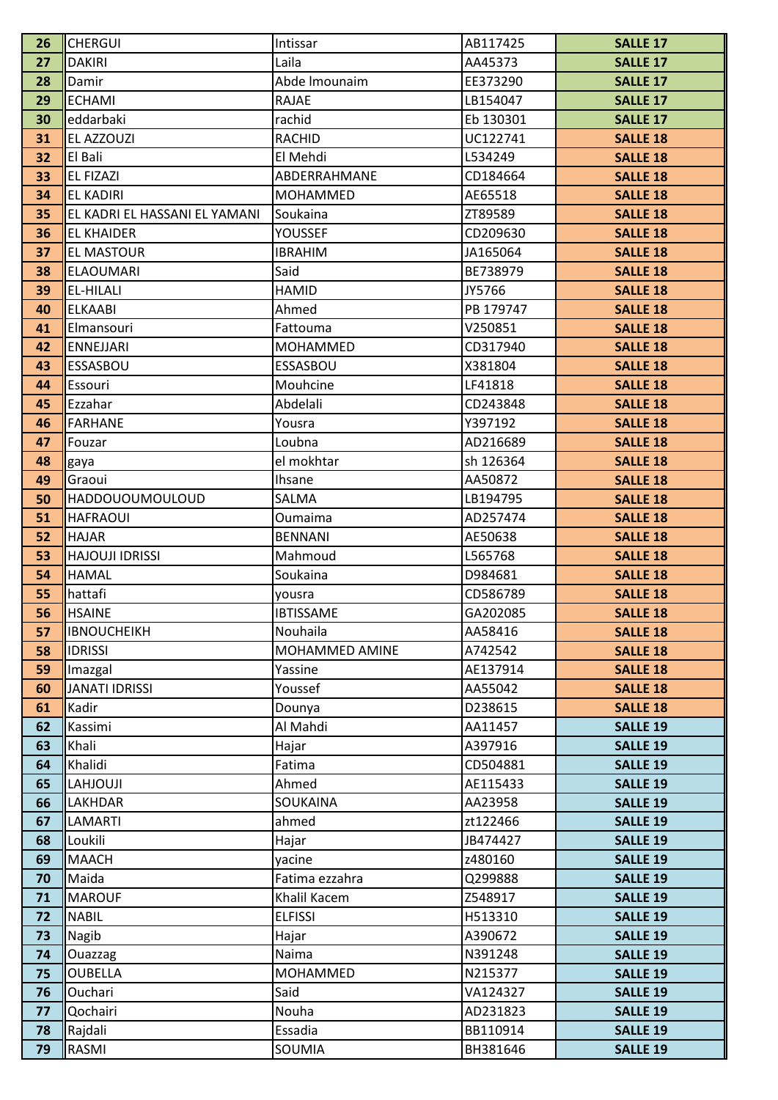| 26       | <b>CHERGUI</b>                | Intissar          | AB117425             | <b>SALLE 17</b>                    |
|----------|-------------------------------|-------------------|----------------------|------------------------------------|
| 27       | <b>DAKIRI</b>                 | Laila             | AA45373              | <b>SALLE 17</b>                    |
| 28       | Damir                         | Abde Imounaim     | EE373290             | <b>SALLE 17</b>                    |
| 29       | <b>ECHAMI</b>                 | <b>RAJAE</b>      | LB154047             | <b>SALLE 17</b>                    |
| 30       | eddarbaki                     | rachid            | Eb 130301            | <b>SALLE 17</b>                    |
| 31       | <b>EL AZZOUZI</b>             | <b>RACHID</b>     | UC122741             | <b>SALLE 18</b>                    |
| 32       | El Bali                       | El Mehdi          | L534249              | <b>SALLE 18</b>                    |
| 33       | <b>EL FIZAZI</b>              | ABDERRAHMANE      | CD184664             | <b>SALLE 18</b>                    |
| 34       | <b>EL KADIRI</b>              | <b>MOHAMMED</b>   | AE65518              | <b>SALLE 18</b>                    |
| 35       | EL KADRI EL HASSANI EL YAMANI | Soukaina          | ZT89589              | <b>SALLE 18</b>                    |
| 36       | <b>EL KHAIDER</b>             | <b>YOUSSEF</b>    | CD209630             | <b>SALLE 18</b>                    |
| 37       | <b>EL MASTOUR</b>             | <b>IBRAHIM</b>    | JA165064             | <b>SALLE 18</b>                    |
| 38       | <b>ELAOUMARI</b>              | Said              | BE738979             | <b>SALLE 18</b>                    |
| 39       | <b>EL-HILALI</b>              | <b>HAMID</b>      | JY5766               | <b>SALLE 18</b>                    |
| 40       | <b>ELKAABI</b>                | Ahmed             | PB 179747            | <b>SALLE 18</b>                    |
| 41       | Elmansouri                    | Fattouma          | V250851              | <b>SALLE 18</b>                    |
| 42       | <b>ENNEJJARI</b>              | MOHAMMED          | CD317940             | <b>SALLE 18</b>                    |
| 43       | ESSASBOU                      | <b>ESSASBOU</b>   | X381804              | <b>SALLE 18</b>                    |
| 44       | Essouri                       | Mouhcine          | LF41818              | <b>SALLE 18</b>                    |
| 45       | Ezzahar                       | Abdelali          | CD243848             | <b>SALLE 18</b>                    |
| 46       | <b>FARHANE</b>                | Yousra            | Y397192              | <b>SALLE 18</b>                    |
| 47       | Fouzar                        | Loubna            | AD216689             | <b>SALLE 18</b>                    |
| 48       | gaya                          | el mokhtar        | sh 126364            | <b>SALLE 18</b>                    |
| 49       | Graoui                        | <b>Ihsane</b>     | AA50872              | <b>SALLE 18</b>                    |
| 50       | <b>HADDOUOUMOULOUD</b>        | SALMA             | LB194795             | <b>SALLE 18</b>                    |
| 51       | <b>HAFRAOUI</b>               | Oumaima           | AD257474             | <b>SALLE 18</b>                    |
| 52       | <b>HAJAR</b>                  | <b>BENNANI</b>    | AE50638              | <b>SALLE 18</b>                    |
| 53       | <b>HAJOUJI IDRISSI</b>        | Mahmoud           | L565768              | <b>SALLE 18</b>                    |
| 54       | <b>HAMAL</b>                  | Soukaina          | D984681              | <b>SALLE 18</b>                    |
| 55       | hattafi                       | yousra            | CD586789             | <b>SALLE 18</b>                    |
| 56       | <b>HSAINE</b>                 | <b>IBTISSAME</b>  | GA202085             | <b>SALLE 18</b>                    |
| 57       | <b>IBNOUCHEIKH</b>            | Nouhaila          | AA58416              | <b>SALLE 18</b>                    |
| 58       | <b>IDRISSI</b>                | MOHAMMED AMINE    | A742542              | <b>SALLE 18</b>                    |
| 59       | Imazgal                       | Yassine           | AE137914             | <b>SALLE 18</b>                    |
| 60       | <b>JANATI IDRISSI</b>         | Youssef           | AA55042              | <b>SALLE 18</b>                    |
| 61       | Kadir                         | Dounya            | D238615              | <b>SALLE 18</b>                    |
| 62       | Kassimi                       | Al Mahdi          | AA11457              | <b>SALLE 19</b>                    |
| 63       | Khali                         | Hajar             | A397916              | <b>SALLE 19</b>                    |
| 64       | Khalidi                       | Fatima            | CD504881             | <b>SALLE 19</b>                    |
| 65       | <b>LAHJOUJI</b>               | Ahmed             | AE115433             | <b>SALLE 19</b>                    |
| 66       | <b>LAKHDAR</b><br>LAMARTI     | SOUKAINA<br>ahmed | AA23958              | <b>SALLE 19</b>                    |
| 67<br>68 | Loukili                       | Hajar             | zt122466<br>JB474427 | <b>SALLE 19</b><br><b>SALLE 19</b> |
| 69       | <b>MAACH</b>                  | yacine            | z480160              | <b>SALLE 19</b>                    |
| 70       | Maida                         | Fatima ezzahra    | Q299888              | <b>SALLE 19</b>                    |
| 71       | <b>MAROUF</b>                 | Khalil Kacem      | Z548917              | <b>SALLE 19</b>                    |
| 72       | <b>NABIL</b>                  | <b>ELFISSI</b>    | H513310              | <b>SALLE 19</b>                    |
| 73       | Nagib                         | Hajar             | A390672              | <b>SALLE 19</b>                    |
| 74       | <b>Ouazzag</b>                | Naima             | N391248              | <b>SALLE 19</b>                    |
| 75       | <b>OUBELLA</b>                | MOHAMMED          | N215377              | <b>SALLE 19</b>                    |
| 76       | Ouchari                       | Said              | VA124327             | <b>SALLE 19</b>                    |
| 77       | Qochairi                      | Nouha             | AD231823             | <b>SALLE 19</b>                    |
| 78       | Rajdali                       | Essadia           | BB110914             | <b>SALLE 19</b>                    |
| 79       | RASMI                         | SOUMIA            | BH381646             | <b>SALLE 19</b>                    |
|          |                               |                   |                      |                                    |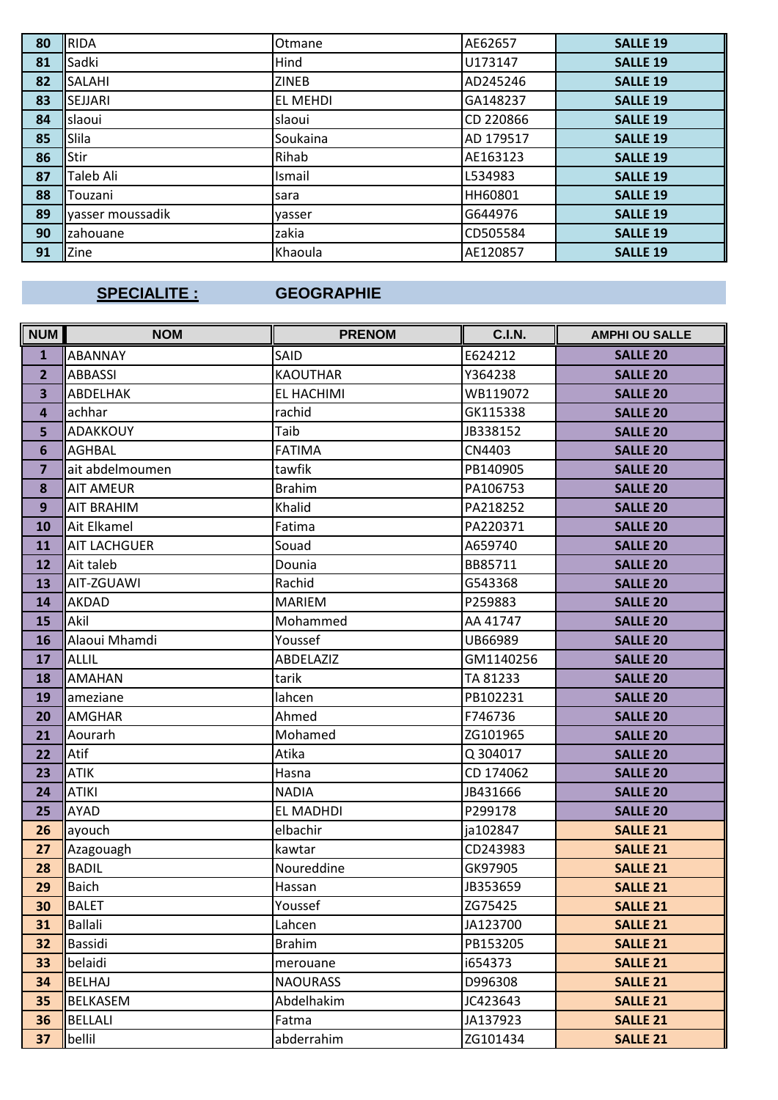| 80 | <b>RIDA</b>      | Otmane       | AE62657   | <b>SALLE 19</b> |
|----|------------------|--------------|-----------|-----------------|
| 81 | Sadki            | Hind         | U173147   | <b>SALLE 19</b> |
| 82 | SALAHI           | <b>ZINEB</b> | AD245246  | <b>SALLE 19</b> |
| 83 | <b>SEJJARI</b>   | EL MEHDI     | GA148237  | <b>SALLE 19</b> |
| 84 | slaoui           | slaoui       | CD 220866 | <b>SALLE 19</b> |
| 85 | Slila            | Soukaina     | AD 179517 | <b>SALLE 19</b> |
| 86 | Stir             | Rihab        | AE163123  | <b>SALLE 19</b> |
| 87 | Taleb Ali        | Ismail       | L534983   | <b>SALLE 19</b> |
| 88 | Touzani          | sara         | HH60801   | <b>SALLE 19</b> |
| 89 | yasser moussadik | vasser       | G644976   | <b>SALLE 19</b> |
| 90 | zahouane         | zakia        | CD505584  | <b>SALLE 19</b> |
| 91 | Zine             | Khaoula      | AE120857  | <b>SALLE 19</b> |

### **SPECIALITE :**

## **GEOGRAPHIE**

| <b>NUM</b>              | <b>NOM</b>          | <b>PRENOM</b>    | <b>C.I.N.</b> | <b>AMPHI OU SALLE</b> |
|-------------------------|---------------------|------------------|---------------|-----------------------|
| $\mathbf{1}$            | <b>ABANNAY</b>      | SAID             | E624212       | <b>SALLE 20</b>       |
| $\overline{2}$          | <b>ABBASSI</b>      | <b>KAOUTHAR</b>  | Y364238       | <b>SALLE 20</b>       |
| 3                       | <b>ABDELHAK</b>     | EL HACHIMI       | WB119072      | <b>SALLE 20</b>       |
| $\overline{\mathbf{4}}$ | achhar              | rachid           | GK115338      | <b>SALLE 20</b>       |
| 5                       | <b>ADAKKOUY</b>     | Taib             | JB338152      | <b>SALLE 20</b>       |
| 6                       | <b>AGHBAL</b>       | <b>FATIMA</b>    | CN4403        | <b>SALLE 20</b>       |
| $\overline{7}$          | ait abdelmoumen     | tawfik           | PB140905      | <b>SALLE 20</b>       |
| 8                       | <b>AIT AMEUR</b>    | <b>Brahim</b>    | PA106753      | <b>SALLE 20</b>       |
| 9                       | <b>AIT BRAHIM</b>   | Khalid           | PA218252      | <b>SALLE 20</b>       |
| 10                      | Ait Elkamel         | Fatima           | PA220371      | <b>SALLE 20</b>       |
| 11                      | <b>AIT LACHGUER</b> | Souad            | A659740       | <b>SALLE 20</b>       |
| 12                      | Ait taleb           | Dounia           | BB85711       | <b>SALLE 20</b>       |
| 13                      | AIT-ZGUAWI          | Rachid           | G543368       | <b>SALLE 20</b>       |
| 14                      | AKDAD               | <b>MARIEM</b>    | P259883       | <b>SALLE 20</b>       |
| 15                      | Akil                | Mohammed         | AA 41747      | <b>SALLE 20</b>       |
| 16                      | Alaoui Mhamdi       | Youssef          | UB66989       | <b>SALLE 20</b>       |
| 17                      | <b>ALLIL</b>        | <b>ABDELAZIZ</b> | GM1140256     | <b>SALLE 20</b>       |
| 18                      | <b>AMAHAN</b>       | tarik            | TA 81233      | <b>SALLE 20</b>       |
| 19                      | ameziane            | lahcen           | PB102231      | <b>SALLE 20</b>       |
| 20                      | <b>AMGHAR</b>       | Ahmed            | F746736       | <b>SALLE 20</b>       |
| 21                      | Aourarh             | Mohamed          | ZG101965      | <b>SALLE 20</b>       |
| 22                      | Atif                | Atika            | Q 304017      | <b>SALLE 20</b>       |
| 23                      | <b>ATIK</b>         | Hasna            | CD 174062     | <b>SALLE 20</b>       |
| 24                      | <b>ATIKI</b>        | <b>NADIA</b>     | JB431666      | <b>SALLE 20</b>       |
| 25                      | AYAD                | <b>EL MADHDI</b> | P299178       | <b>SALLE 20</b>       |
| 26                      | ayouch              | elbachir         | ja102847      | <b>SALLE 21</b>       |
| 27                      | Azagouagh           | kawtar           | CD243983      | <b>SALLE 21</b>       |
| 28                      | <b>BADIL</b>        | Noureddine       | GK97905       | <b>SALLE 21</b>       |
| 29                      | <b>Baich</b>        | Hassan           | JB353659      | <b>SALLE 21</b>       |
| 30                      | <b>BALET</b>        | Youssef          | ZG75425       | <b>SALLE 21</b>       |
| 31                      | <b>Ballali</b>      | Lahcen           | JA123700      | <b>SALLE 21</b>       |
| 32                      | Bassidi             | <b>Brahim</b>    | PB153205      | <b>SALLE 21</b>       |
| 33                      | belaidi             | merouane         | i654373       | <b>SALLE 21</b>       |
| 34                      | <b>BELHAJ</b>       | <b>NAOURASS</b>  | D996308       | <b>SALLE 21</b>       |
| 35                      | <b>BELKASEM</b>     | Abdelhakim       | JC423643      | <b>SALLE 21</b>       |
| 36                      | <b>BELLALI</b>      | Fatma            | JA137923      | <b>SALLE 21</b>       |
| 37                      | bellil              | abderrahim       | ZG101434      | <b>SALLE 21</b>       |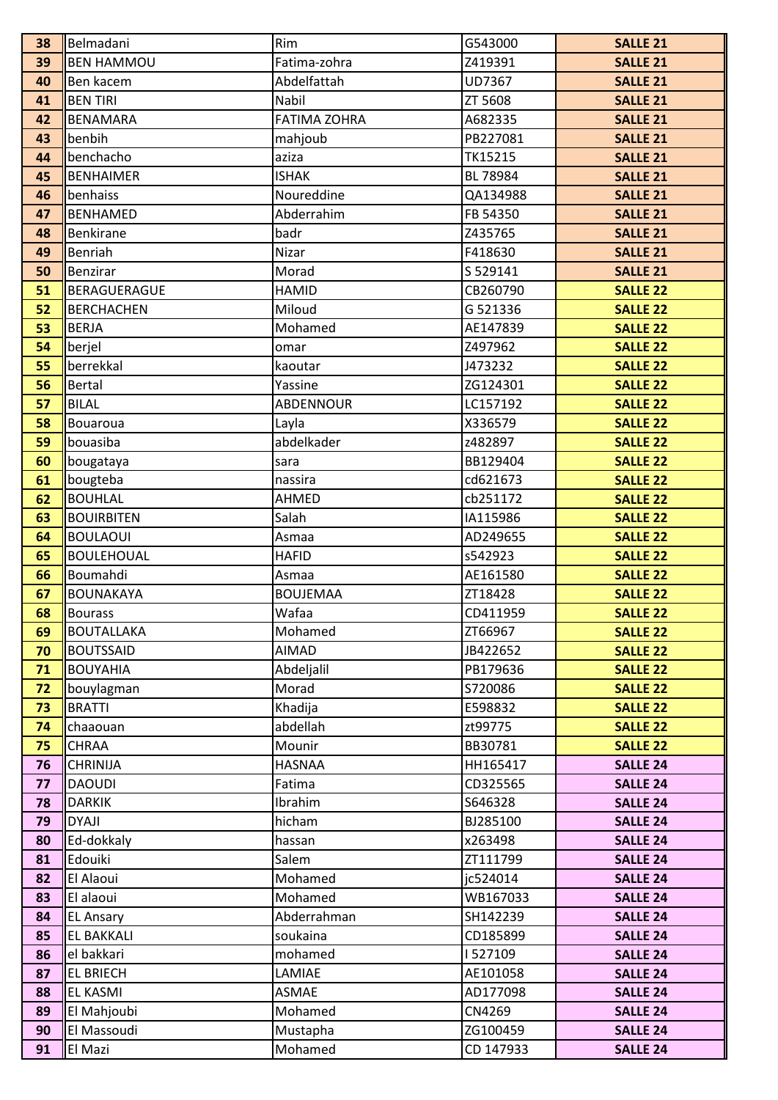| 39<br><b>BEN HAMMOU</b><br>Fatima-zohra<br>Z419391<br>40<br>Abdelfattah<br>UD7367<br>Ben kacem | <b>SALLE 21</b><br><b>SALLE 21</b> |
|------------------------------------------------------------------------------------------------|------------------------------------|
|                                                                                                |                                    |
|                                                                                                |                                    |
| <b>BEN TIRI</b><br>Nabil<br>ZT 5608<br>41                                                      | <b>SALLE 21</b>                    |
| <b>FATIMA ZOHRA</b><br><b>BENAMARA</b><br>A682335<br>42                                        | <b>SALLE 21</b>                    |
| 43<br>benbih<br>mahjoub<br>PB227081                                                            | <b>SALLE 21</b>                    |
| benchacho<br>TK15215<br>44<br>aziza                                                            | <b>SALLE 21</b>                    |
| <b>ISHAK</b><br><b>BENHAIMER</b><br>BL 78984<br>45                                             | <b>SALLE 21</b>                    |
| Noureddine<br>benhaiss<br>QA134988<br>46                                                       | <b>SALLE 21</b>                    |
| Abderrahim<br>47<br><b>BENHAMED</b><br>FB 54350                                                | <b>SALLE 21</b>                    |
| <b>Benkirane</b><br>badr<br>48<br>Z435765                                                      | <b>SALLE 21</b>                    |
| Nizar<br>Benriah<br>F418630<br>49                                                              | <b>SALLE 21</b>                    |
| 50<br>Morad<br>S 529141<br>Benzirar                                                            | <b>SALLE 21</b>                    |
| BERAGUERAGUE<br>51<br><b>HAMID</b><br>CB260790                                                 | <b>SALLE 22</b>                    |
| Miloud<br>52<br><b>BERCHACHEN</b><br>G 521336                                                  | <b>SALLE 22</b>                    |
| <b>BERJA</b><br>Mohamed<br>53<br>AE147839                                                      | <b>SALLE 22</b>                    |
| 54<br>berjel<br>Z497962<br>omar                                                                | <b>SALLE 22</b>                    |
| berrekkal<br>55<br>J473232<br>kaoutar                                                          | <b>SALLE 22</b>                    |
| <b>Bertal</b><br>56<br>ZG124301<br>Yassine                                                     | <b>SALLE 22</b>                    |
| 57<br><b>BILAL</b><br><b>ABDENNOUR</b><br>LC157192                                             | <b>SALLE 22</b>                    |
| 58<br>X336579<br>Layla<br>Bouaroua                                                             | <b>SALLE 22</b>                    |
| abdelkader<br>59<br>bouasiba<br>z482897                                                        | <b>SALLE 22</b>                    |
| BB129404<br>60<br>bougataya<br>sara                                                            | <b>SALLE 22</b>                    |
| 61<br>bougteba<br>cd621673<br>nassira                                                          | <b>SALLE 22</b>                    |
| 62<br><b>BOUHLAL</b><br>AHMED<br>cb251172                                                      | <b>SALLE 22</b>                    |
| Salah<br>63<br><b>BOUIRBITEN</b><br>IA115986                                                   | <b>SALLE 22</b>                    |
| <b>BOULAOUI</b><br>64<br>AD249655<br>Asmaa                                                     | <b>SALLE 22</b>                    |
| 65<br><b>BOULEHOUAL</b><br>s542923<br><b>HAFID</b>                                             | <b>SALLE 22</b>                    |
| 66<br>Boumahdi<br>AE161580<br>Asmaa                                                            | <b>SALLE 22</b>                    |
| 67<br><b>BOUNAKAYA</b><br><b>BOUJEMAA</b><br>ZT18428                                           | <b>SALLE 22</b>                    |
| Wafaa<br>CD411959<br>68<br>Bourass                                                             | <b>SALLE 22</b>                    |
| Mohamed<br>ZT66967<br>69<br><b>BOUTALLAKA</b>                                                  | <b>SALLE 22</b>                    |
| 70<br><b>AIMAD</b><br>JB422652<br><b>BOUTSSAID</b>                                             | <b>SALLE 22</b>                    |
| 71<br><b>BOUYAHIA</b><br>Abdeljalil<br>PB179636                                                | <b>SALLE 22</b>                    |
| Morad<br>72<br>bouylagman<br>S720086                                                           | <b>SALLE 22</b>                    |
| <b>BRATTI</b><br>73<br>Khadija<br>E598832                                                      | <b>SALLE 22</b>                    |
| abdellah<br>74<br>chaaouan<br>zt99775                                                          | <b>SALLE 22</b>                    |
| 75<br><b>CHRAA</b><br>Mounir<br>BB30781<br><b>CHRINIJA</b>                                     | <b>SALLE 22</b>                    |
| HH165417<br><b>HASNAA</b><br>76<br><b>DAOUDI</b><br>CD325565<br>77<br>Fatima                   | <b>SALLE 24</b><br><b>SALLE 24</b> |
| <b>DARKIK</b><br>Ibrahim<br>S646328<br>78                                                      | <b>SALLE 24</b>                    |
| <b>DYAJI</b><br>hicham<br>79<br>BJ285100                                                       | <b>SALLE 24</b>                    |
| Ed-dokkaly<br>80<br>x263498<br>hassan                                                          | <b>SALLE 24</b>                    |
| Edouiki<br>81<br>Salem<br>ZT111799                                                             | <b>SALLE 24</b>                    |
| Mohamed<br>El Alaoui<br>jc524014<br>82                                                         | <b>SALLE 24</b>                    |
| El alaoui<br>Mohamed<br>WB167033<br>83                                                         | <b>SALLE 24</b>                    |
| Abderrahman<br>84<br><b>EL Ansary</b><br>SH142239                                              | <b>SALLE 24</b>                    |
| 85<br><b>EL BAKKALI</b><br>soukaina<br>CD185899                                                | <b>SALLE 24</b>                    |
| 86<br>el bakkari<br>mohamed<br>1527109                                                         | <b>SALLE 24</b>                    |
| LAMIAE<br>AE101058<br>87<br><b>EL BRIECH</b>                                                   | <b>SALLE 24</b>                    |
| AD177098<br>88<br><b>EL KASMI</b><br>ASMAE                                                     | <b>SALLE 24</b>                    |
| 89<br>El Mahjoubi<br>Mohamed<br>CN4269                                                         | <b>SALLE 24</b>                    |
| El Massoudi<br>ZG100459<br>90<br>Mustapha                                                      | <b>SALLE 24</b>                    |
| El Mazi<br>Mohamed<br>CD 147933<br>91                                                          | <b>SALLE 24</b>                    |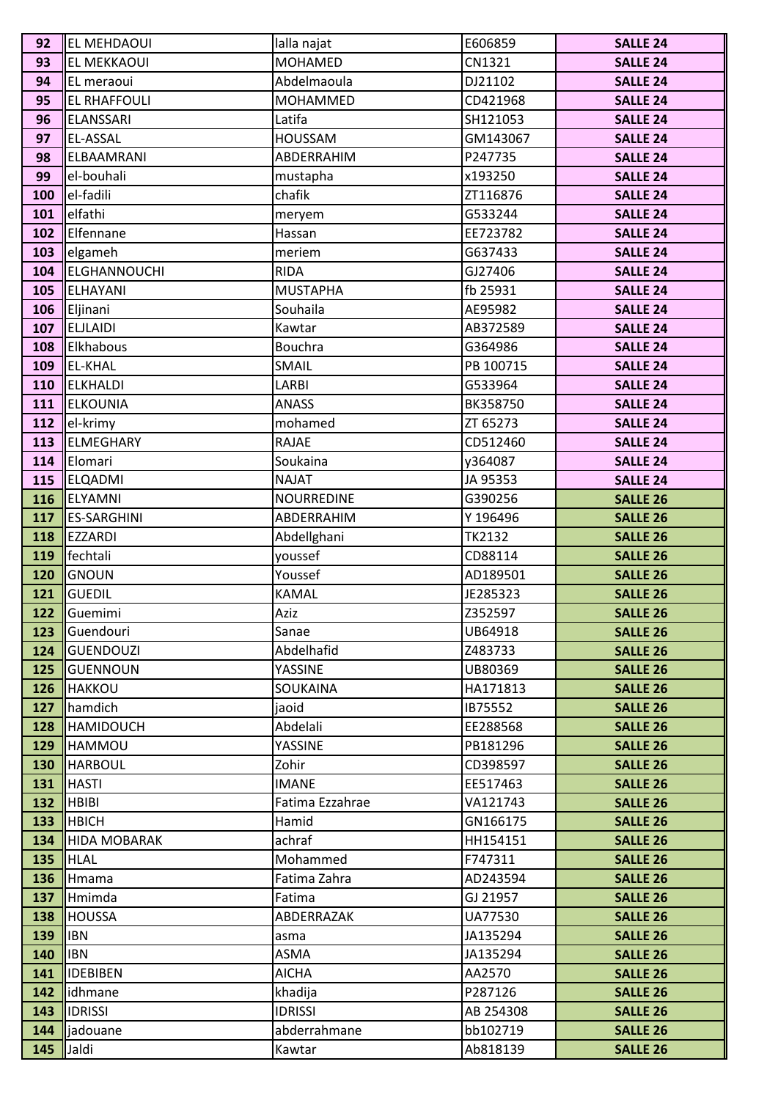| 92         | <b>EL MEHDAOUI</b>                 | lalla najat        | E606859             | <b>SALLE 24</b>                    |
|------------|------------------------------------|--------------------|---------------------|------------------------------------|
| 93         | <b>EL MEKKAOUI</b>                 | MOHAMED            | CN1321              | <b>SALLE 24</b>                    |
| 94         | EL meraoui                         | Abdelmaoula        | DJ21102             | <b>SALLE 24</b>                    |
| 95         | <b>EL RHAFFOULI</b>                | <b>MOHAMMED</b>    | CD421968            | <b>SALLE 24</b>                    |
| 96         | ELANSSARI                          | Latifa             | SH121053            | <b>SALLE 24</b>                    |
| 97         | <b>EL-ASSAL</b>                    | <b>HOUSSAM</b>     | GM143067            | <b>SALLE 24</b>                    |
| 98         | ELBAAMRANI                         | ABDERRAHIM         | P247735             | <b>SALLE 24</b>                    |
| 99         | el-bouhali                         | mustapha           | x193250             | <b>SALLE 24</b>                    |
| 100        | el-fadili                          | chafik             | ZT116876            | <b>SALLE 24</b>                    |
| 101        | elfathi                            | meryem             | G533244             | <b>SALLE 24</b>                    |
| 102        | Elfennane                          | Hassan             | EE723782            | <b>SALLE 24</b>                    |
| 103        | elgameh                            | meriem             | G637433             | <b>SALLE 24</b>                    |
| 104        | <b>ELGHANNOUCHI</b>                | <b>RIDA</b>        | GJ27406             | <b>SALLE 24</b>                    |
| 105        | ELHAYANI                           | <b>MUSTAPHA</b>    | fb 25931            | <b>SALLE 24</b>                    |
| 106        | Eljinani                           | Souhaila           | AE95982             | <b>SALLE 24</b>                    |
| 107        | <b>ELJLAIDI</b>                    | Kawtar             | AB372589            | <b>SALLE 24</b>                    |
| 108        | Elkhabous                          | Bouchra            | G364986             | <b>SALLE 24</b>                    |
| 109        | <b>EL-KHAL</b>                     | SMAIL              | PB 100715           | <b>SALLE 24</b>                    |
| 110        | <b>ELKHALDI</b>                    | LARBI              | G533964             | <b>SALLE 24</b>                    |
| 111        | <b>ELKOUNIA</b>                    | <b>ANASS</b>       | BK358750            | <b>SALLE 24</b>                    |
| 112        | el-krimy                           | mohamed            | ZT 65273            | <b>SALLE 24</b>                    |
| 113        | <b>ELMEGHARY</b>                   | <b>RAJAE</b>       | CD512460            | <b>SALLE 24</b>                    |
| 114        | Elomari                            | Soukaina           | y364087             | <b>SALLE 24</b>                    |
| 115        | <b>ELQADMI</b>                     | <b>NAJAT</b>       | JA 95353            | <b>SALLE 24</b>                    |
| 116        | <b>ELYAMNI</b>                     | <b>NOURREDINE</b>  | G390256             | <b>SALLE 26</b>                    |
| 117        | <b>ES-SARGHINI</b>                 | ABDERRAHIM         | Y 196496            | <b>SALLE 26</b>                    |
| 118        | <b>EZZARDI</b>                     | Abdellghani        | <b>TK2132</b>       | <b>SALLE 26</b>                    |
| 119        | fechtali                           | youssef            | CD88114             | <b>SALLE 26</b>                    |
| 120        | <b>GNOUN</b>                       | Youssef            | AD189501            | <b>SALLE 26</b>                    |
| 121        | <b>GUEDIL</b>                      | <b>KAMAL</b>       | JE285323            | <b>SALLE 26</b>                    |
| 122        | Guemimi                            | Aziz               | Z352597             | <b>SALLE 26</b>                    |
| 123        | Guendouri                          | Sanae              | UB64918             | <b>SALLE 26</b>                    |
| 124        | <b>GUENDOUZI</b>                   | Abdelhafid         | Z483733             | <b>SALLE 26</b>                    |
| 125        | <b>GUENNOUN</b>                    | YASSINE            | UB80369             | <b>SALLE 26</b>                    |
| 126        | <b>HAKKOU</b>                      | SOUKAINA           | HA171813            | <b>SALLE 26</b>                    |
| 127        | hamdich                            | jaoid              | IB75552             | <b>SALLE 26</b>                    |
| 128        | <b>HAMIDOUCH</b>                   | Abdelali           | EE288568            | <b>SALLE 26</b>                    |
| 129        | HAMMOU                             | YASSINE            | PB181296            | <b>SALLE 26</b>                    |
| 130        | <b>HARBOUL</b>                     | Zohir              | CD398597            | <b>SALLE 26</b>                    |
| 131        | <b>HASTI</b>                       | <b>IMANE</b>       | EE517463            | <b>SALLE 26</b>                    |
| 132        | <b>HBIBI</b>                       | Fatima Ezzahrae    | VA121743            | <b>SALLE 26</b>                    |
| 133<br>134 | <b>HBICH</b>                       | Hamid              | GN166175            | <b>SALLE 26</b>                    |
| 135        | <b>HIDA MOBARAK</b><br><b>HLAL</b> | achraf<br>Mohammed | HH154151<br>F747311 | <b>SALLE 26</b><br><b>SALLE 26</b> |
| 136        |                                    | Fatima Zahra       | AD243594            | <b>SALLE 26</b>                    |
| 137        | Hmama<br>Hmimda                    | Fatima             | GJ 21957            | <b>SALLE 26</b>                    |
| 138        | <b>HOUSSA</b>                      | ABDERRAZAK         | UA77530             | <b>SALLE 26</b>                    |
| 139        | <b>IBN</b>                         | asma               | JA135294            | <b>SALLE 26</b>                    |
| 140        | <b>IBN</b>                         | <b>ASMA</b>        | JA135294            | <b>SALLE 26</b>                    |
| 141        | <b>IDEBIBEN</b>                    | <b>AICHA</b>       | AA2570              | <b>SALLE 26</b>                    |
| 142        | idhmane                            | khadija            | P287126             | <b>SALLE 26</b>                    |
| 143        | <b>IDRISSI</b>                     | <b>IDRISSI</b>     | AB 254308           | <b>SALLE 26</b>                    |
| 144        | jadouane                           | abderrahmane       | bb102719            | <b>SALLE 26</b>                    |
| 145        | Jaldi                              | Kawtar             | Ab818139            | <b>SALLE 26</b>                    |
|            |                                    |                    |                     |                                    |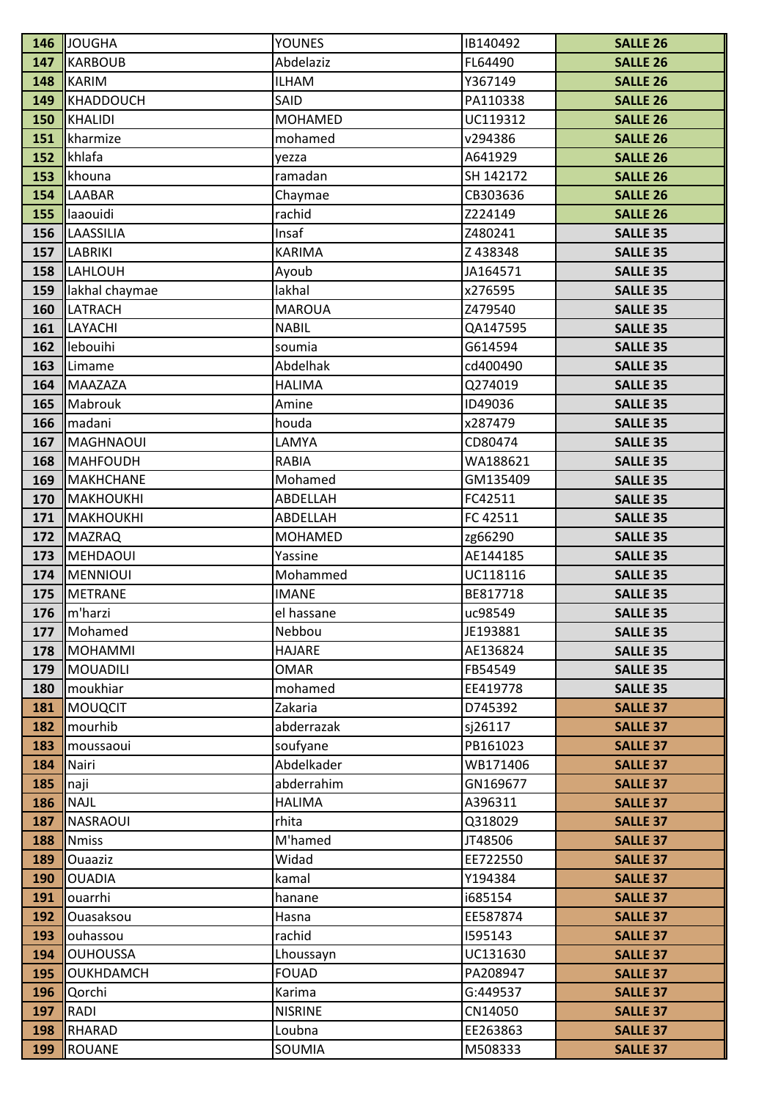| 146        | <b>JOUGHA</b>        | <b>YOUNES</b>          | IB140492             | <b>SALLE 26</b>                    |
|------------|----------------------|------------------------|----------------------|------------------------------------|
| 147        | <b>KARBOUB</b>       | Abdelaziz              | FL64490              | <b>SALLE 26</b>                    |
| 148        | <b>KARIM</b>         | <b>ILHAM</b>           | Y367149              | <b>SALLE 26</b>                    |
| 149        | <b>KHADDOUCH</b>     | SAID                   | PA110338             | <b>SALLE 26</b>                    |
| 150        | <b>KHALIDI</b>       | <b>MOHAMED</b>         | UC119312             | <b>SALLE 26</b>                    |
| 151        | kharmize             | mohamed                | v294386              | <b>SALLE 26</b>                    |
| 152        | khlafa               | yezza                  | A641929              | <b>SALLE 26</b>                    |
| 153        | khouna               | ramadan                | SH 142172            | <b>SALLE 26</b>                    |
| 154        | LAABAR               | Chaymae                | CB303636             | <b>SALLE 26</b>                    |
| 155        | laaouidi             | rachid                 | Z224149              | <b>SALLE 26</b>                    |
| 156        | LAASSILIA            | Insaf                  | Z480241              | <b>SALLE 35</b>                    |
| 157        | LABRIKI              | <b>KARIMA</b>          | Z438348              | <b>SALLE 35</b>                    |
| 158        | LAHLOUH              | Ayoub                  | JA164571             | <b>SALLE 35</b>                    |
| 159        | lakhal chaymae       | lakhal                 | x276595              | <b>SALLE 35</b>                    |
| 160        | LATRACH              | <b>MAROUA</b>          | Z479540              | <b>SALLE 35</b>                    |
| 161        | LAYACHI              | <b>NABIL</b>           | QA147595             | <b>SALLE 35</b>                    |
| 162        | lebouihi             | soumia                 | G614594              | <b>SALLE 35</b>                    |
| 163        | Limame               | Abdelhak               | cd400490             | <b>SALLE 35</b>                    |
| 164        | <b>MAAZAZA</b>       | <b>HALIMA</b>          | Q274019              | <b>SALLE 35</b>                    |
| 165        | Mabrouk              | Amine                  | ID49036              | <b>SALLE 35</b>                    |
| 166        | madani               | houda                  | x287479              | <b>SALLE 35</b>                    |
| 167        | <b>MAGHNAOUI</b>     | LAMYA                  | CD80474              | <b>SALLE 35</b>                    |
| 168        | <b>MAHFOUDH</b>      | <b>RABIA</b>           | WA188621             | <b>SALLE 35</b>                    |
| 169        | <b>MAKHCHANE</b>     | Mohamed                | GM135409             | <b>SALLE 35</b>                    |
| 170        | <b>MAKHOUKHI</b>     | ABDELLAH               | FC42511              | <b>SALLE 35</b>                    |
| 171        | <b>MAKHOUKHI</b>     | ABDELLAH               | FC 42511             | <b>SALLE 35</b>                    |
| 172        | <b>MAZRAQ</b>        | <b>MOHAMED</b>         | zg66290              | <b>SALLE 35</b>                    |
| 173        | <b>MEHDAOUI</b>      | Yassine                | AE144185             | <b>SALLE 35</b>                    |
| 174        | <b>MENNIOUI</b>      | Mohammed               | UC118116             | <b>SALLE 35</b>                    |
| 175        | <b>METRANE</b>       | <b>IMANE</b>           | BE817718             | <b>SALLE 35</b>                    |
| 176        | $\mathsf{Im}$ 'harzi | el hassane             | uc98549              | <b>SALLE 35</b>                    |
| 177        | Mohamed              | Nebbou                 | JE193881             | <b>SALLE 35</b>                    |
| 178        | <b>MOHAMMI</b>       | <b>HAJARE</b>          | AE136824             | <b>SALLE 35</b>                    |
| 179        | <b>MOUADILI</b>      | <b>OMAR</b>            | FB54549              | <b>SALLE 35</b>                    |
| 180        | moukhiar             | mohamed                | EE419778             | <b>SALLE 35</b>                    |
| 181        | <b>MOUQCIT</b>       | Zakaria                | D745392              | <b>SALLE 37</b>                    |
| 182        | mourhib              | abderrazak             | sj26117              | <b>SALLE 37</b>                    |
| 183        | moussaoui<br>Nairi   | soufyane<br>Abdelkader | PB161023<br>WB171406 | <b>SALLE 37</b><br><b>SALLE 37</b> |
| 184<br>185 | naji                 | abderrahim             | GN169677             | <b>SALLE 37</b>                    |
| 186        | <b>NAJL</b>          | <b>HALIMA</b>          | A396311              | <b>SALLE 37</b>                    |
| 187        | <b>NASRAOUI</b>      | rhita                  | Q318029              | <b>SALLE 37</b>                    |
| 188        | <b>Nmiss</b>         | M'hamed                | JT48506              | <b>SALLE 37</b>                    |
| 189        | <b>Ouaaziz</b>       | Widad                  | EE722550             | <b>SALLE 37</b>                    |
| 190        | <b>OUADIA</b>        | kamal                  | Y194384              | <b>SALLE 37</b>                    |
| 191        | ouarrhi              | hanane                 | i685154              | <b>SALLE 37</b>                    |
| 192        | Ouasaksou            | Hasna                  | EE587874             | <b>SALLE 37</b>                    |
| 193        | ouhassou             | rachid                 | 1595143              | <b>SALLE 37</b>                    |
| 194        | <b>OUHOUSSA</b>      | Lhoussayn              | UC131630             | <b>SALLE 37</b>                    |
| 195        | OUKHDAMCH            | <b>FOUAD</b>           | PA208947             | <b>SALLE 37</b>                    |
| 196        | Qorchi               | Karima                 | G:449537             | <b>SALLE 37</b>                    |
| 197        | RADI                 | <b>NISRINE</b>         | CN14050              | <b>SALLE 37</b>                    |
| 198        | RHARAD               | Loubna                 | EE263863             | <b>SALLE 37</b>                    |
| 199        | <b>ROUANE</b>        | SOUMIA                 | M508333              | <b>SALLE 37</b>                    |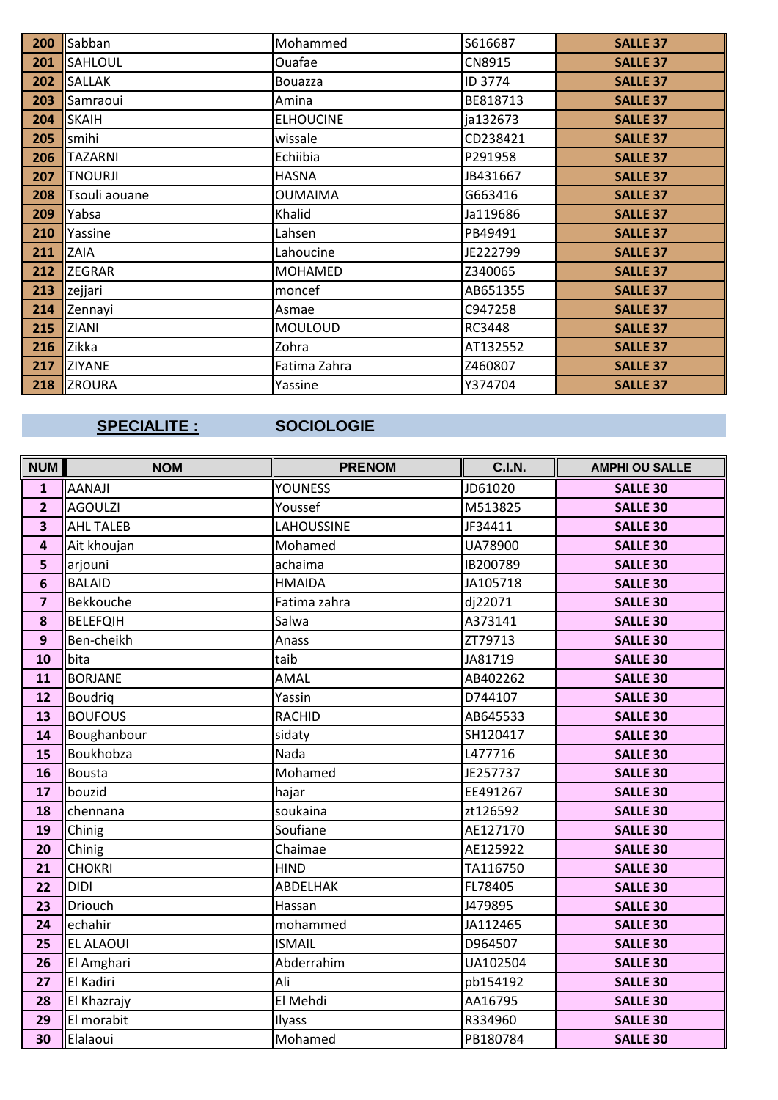| 200 | Sabban         | Mohammed         | S616687  | <b>SALLE 37</b> |
|-----|----------------|------------------|----------|-----------------|
| 201 | <b>SAHLOUL</b> | Ouafae           | CN8915   | <b>SALLE 37</b> |
| 202 | <b>SALLAK</b>  | <b>Bouazza</b>   | ID 3774  | <b>SALLE 37</b> |
| 203 | Samraoui       | Amina            | BE818713 | <b>SALLE 37</b> |
| 204 | <b>SKAIH</b>   | <b>ELHOUCINE</b> | ja132673 | <b>SALLE 37</b> |
| 205 | smihi          | wissale          | CD238421 | <b>SALLE 37</b> |
| 206 | <b>TAZARNI</b> | Echiibia         | P291958  | <b>SALLE 37</b> |
| 207 | <b>TNOURJI</b> | <b>HASNA</b>     | JB431667 | <b>SALLE 37</b> |
| 208 | Tsouli aouane  | <b>OUMAIMA</b>   | G663416  | <b>SALLE 37</b> |
| 209 | Yabsa          | Khalid           | Ja119686 | <b>SALLE 37</b> |
| 210 | Yassine        | Lahsen           | PB49491  | <b>SALLE 37</b> |
| 211 | ZAIA           | Lahoucine        | JE222799 | <b>SALLE 37</b> |
| 212 | <b>ZEGRAR</b>  | <b>MOHAMED</b>   | Z340065  | <b>SALLE 37</b> |
| 213 | zejjari        | moncef           | AB651355 | <b>SALLE 37</b> |
| 214 | Zennayi        | Asmae            | C947258  | <b>SALLE 37</b> |
| 215 | ZIANI          | <b>MOULOUD</b>   | RC3448   | <b>SALLE 37</b> |
| 216 | Zikka          | Zohra            | AT132552 | <b>SALLE 37</b> |
| 217 | <b>ZIYANE</b>  | Fatima Zahra     | Z460807  | <b>SALLE 37</b> |
| 218 | <b>ZROURA</b>  | Yassine          | Y374704  | <b>SALLE 37</b> |

# **SPECIALITE :**

### **SOCIOLOGIE**

| <b>NUM</b>              | <b>NOM</b>       | <b>PRENOM</b>     | <b>C.I.N.</b> | <b>AMPHI OU SALLE</b> |
|-------------------------|------------------|-------------------|---------------|-----------------------|
| $\mathbf{1}$            | <b>AANAJI</b>    | <b>YOUNESS</b>    | JD61020       | <b>SALLE 30</b>       |
| $\overline{2}$          | <b>AGOULZI</b>   | Youssef           | M513825       | <b>SALLE 30</b>       |
| $\overline{\mathbf{3}}$ | <b>AHL TALEB</b> | <b>LAHOUSSINE</b> | JF34411       | <b>SALLE 30</b>       |
| $\overline{\mathbf{4}}$ | Ait khoujan      | Mohamed           | UA78900       | <b>SALLE 30</b>       |
| 5                       | arjouni          | achaima           | IB200789      | <b>SALLE 30</b>       |
| $6\phantom{1}6$         | <b>BALAID</b>    | <b>HMAIDA</b>     | JA105718      | <b>SALLE 30</b>       |
| $\overline{\mathbf{z}}$ | Bekkouche        | Fatima zahra      | dj22071       | <b>SALLE 30</b>       |
| 8                       | <b>BELEFQIH</b>  | Salwa             | A373141       | <b>SALLE 30</b>       |
| $\mathbf{9}$            | Ben-cheikh       | Anass             | ZT79713       | <b>SALLE 30</b>       |
| 10                      | bita             | taib              | JA81719       | <b>SALLE 30</b>       |
| 11                      | <b>BORJANE</b>   | AMAL              | AB402262      | <b>SALLE 30</b>       |
| 12                      | <b>Boudrig</b>   | Yassin            | D744107       | <b>SALLE 30</b>       |
| 13                      | <b>BOUFOUS</b>   | <b>RACHID</b>     | AB645533      | <b>SALLE 30</b>       |
| 14                      | Boughanbour      | sidaty            | SH120417      | <b>SALLE 30</b>       |
| 15                      | Boukhobza        | Nada              | L477716       | <b>SALLE 30</b>       |
| 16                      | <b>Bousta</b>    | Mohamed           | JE257737      | <b>SALLE 30</b>       |
| 17                      | bouzid           | hajar             | EE491267      | <b>SALLE 30</b>       |
| 18                      | chennana         | soukaina          | zt126592      | <b>SALLE 30</b>       |
| 19                      | Chinig           | Soufiane          | AE127170      | <b>SALLE 30</b>       |
| 20                      | Chinig           | Chaimae           | AE125922      | <b>SALLE 30</b>       |
| 21                      | <b>CHOKRI</b>    | <b>HIND</b>       | TA116750      | <b>SALLE 30</b>       |
| 22                      | <b>DIDI</b>      | ABDELHAK          | FL78405       | <b>SALLE 30</b>       |
| 23                      | Driouch          | Hassan            | J479895       | <b>SALLE 30</b>       |
| 24                      | echahir          | mohammed          | JA112465      | <b>SALLE 30</b>       |
| 25                      | <b>EL ALAOUI</b> | <b>ISMAIL</b>     | D964507       | <b>SALLE 30</b>       |
| 26                      | El Amghari       | Abderrahim        | UA102504      | <b>SALLE 30</b>       |
| 27                      | El Kadiri        | Ali               | pb154192      | <b>SALLE 30</b>       |
| 28                      | El Khazrajy      | El Mehdi          | AA16795       | <b>SALLE 30</b>       |
| 29                      | El morabit       | Ilyass            | R334960       | <b>SALLE 30</b>       |
| 30                      | Elalaoui         | Mohamed           | PB180784      | <b>SALLE 30</b>       |